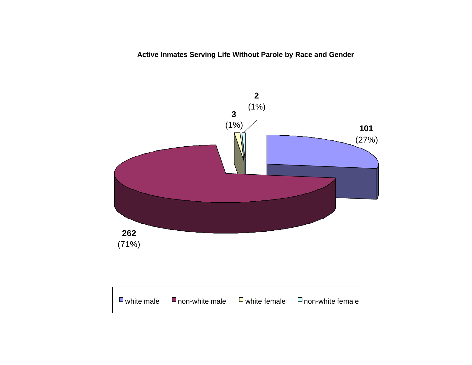**Active Inmates Serving Life Without Parole by Race and Gender**

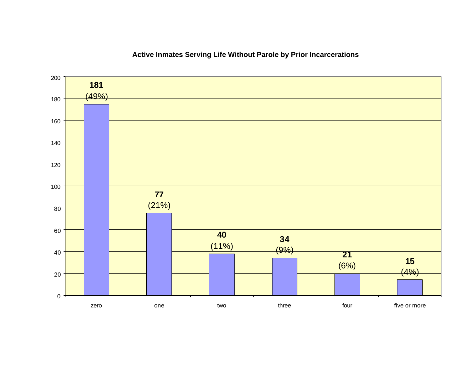

### **Active Inmates Serving Life Without Parole by Prior Incarcerations**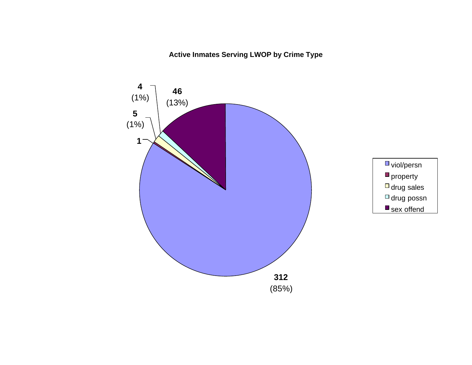## **Active Inmates Serving LWOP by Crime Type**

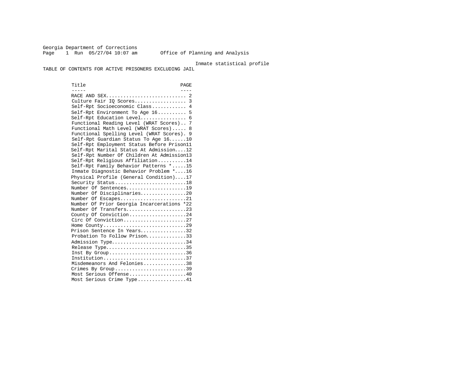Georgia Department of Corrections Page 1 Run 05/27/04 10:07 am Office of Planning and Analysis

Inmate statistical profile

TABLE OF CONTENTS FOR ACTIVE PRISONERS EXCLUDING JAIL

Title PAGE ----- ---- RACE AND SEX............................ 2 Culture Fair IQ Scores.................. 3 Self-Rpt Socioeconomic Class............ 4 Self-Rpt Environment To Age 16.......... 5 Self-Rpt Education Level................ 6 Functional Reading Level (WRAT Scores).. 7 Functional Math Level (WRAT Scores)..... 8 Functional Spelling Level (WRAT Scores). 9 Self-Rpt Guardian Status To Age 16......10 Self-Rpt Employment Status Before Prison11 Self-Rpt Marital Status At Admission....12 Self-Rpt Number Of Children At Admission13 Self-Rpt Religious Affiliation..........14 Self-Rpt Family Behavior Patterns \*.....15 Inmate Diagnostic Behavior Problem \*....16 Physical Profile (General Condition)....17 Security Status...........................18 Number Of Sentences.....................19 Number Of Disciplinaries................20 Number Of Escapes.........................21 Number Of Prior Georgia Incarcerations \*22 Number Of Transfers.......................23 County Of Conviction....................24 Circ Of Conviction........................27 Home County.............................29 Prison Sentence In Years................32 Probation To Follow Prison...............33 Admission Type.............................34 Release Type...............................35 Inst By  $Group \ldots \ldots \ldots \ldots \ldots \ldots \ldots \ldots 36$  Institution.............................37 Misdemeanors And Felonies...............38 Crimes By Group..............................39 Most Serious Offense....................40 Most Serious Crime Type.................41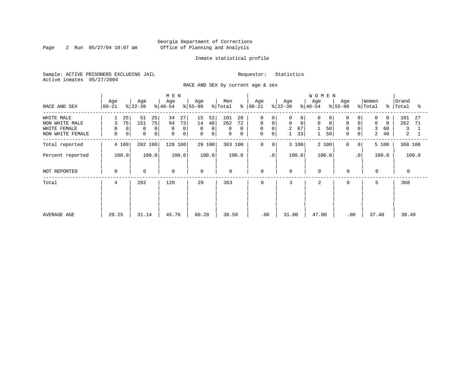Page 2 Run  $05/27/04$  10:07 am

#### Inmate statistical profile

Sample: ACTIVE PRISONERS EXCLUDING JAIL Requestor: Statistics Active inmates 05/27/2004

RACE AND SEX by current age & sex

|                                                                  | Age                               | Age                                                  | M E N<br>Age                                    | Age                                                                | Men                                        | Age                                                                                                             | Age                                                          | <b>WOMEN</b><br>Age                           |                                                                       | Women                                                                 | Grand                            |
|------------------------------------------------------------------|-----------------------------------|------------------------------------------------------|-------------------------------------------------|--------------------------------------------------------------------|--------------------------------------------|-----------------------------------------------------------------------------------------------------------------|--------------------------------------------------------------|-----------------------------------------------|-----------------------------------------------------------------------|-----------------------------------------------------------------------|----------------------------------|
| RACE AND SEX                                                     | $ 00 - 21 $                       | $ 22-39 $                                            | $ 40-54 $                                       | $ 55-99 $                                                          | $\frac{8}{6}$<br>% Total                   | 00-21                                                                                                           | $ 22-39 $                                                    | $ 40-54 $                                     | Age<br>$8 55-99$                                                      | % Total<br>°≈                                                         | Total<br>°≈                      |
| WHITE MALE<br>NON WHITE MALE<br>WHITE FEMALE<br>NON WHITE FEMALE | 25<br>75<br>3<br>0<br>0<br>0<br>0 | 51<br>25<br>75<br>151<br>0<br>0<br>0<br>$\mathbf{0}$ | 34<br>27<br>94<br>73<br>$\Omega$<br>0<br>0<br>0 | 15<br>52<br>14<br>48<br>0<br>$\overline{0}$<br>0<br>0 <sup>1</sup> | 101<br>28<br>262<br>72<br>0<br>0<br>0<br>0 | 0<br>0<br>$\mathbf 0$<br>$\mathbf 0$<br>$\mathsf{O}$<br>$\overline{0}$<br>$\mathsf{O}\xspace$<br>0 <sup>1</sup> | 0<br>$\Omega$<br>$\mathbf 0$<br>$\mathbf 0$<br>2<br>67<br>33 | 0<br>$\Omega$<br>0<br>$\mathbf 0$<br>50<br>50 | 0<br>$\mathbf 0$<br>$\overline{0}$<br>0<br>$\Omega$<br>$\overline{0}$ | $\Omega$<br>$\Omega$<br>$\mathbf 0$<br>$\Omega$<br>3<br>60<br>2<br>40 | 101<br>27<br>262<br>71<br>3<br>2 |
| Total reported                                                   | 4 100                             | 202 100                                              | 128 100                                         | 29 100                                                             | 363 100                                    | $\mathbf 0$<br>0                                                                                                | 3 100                                                        | 2 100                                         | $\Omega$<br>0 <sup>1</sup>                                            | 5 100                                                                 | 368 100                          |
| Percent reported                                                 | 100.0                             | 100.0                                                | 100.0                                           | 100.0                                                              | 100.0                                      | .0'                                                                                                             | 100.0                                                        | 100.0                                         | $\cdot$ 0                                                             | 100.0                                                                 | 100.0                            |
| NOT REPORTED                                                     | 0                                 | $\mathbf 0$                                          | $\mathbf 0$                                     | $\Omega$                                                           | $\mathbf 0$                                | 0                                                                                                               | $\mathbf 0$                                                  | $\mathbf 0$                                   | $\mathbf 0$                                                           | $\mathbf 0$                                                           | $\Omega$                         |
| Total                                                            | 4                                 | 202                                                  | 128                                             | 29                                                                 | 363                                        | $\mathbf 0$                                                                                                     | 3                                                            | 2                                             | 0                                                                     | 5                                                                     | 368                              |
| AVERAGE AGE                                                      | 20.25                             | 31.14                                                | 45.76                                           | 60.28                                                              | 38.50                                      | .00                                                                                                             | 31.00                                                        | 47.00                                         | .00                                                                   | 37.40                                                                 | 38.49                            |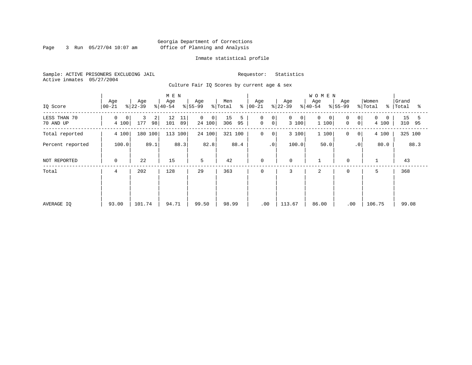Page 3 Run 05/27/04 10:07 am

#### Inmate statistical profile

Sample: ACTIVE PRISONERS EXCLUDING JAIL Requestor: Statistics Active inmates 05/27/2004

Culture Fair IQ Scores by current age & sex

|                           |                  |                                  | M E N                 |                                            |                            |                                                                 |                           | <b>WOMEN</b>           |                                            |                       |                      |
|---------------------------|------------------|----------------------------------|-----------------------|--------------------------------------------|----------------------------|-----------------------------------------------------------------|---------------------------|------------------------|--------------------------------------------|-----------------------|----------------------|
| IQ Score                  | Age<br>$00 - 21$ | Age<br>$ 22-39 $                 | Age<br>$ 40-54 $      | Age<br>$ 55-99 $                           | Men<br>$\frac{1}{2}$ Total | Age<br>$8   00 - 21$                                            | Age<br>$ 22-39 $          | Age<br>$ 40-54 $       | Age<br>$ 55-99$                            | Women<br>% Total<br>ႜ | Grand<br>Total<br>ႜ  |
| LESS THAN 70<br>70 AND UP | 0<br>0<br>4 100  | 3<br>$\overline{a}$<br>98<br>177 | 12<br>11<br>101<br>89 | $\overline{0}$<br>0 <sup>1</sup><br>24 100 | 15<br>5<br>95<br>306       | $\mathbf 0$<br>0 <sup>1</sup><br>$\mathsf{O}$<br>0 <sup>1</sup> | 0<br>$\mathbf 0$<br>3 100 | $\Omega$<br>0<br>1 100 | 0<br>0 <sup>1</sup><br>0<br>0 <sup>1</sup> | 0<br>0<br>4 100       | 15<br>5<br>95<br>310 |
| Total reported            | 4 100            | 180 100                          | 113 100               | 24 100                                     | 321 100                    | $\mathsf{O}$<br>0                                               | 3 100                     | 1 100                  | 0<br>0                                     | 4 100                 | 325 100              |
| Percent reported          | 100.0            | 89.1                             | 88.3                  | 82.8                                       | 88.4                       | .0 <sup>1</sup>                                                 | 100.0                     | 50.0                   | $\cdot$ 0                                  | 80.0                  | 88.3                 |
| NOT REPORTED              | 0                | 22                               | 15                    | 5                                          | 42                         | 0                                                               | 0                         | $\mathbf 1$            | $\mathbf 0$                                | $\mathbf{1}$          | 43                   |
| Total                     | 4                | 202                              | 128                   | 29                                         | 363                        | 0                                                               | 3                         | 2                      | 0                                          | 5                     | 368                  |
|                           |                  |                                  |                       |                                            |                            |                                                                 |                           |                        |                                            |                       |                      |
|                           |                  |                                  |                       |                                            |                            |                                                                 |                           |                        |                                            |                       |                      |
| AVERAGE IQ                | 93.00            | 101.74                           | 94.71                 | 99.50                                      | 98.99                      | .00                                                             | 113.67                    | 86.00                  | .00                                        | 106.75                | 99.08                |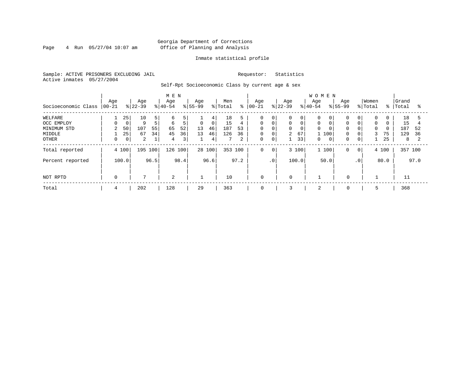#### Georgia Department of Corrections Page 4 Run 05/27/04 10:07 am Office of Planning and Analysis

#### Inmate statistical profile

Sample: ACTIVE PRISONERS EXCLUDING JAIL Requestor: Statistics Active inmates 05/27/2004

Self-Rpt Socioeconomic Class by current age & sex

| M E N               |                 |       |                  |                |                  |      |                  |                |                |      |                   |              |                  |       | <b>WOMEN</b>     |              |                    |                |                  |          |                |      |
|---------------------|-----------------|-------|------------------|----------------|------------------|------|------------------|----------------|----------------|------|-------------------|--------------|------------------|-------|------------------|--------------|--------------------|----------------|------------------|----------|----------------|------|
| Socioeconomic Class | Age<br>$ 00-21$ |       | Age<br>$ 22-39 $ |                | Age<br>$8 40-54$ |      | Age<br>$8 55-99$ |                | Men<br>% Total | နွ   | Age<br>$ 00 - 21$ |              | Age<br>$ 22-39 $ |       | Age<br>$8 40-54$ |              | Age<br>$8155 - 99$ |                | Women<br>% Total | % ၂      | Grand<br>Total | °≈   |
| WELFARE             |                 | 25    | 10               | 5              | 6                | 5    |                  | 4              | 18             |      | 0                 | 0            | 0                | 0     |                  |              |                    | 0              | 0                | 0        | 18             |      |
| OCC EMPLOY          |                 | 0     | 9                | 5 <sup>1</sup> | 6                | 5    | $\mathsf{O}$     | 0 <sup>1</sup> | 15             | 4    | $\mathbf 0$       | $\mathbf 0$  | 0                | 0     | $\mathbf 0$      |              | $\Omega$           | $\mathbf 0$    | $\mathbf 0$      | $\Omega$ | 15             |      |
| MINIMUM STD         | $\mathbf{2}$    | 50    | 107              | 55             | 65               | 52   | 13               | 46             | 187            | 53   | $\Omega$          | $\Omega$     | 0                |       | $\Omega$         |              | $\Omega$           | $\mathbf 0$    | $\mathbf 0$      | $\Omega$ | 187            | 52   |
| MIDDLE              |                 | 25    | 67               | 34             | 45               | 36   | 13               | 46             | 126            | 36   | 0                 | $\mathbf 0$  | $\overline{2}$   | 67    | 1 100            |              | 0                  |                | 3                | 75       | 129            | 36   |
| OTHER               |                 | 0     | 2                |                | 4                | 3    |                  | 4              |                | 2    | 0                 | 0            |                  | 33    | 0                | $\mathbf{0}$ | 0                  | 0              |                  | 25       | 8              |      |
| Total reported      |                 | 4 100 | 195 100          |                | 126 100          |      |                  | 28 100         | 353 100        |      | 0                 | $\mathbf{0}$ |                  | 3 100 | 1 100            |              | 0                  | 0 <sup>1</sup> |                  | 4 100    | 357 100        |      |
| Percent reported    |                 | 100.0 |                  | 96.5           |                  | 98.4 |                  | 96.6           |                | 97.2 |                   | $\cdot$ 0    |                  | 100.0 | 50.0             |              |                    | $\cdot$ 0      |                  | 80.0     |                | 97.0 |
| NOT RPTD            | 0               |       | 7                |                | 2                |      |                  |                | 10             |      | 0                 |              | $\mathbf 0$      |       |                  |              | $\mathbf 0$        |                |                  |          | 11             |      |
| Total               | 4               |       | 202              |                | 128              |      | 29               |                | 363            |      | 0                 |              | 3                |       | 2                |              | 0                  |                | 5                |          | 368            |      |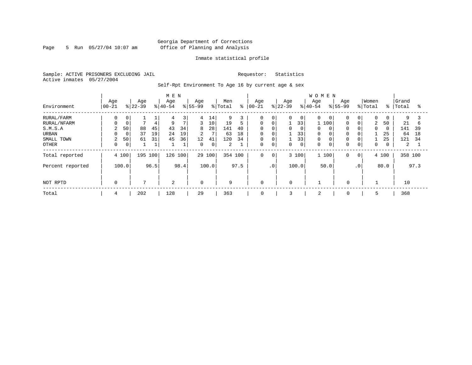Page 5 Run  $05/27/04$  10:07 am

#### Inmate statistical profile

Sample: ACTIVE PRISONERS EXCLUDING JAIL Requestor: Statistics Active inmates 05/27/2004

Self-Rpt Environment To Age 16 by current age & sex

|                  |                   |                     | M E N            |                         |                      |                  |                    | <b>WOMEN</b>      |                                        |                                    |
|------------------|-------------------|---------------------|------------------|-------------------------|----------------------|------------------|--------------------|-------------------|----------------------------------------|------------------------------------|
| Environment      | Age<br>$ 00 - 21$ | Age<br>$ 22-39 $    | Age<br>$ 40-54 $ | Age<br>$8 55-99$        | Men<br>နွ<br>% Total | Age<br>$00 - 21$ | Age<br>$ 22-39 $   | Age<br>$8 40-54$  | Women<br>Age<br>$8155 - 99$<br>% Total | Grand<br>$\approx$ 1<br>Total<br>ႜ |
| RURAL/FARM       | 0                 | 0                   | 3<br>4           | 4<br>14                 | 9                    | 0                | 0<br>$\Omega$      | $\Omega$<br>0     | $\mathbf 0$<br>$\overline{0}$          | $\mathbf 0$<br>9<br>0              |
| RURAL/NFARM      | 0<br>0            | 4                   | 7<br>9           | 3<br>10                 | 5<br>19              | $\Omega$         | 0                  | 33<br>100         | 0<br>0                                 | 50<br>21<br>2<br>b                 |
| S.M.S.A          | 50<br>2           | 88<br>45            | 43<br>34         | 28<br>8                 | 141<br>40            | 0                | $\mathbf 0$<br>0   | 0                 | $\mathbf 0$<br>0                       | 141<br>$\mathbf 0$<br>39<br>0      |
| URBAN            | 0<br>0            | 37<br>19            | 24<br>19         | $\overline{7}$<br>2     | 18<br>63             | 0                | $\mathbf 0$        | 33<br>$\mathbf 0$ | 0<br>0                                 | 25<br>64<br>18                     |
| SMALL TOWN       | 2<br>50           | 61<br>31            | 45<br>36         | 12<br>41                | 34<br>120            | 0                | 0                  | 33<br>$\mathbf 0$ | 0<br>0                                 | 25<br>121<br>34                    |
| OTHER            | 0                 | $\overline{0}$<br>⊥ |                  | $\mathbf 0$<br>$\Omega$ | 2                    | $\Omega$         | $\mathbf 0$<br>0   | $\mathbf 0$       | $\mathbf 0$<br>0                       | $\mathbf 0$<br>2<br>0              |
| Total reported   | 4 100             | 195 100             | 126<br>100       | 29 100                  | 354 100              | 0                | 3 100<br>0         | 1 100             | $\mathbf 0$<br>$\circ$                 | 358 100<br>4 100                   |
| Percent reported | 100.0             | 96.5                | 98.4             | 100.0                   | 97.5                 |                  | $\cdot$ 0<br>100.0 | 50.0              | .0 <sup>1</sup>                        | 97.3<br>80.0                       |
|                  |                   |                     |                  |                         |                      |                  |                    |                   |                                        |                                    |
| NOT RPTD         | $\mathbf 0$       | 7                   | 2                | $\Omega$                | 9                    | $\mathbf 0$      | $\mathbf 0$        |                   | 0                                      | 10                                 |
| Total            | 4                 | 202                 | 128              | 29                      | 363                  | 0                | 3                  | 2                 | 0                                      | 368                                |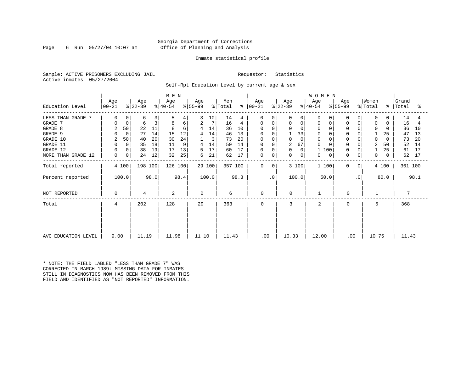Page 6 Run  $05/27/04$  10:07 am

#### Inmate statistical profile

Sample: ACTIVE PRISONERS EXCLUDING JAIL Requestor: Statistics Active inmates 05/27/2004

Self-Rpt Education Level by current age & sex

|                     |                    |             |                  |      | M E N            |      |                  |        |                |         |                |           |                  |             | <b>WOMEN</b>     |           |             |                |                  |          |                    |      |
|---------------------|--------------------|-------------|------------------|------|------------------|------|------------------|--------|----------------|---------|----------------|-----------|------------------|-------------|------------------|-----------|-------------|----------------|------------------|----------|--------------------|------|
| Education Level     | Age<br>$ 00 - 21 $ |             | Age<br>$ 22-39 $ |      | Age<br>$ 40-54 $ |      | Age<br>$ 55-99 $ |        | Men<br>% Total | ៖       | Age<br>  00-21 |           | Age<br>$ 22-39 $ |             | Age<br>$ 40-54 $ | $ 55-99 $ | Age         |                | Women<br>% Total |          | Grand<br>%   Total | ႜ    |
| LESS THAN GRADE 7   | 0                  | 0           | 6                | 3    | 5                | 4    | 3                | 10     | 14             |         | $\Omega$       | $\Omega$  | O                | 0           | <sup>0</sup>     |           | 0           |                | $\Omega$         | O        | 14                 | 4    |
| GRADE 7             | $\Omega$           | $\mathbf 0$ | 6                | 3    | 8                | 6    | 2                | 7      | 16             | 4       | 0              | 0         | 0                | 0           | 0                |           | 0           | 0              | 0                | 0        | 16                 | 4    |
| GRADE 8             | 2                  | 50          | 22               | 11   | 8                | 6    | 4                | 14     | 36             | 10      |                |           | $\Omega$         | 0           |                  |           |             |                | $\Omega$         | O        | 36                 | 10   |
| GRADE 9             | 0                  | $\mathbf 0$ | 27               | 14   | 15               | 12   | 4                | 14     | 46             | 13      |                |           |                  | 33          | $\Omega$         |           | 0           |                |                  | 25       | 47                 | 13   |
| GRADE 10            | 2                  | 50          | 40               | 20   | 30               | 24   |                  | 3      | 73             | 20      | 0              | $\Omega$  | 0                | $\mathbf 0$ | $\mathbf 0$      |           | $\mathbf 0$ | 0              | 0                | $\Omega$ | 73                 | 20   |
| GRADE 11            | 0                  | $\Omega$    | 35               | 18   | 11               | 9    | 4                | 14     | 50             | 14      | 0              |           | 2                | 67          |                  |           | $\mathbf 0$ |                | $\overline{2}$   | 50       | 52                 | 14   |
| GRADE 12            | 0                  | 0           | 38               | 19   | 17               | 13   | 5                | 17     | 60             | 17      | 0              | $\Omega$  | 0                | 0           | 100              |           | 0           |                |                  | 25       | 61                 | 17   |
| MORE THAN GRADE 12  | 0                  | 0           | 24               | 12   | 32               | 25   | 6                | 21     | 62             | 17      | 0              | 0         | 0                | 0           | 0                | 0         | $\mathbf 0$ | 0              | 0                | $\Omega$ | 62                 | 17   |
| Total reported      |                    | 4 100       | 198 100          |      | 126 100          |      |                  | 29 100 |                | 357 100 | $\Omega$       | 0         | 3 100            |             | 1 100            |           | $\Omega$    | 0 <sup>1</sup> |                  | 4 100    | 361 100            |      |
| Percent reported    |                    | 100.0       |                  | 98.0 |                  | 98.4 |                  | 100.0  |                | 98.3    |                | $\cdot$ 0 | 100.0            |             | 50.0             |           |             | $\cdot$ 0      |                  | 80.0     |                    | 98.1 |
| NOT REPORTED        | 0                  |             | 4                |      | 2                |      | $\Omega$         |        | 6              |         | $\mathbf 0$    |           | $\Omega$         |             |                  |           | 0           |                |                  |          |                    |      |
| Total               | 4                  |             | 202              |      | 128              |      | 29               |        | 363            |         | $\Omega$       |           | 3                |             | 2                |           | $\Omega$    |                | 5                |          | 368                |      |
|                     |                    |             |                  |      |                  |      |                  |        |                |         |                |           |                  |             |                  |           |             |                |                  |          |                    |      |
| AVG EDUCATION LEVEL | 9.00               |             | 11.19            |      | 11.98            |      | 11.10            |        | 11.43          |         | .00            |           | 10.33            |             | 12.00            |           | .00         |                | 10.75            |          | 11.43              |      |

\* NOTE: THE FIELD LABLED "LESS THAN GRADE 7" WAS CORRECTED IN MARCH 1989: MISSING DATA FOR INMATES STILL IN DIAGNOSTICS NOW HAS BEEN REMOVED FROM THIS FIELD AND IDENTIFIED AS "NOT REPORTED" INFORMATION.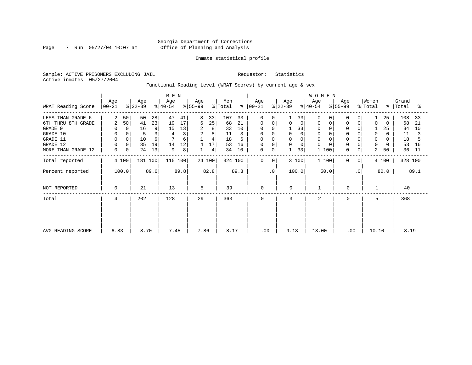Page 7 Run 05/27/04 10:07 am

#### Inmate statistical profile

Sample: ACTIVE PRISONERS EXCLUDING JAIL Requestor: Statistics Active inmates 05/27/2004

Functional Reading Level (WRAT Scores) by current age & sex

|                    |                  |                  | M E N            |                  |                |                      |                  | <b>WOMEN</b>     |                  |                                             |                      |
|--------------------|------------------|------------------|------------------|------------------|----------------|----------------------|------------------|------------------|------------------|---------------------------------------------|----------------------|
| WRAT Reading Score | Age<br>$ 00-21 $ | Age<br>$ 22-39 $ | Age<br>$ 40-54 $ | Age<br>$ 55-99 $ | Men<br>% Total | Age<br>$8   00 - 21$ | Age<br>$ 22-39 $ | Age<br>$ 40-54 $ | Age<br>$ 55-99 $ | Women<br>$\frac{1}{2}$ Total<br>$\approx$ 1 | Grand<br>Total<br>°≈ |
| LESS THAN GRADE 6  | 2<br>50          | 50               | 28<br>47<br>41   | 33<br>8          | 107<br>33      | 0<br>$\Omega$        | 33               | $\Omega$         |                  | 25                                          | 108<br>33            |
| 6TH THRU 8TH GRADE | 50<br>2          | 41               | 23<br>17<br>19   | 25<br>6          | 21<br>68       | 0<br>0               | 0<br>0           | 0                |                  | 0<br>$\Omega$                               | 68<br>-21            |
| GRADE 9            |                  | 0<br>16          | 9<br>13<br>15    | 2<br>8           | 33<br>10       | 0                    | 33               | 0                |                  | 25                                          | 34<br>10             |
| GRADE 10           | 0                | 0                | 3<br>3           | 2<br>8           | 11<br>3        | 0<br>$\Omega$        | $\Omega$         | $\mathbf 0$      |                  | 0<br>$\Omega$                               | 11                   |
| GRADE 11           | $\Omega$         | 10               | 6<br>6           | 4                | 18<br>6        | 0                    |                  | 0                |                  | 0                                           | 18                   |
| GRADE 12           |                  | 35<br>0          | 19<br>12<br>14   | 17<br>4          | 53<br>16       | 0<br>0               | 0<br>$\Omega$    | $\Omega$         |                  | 0                                           | 53<br>16             |
| MORE THAN GRADE 12 | 0                | 24<br>0          | 13<br>8<br>9     | 4                | 34<br>10       | 0<br>0               | 33               | 100<br>1         | 0<br>$\mathbf 0$ | 2<br>50                                     | 36<br>11             |
| Total reported     | 4 100            | 181 100          | 115 100          | 24 100           | 324 100        | 0<br>$\circ$         | 3 100            | 1 100            | $\Omega$<br>0    | 4 100                                       | 328 100              |
| Percent reported   | 100.0            | 89.6             | 89.8             | 82.8             | 89.3           | $\cdot$ 0            | 100.0            | 50.0             | $\cdot$ 0        | 80.0                                        | 89.1                 |
| NOT REPORTED       | 0                | 21               | 13               | 5                | 39             | 0                    | $\Omega$         |                  | $\mathbf 0$      |                                             | 40                   |
| Total              | 4                | 202              | 128              | 29               | 363            | 0                    | 3                | $\overline{2}$   | $\Omega$         | 5                                           | 368                  |
|                    |                  |                  |                  |                  |                |                      |                  |                  |                  |                                             |                      |
|                    |                  |                  |                  |                  |                |                      |                  |                  |                  |                                             |                      |
| AVG READING SCORE  | 6.83             | 8.70             | 7.45             | 7.86             | 8.17           | .00                  | 9.13             | 13.00            | .00              | 10.10                                       | 8.19                 |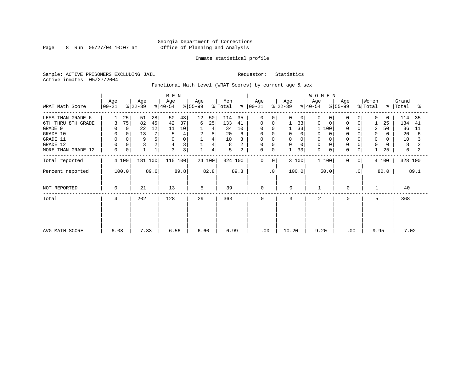Page 8 Run  $05/27/04$  10:07 am

#### Inmate statistical profile

Sample: ACTIVE PRISONERS EXCLUDING JAIL Requestor: Statistics Active inmates 05/27/2004

Functional Math Level (WRAT Scores) by current age & sex

|                    | Age       | Age       |         | M E N<br>Age |      | Age       |        | Men     |               | Age         |              | Age       |             | <b>WOMEN</b><br>Age |   | Age          |             | Women               |          | Grand     |      |
|--------------------|-----------|-----------|---------|--------------|------|-----------|--------|---------|---------------|-------------|--------------|-----------|-------------|---------------------|---|--------------|-------------|---------------------|----------|-----------|------|
| WRAT Math Score    | $00 - 21$ | $ 22-39 $ |         | $ 40-54 $    |      | $ 55-99 $ |        | % Total | $\frac{8}{6}$ | 00-21       |              | $ 22-39 $ |             | $ 40-54 $           |   | % 55-99      |             | $\frac{1}{2}$ Total |          | %   Total | ႜ    |
| LESS THAN GRADE 6  |           | 25<br>51  | 28      | 50           | 43   | 12        | 50     | 114     | 35            | $\Omega$    | $\Omega$     | 0         | $\Omega$    | 0                   |   |              | $\Omega$    | $\Omega$            | $\Omega$ | 114       | 35   |
| 6TH THRU 8TH GRADE | 3         | 75<br>82  | 45      | 42           | 37   | 6         | 25     | 133     | 41            | 0           | $\mathbf 0$  |           | 33          | 0                   | 0 |              | $\mathbf 0$ |                     | 25       | 134       | 41   |
| GRADE 9            |           | 0<br>22   | 12      | 11           | 10   |           | 4      | 34      | 10            | 0           |              |           | 33          | 100                 |   |              |             | 2                   | 50       | 36        | 11   |
| GRADE 10           | 0         | 13<br>0   |         | 5            |      | 2         | 8      | 20      | 6             | 0           |              |           | $\mathbf 0$ | 0                   |   |              |             | 0                   | 0        | 20        | 6    |
| GRADE 11           |           | 9         | 5       |              | 0    |           | 4      | 10      |               | $\mathbf 0$ |              |           | $\Omega$    | 0                   |   |              |             | $\Omega$            |          | 10        |      |
| GRADE 12           |           | 3         | 2       | 4            | 3    |           | 4      | 8       |               | $\mathbf 0$ | $\Omega$     | 0         | $\Omega$    | $\mathbf 0$         |   |              |             | 0                   |          | 8         |      |
| MORE THAN GRADE 12 | 0         | 0         |         | 3            | 3    |           | 4      | 5       | 2             | 0           | 0            |           | 33          | $\mathbf 0$         | 0 | $\mathbf 0$  | 0           |                     | 25       | 6         | 2    |
| Total reported     | 4 100     |           | 181 100 | 115 100      |      |           | 24 100 | 324 100 |               | $\mathbf 0$ | $\mathbf{0}$ | 3 100     |             | 1 100               |   | $\mathbf{0}$ | 0           |                     | 4 100    | 328 100   |      |
| Percent reported   | 100.0     |           | 89.6    |              | 89.8 |           | 82.8   |         | 89.3          |             | $\cdot$ 0    | 100.0     |             | 50.0                |   |              | $\cdot$ 0   |                     | 80.0     |           | 89.1 |
| NOT REPORTED       | $\Omega$  | 21        |         | 13           |      | 5         |        | 39      |               | 0           |              | $\Omega$  |             |                     |   | 0            |             |                     |          | 40        |      |
| Total              | 4         | 202       |         | 128          |      | 29        |        | 363     |               | 0           |              | 3         |             | 2                   |   | $\Omega$     |             | 5                   |          | 368       |      |
|                    |           |           |         |              |      |           |        |         |               |             |              |           |             |                     |   |              |             |                     |          |           |      |
|                    |           |           |         |              |      |           |        |         |               |             |              |           |             |                     |   |              |             |                     |          |           |      |
|                    |           |           |         |              |      |           |        |         |               |             |              |           |             |                     |   |              |             |                     |          |           |      |
| AVG MATH SCORE     | 6.08      | 7.33      |         | 6.56         |      | 6.60      |        | 6.99    |               | .00         |              | 10.20     |             | 9.20                |   | .00          |             | 9.95                |          | 7.02      |      |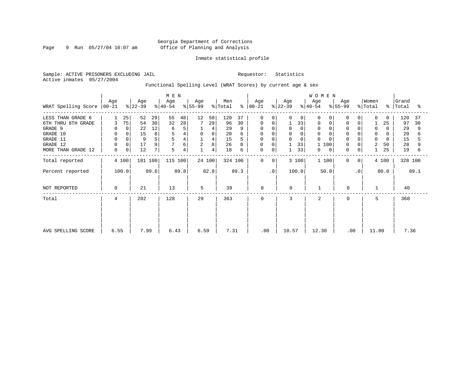Page 9 Run 05/27/04 10:07 am

#### Inmate statistical profile

Sample: ACTIVE PRISONERS EXCLUDING JAIL Requestor: Statistics Active inmates 05/27/2004

Functional Spelling Level (WRAT Scores) by current age & sex

|                     |                 |       |                  |      | M E N            |      |                  |             |                |      |                      |           |                  |             | WOMEN            |           |          |                |                              |       |                    |      |
|---------------------|-----------------|-------|------------------|------|------------------|------|------------------|-------------|----------------|------|----------------------|-----------|------------------|-------------|------------------|-----------|----------|----------------|------------------------------|-------|--------------------|------|
| WRAT Spelling Score | Age<br>$ 00-21$ |       | Age<br>$ 22-39 $ |      | Age<br>$8 40-54$ |      | Age<br>$8 55-99$ |             | Men<br>% Total |      | Age<br>$8   00 - 21$ |           | Age<br>$ 22-39 $ |             | Age<br>$ 40-54 $ | $ 55-99 $ | Age      |                | Women<br>$\frac{1}{2}$ Total |       | Grand<br>%   Total | ႜ    |
|                     |                 |       |                  |      |                  |      |                  |             |                |      |                      |           |                  |             |                  |           |          |                |                              |       |                    |      |
| LESS THAN GRADE 6   |                 | 25    | 52               | 29   | 55               | 48   | 12               | 50          | 120            | 37   | $\mathbf 0$          | 0         | $\Omega$         | $\mathbf 0$ | $\Omega$         | $\Omega$  | 0        | 0              | $\Omega$                     | 0     | 120                | 37   |
| 6TH THRU 8TH GRADE  | 3               | 75    | 54               | 30   | 32               | 28   |                  | 29          | 96             | 30   | 0                    | 0         |                  | 33          | 0                | 0         | 0        | 0              |                              | 25    | 97                 | 30   |
| GRADE 9             | $\Omega$        | 0     | 22               | 12   | 6                | 5    |                  | 4           | 29             |      | 0                    |           | 0                | 0           | 0                |           | $\Omega$ |                | 0                            |       | 29                 | 9    |
| GRADE 10            | 0               | 0     | 15               | 8    | 5                |      | $\mathbf 0$      | $\mathbf 0$ | 20             | 6    | 0                    |           | 0                |             | $\mathbf 0$      |           | 0        | 0              | 0                            | 0     | 20                 |      |
| GRADE 11            | $\mathbf 0$     |       | 9                | 5    |                  |      |                  | 4           | 15             |      |                      |           | $\Omega$         |             | $\Omega$         |           |          |                | 0                            | 0     | 15                 |      |
| GRADE 12            | $\mathbf 0$     | 0     | 17               | 9    |                  | б    | 2                | 8           | 26             |      | 0                    | 0         |                  | 33          | 100              |           | 0        |                | 2                            | 50    | 28                 |      |
| MORE THAN GRADE 12  | 0               | 0     | 12               | 7    | 5                | 4    |                  | 4           | 18             | 6    | 0                    | 0         | 1                | 33          | 0                | 0         | 0        | 0              |                              | 25    | 19                 | 6    |
| Total reported      |                 | 4 100 | 181 100          |      | 115 100          |      |                  | 24 100      | 324 100        |      | $\mathbf 0$          | 0         |                  | 3 100       | 1 100            |           | 0        | 0 <sup>1</sup> |                              | 4 100 | 328 100            |      |
| Percent reported    |                 | 100.0 |                  | 89.6 |                  | 89.8 |                  | 82.8        |                | 89.3 |                      | $\cdot$ 0 |                  | 100.0       | 50.0             |           |          | $\cdot$ 0      |                              | 80.0  |                    | 89.1 |
| NOT REPORTED        | 0               |       | 21               |      | 13               |      | 5                |             | 39             |      | $\mathbf 0$          |           | $\mathbf 0$      |             |                  |           | 0        |                |                              |       | 40                 |      |
| Total               | $4\overline{ }$ |       | 202              |      | 128              |      | 29               |             | 363            |      | $\mathbf 0$          |           | 3                |             | $\overline{a}$   |           | 0        |                | 5                            |       | 368                |      |
|                     |                 |       |                  |      |                  |      |                  |             |                |      |                      |           |                  |             |                  |           |          |                |                              |       |                    |      |
|                     |                 |       |                  |      |                  |      |                  |             |                |      |                      |           |                  |             |                  |           |          |                |                              |       |                    |      |
|                     |                 |       |                  |      |                  |      |                  |             |                |      |                      |           |                  |             |                  |           |          |                |                              |       |                    |      |
| AVG SPELLING SCORE  | 6.55            |       | 7.99             |      | 6.43             |      | 6.59             |             | 7.31           |      | .00                  |           | 10.57            |             | 12.30            |           | .00      |                | 11.00                        |       | 7.36               |      |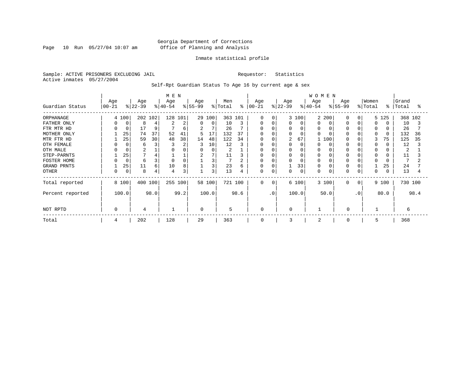Page 10 Run 05/27/04 10:07 am

#### Inmate statistical profile

Sample: ACTIVE PRISONERS EXCLUDING JAIL Requestor: Statistics Active inmates 05/27/2004

#### Self-Rpt Guardian Status To Age 16 by current age & sex

|                    |                  |             |                  |         | M E N            |      |                 |        |                |                |                      |           |                  |             | <b>WOMEN</b>     |          |                  |           |                  |          |                |         |
|--------------------|------------------|-------------|------------------|---------|------------------|------|-----------------|--------|----------------|----------------|----------------------|-----------|------------------|-------------|------------------|----------|------------------|-----------|------------------|----------|----------------|---------|
| Guardian Status    | Age<br>$00 - 21$ |             | Age<br>$ 22-39 $ |         | Age<br>$ 40-54 $ |      | Age<br>$ 55-99$ |        | Men<br>% Total |                | Age<br>$8   00 - 21$ |           | Age<br>$ 22-39 $ |             | Age<br>$ 40-54 $ |          | Age<br>$8 55-99$ |           | Women<br>% Total | °        | Grand<br>Total | °≈      |
| ORPHANAGE          |                  | 4 100       |                  | 202 102 | 128 101          |      |                 | 29 100 | 363 101        |                | $\Omega$             | $\Omega$  |                  | 3 100       | 2                | 200      | 0                | 0         | 5.               | 125      |                | 368 102 |
| FATHER ONLY        |                  | $\Omega$    | 8                |         | 2                | 2    | $\Omega$        | 0      | 10             | 3              | 0                    | $\Omega$  | 0                | 0           | O                | 0        |                  |           | $\Omega$         |          | 10             |         |
| FTR MTR HD         |                  |             | 17               | 9       |                  | 6    | 2               | 7      | 26             |                | $\Omega$             |           | 0                | 0           | <sup>0</sup>     | $\Omega$ |                  |           | 0                |          | 26             |         |
| MOTHER ONLY        |                  | 25          | 74               | 37      | 52               | 41   | 5               | 17     | 132            | 37             | $\Omega$             |           |                  | $\Omega$    |                  | C        |                  |           | O                | $\Omega$ | 132            | 36      |
| MTR FTR HD         |                  | 25          | 59               | 30      | 48               | 38   | 14              | 48     | 122            | 34             | 0                    |           | 2                | 67          |                  | 100      |                  |           | 3                | 75       | 125            | 35      |
| OTH FEMALE         |                  |             | 6                |         |                  | 2    |                 | 10     | 12             |                |                      |           |                  | 0           |                  | C        |                  |           | 0                |          | 12             |         |
| OTH MALE           |                  |             | $\overline{c}$   |         |                  |      |                 | 0      | 2              |                |                      |           |                  | $\Omega$    |                  | C        |                  |           | $\Omega$         |          | 2              |         |
| STEP-PARNTS        |                  | 25          |                  |         |                  |      | 2               | 7      | 11             |                | 0                    |           |                  | 0           | O                |          |                  |           | 0                |          | 11             |         |
| FOSTER HOME        |                  | $\mathbf 0$ | 6                |         | $\Omega$         |      |                 | 3      | 7              | $\overline{2}$ | $\Omega$             |           |                  | $\mathbf 0$ |                  | C        |                  |           |                  |          | 7              |         |
| <b>GRAND PRNTS</b> |                  | 25          | 11               | 6       | 10               | 8    |                 | 3      | 23             | 6              | 0                    |           |                  | 33          | 0                | 0        |                  |           |                  | 25       | 24             |         |
| <b>OTHER</b>       |                  | 0           | 8                |         |                  | 3    |                 | 3      | 13             | 4              | 0                    | 0         | 0                | 0           | 0                | 0        |                  |           | 0                |          | 13             |         |
| Total reported     |                  | 8 100       |                  | 400 100 | 255 100          |      |                 | 58 100 | 721 100        |                | $\Omega$             | $\Omega$  |                  | 6 100       |                  | 3 100    | 0                | $\Omega$  |                  | 9 100    | 730 100        |         |
| Percent reported   |                  | 100.0       |                  | 98.0    |                  | 99.2 |                 | 100.0  |                | 98.6           |                      | $\cdot$ 0 |                  | 100.0       |                  | 50.0     |                  | $\cdot$ 0 |                  | 80.0     |                | 98.4    |
| NOT RPTD           |                  |             | 4                |         |                  |      | $\Omega$        |        | 5              |                | $\Omega$             |           | U                |             |                  |          | $\Omega$         |           |                  |          | 6              |         |
| Total              | 4                |             | 202              |         | 128              |      | 29              |        | 363            |                | 0                    |           | 3                |             | $\overline{2}$   |          | $\Omega$         |           | 5                |          | 368            |         |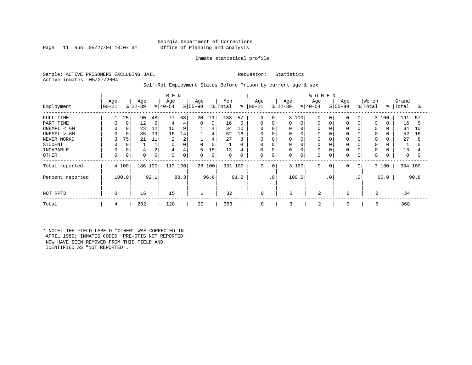#### Georgia Department of Corrections Page 11 Run 05/27/04 10:07 am Office of Planning and Analysis

#### Inmate statistical profile

Sample: ACTIVE PRISONERS EXCLUDING JAIL Requestor: Statistics Active inmates 05/27/2004

#### Self-Rpt Employment Status Before Prison by current age & sex

|                               |                  |                   |                  |          | M E N            |         |                   |                   |                |          |                   |           |                  |                         | <b>WOMEN</b>               |           |                      |                      |                  |       |                |          |
|-------------------------------|------------------|-------------------|------------------|----------|------------------|---------|-------------------|-------------------|----------------|----------|-------------------|-----------|------------------|-------------------------|----------------------------|-----------|----------------------|----------------------|------------------|-------|----------------|----------|
| Employment                    | Age<br>$ 00-21 $ |                   | Age<br>$8 22-39$ |          | Age<br>$ 40-54 $ |         | Age<br>$ 55-99$   |                   | Men<br>% Total | ႜ        | Age<br>$ 00 - 21$ |           | Age<br>$ 22-39 $ |                         | Age<br>$8 40-54$           |           | Age<br>$ 55-99 $     |                      | Women<br>% Total | ៖     | Grand<br>Total | °        |
| FULL TIME<br>PART TIME        |                  | 25<br>$\mathbf 0$ | 90<br>12         | 48<br>6  | 77<br>4          | 68<br>4 | 20<br>$\mathbf 0$ | 71<br>$\mathbf 0$ | 188<br>16      | 57<br>5  | $\mathbf 0$<br>0  | 0<br>0    | 0                | 3 100<br>$\mathbf 0$    | $\mathbf 0$<br>0           |           | $\Omega$<br>$\Omega$ | $\Omega$<br>$\Omega$ | $\Omega$         | 3 100 | 191<br>16      | 57<br>5  |
| UNEMPL < 6M<br>UNEMPL > 6M    |                  | 0                 | 23<br>35         | 12<br>19 | 10<br>16         | 9<br>14 |                   | 4<br>4            | 34<br>52       | 10<br>16 | $\Omega$<br>0     |           |                  | $\Omega$<br>0           | $\Omega$<br>$\Omega$       |           |                      |                      | $\Omega$         |       | 34<br>52       | 10<br>16 |
| NEVER WORKD<br><b>STUDENT</b> | 3                | 75                | 21               | 11       | 2<br>0           | 2       | 0                 | 4<br>0            | 27             | 8<br>0   | $\mathbf 0$<br>0  | 0         | 0                | $\Omega$<br>0           | 0<br>$\mathbf 0$           |           |                      |                      | 0<br>$\Omega$    |       | 27             | 8        |
| INCAPABLE<br><b>OTHER</b>     | $\Omega$         | 0                 | 4<br>$\mathbf 0$ | 2<br>0   | 4<br>$\Omega$    | 4<br>0  | 5<br>0            | 18<br>0           | 13<br>0        | 4<br>0   | $\Omega$<br>0     | 0         | 0<br>0           | $\Omega$<br>$\mathbf 0$ | $\mathbf 0$<br>$\mathbf 0$ |           | $\Omega$<br>$\Omega$ | $\mathbf 0$          | $\Omega$<br>0    |       | 13<br>0        | 0        |
| Total reported                |                  | 4 100             | 186 100          |          | 113 100          |         |                   | 28 100            | 331            | 100      | $\mathbf 0$       | 0         |                  | 3 100                   | $\mathbf{0}$               | 0         | 0                    | 0                    |                  | 3 100 | 334 100        |          |
| Percent reported              |                  | 100.0             |                  | 92.1     |                  | 88.3    |                   | 96.6              |                | 91.2     |                   | $\cdot$ 0 |                  | 100.0                   |                            | $\cdot$ 0 |                      | $\cdot$ 0            |                  | 60.0  |                | 90.8     |
| NOT RPTD                      | $\Omega$         |                   | 16               |          | 15               |         |                   |                   | 32             |          | $\mathbf 0$       |           | $\Omega$         |                         | $\overline{2}$             |           | $\mathbf 0$          |                      | 2                |       | 34             |          |
| Total                         | 4                |                   | 202              |          | 128              |         | 29                |                   | 363            |          | 0                 |           | 3                |                         | 2                          |           | $\mathbf 0$          |                      | 5                |       | 368            |          |

\* NOTE: THE FIELD LABELD "OTHER" WAS CORRECTED IN APRIL 1989; INMATES CODED "PRE-OTIS NOT REPORTED" NOW HAVE BEEN REMOVED FROM THIS FIELD AND IDENTIFIED AS "NOT REPORTED".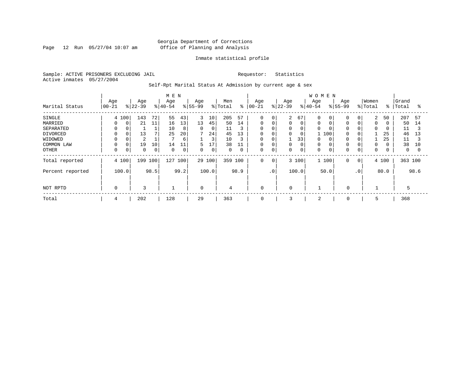Page 12 Run 05/27/04 10:07 am

#### Inmate statistical profile

Sample: ACTIVE PRISONERS EXCLUDING JAIL Requestor: Statistics Active inmates 05/27/2004

Self-Rpt Marital Status At Admission by current age & sex

|                  |           |          |                |      | M E N     |      |             |                 |             |      |             |           |             |       | <b>WOMEN</b> |       |                   |              |          |       |         |          |
|------------------|-----------|----------|----------------|------|-----------|------|-------------|-----------------|-------------|------|-------------|-----------|-------------|-------|--------------|-------|-------------------|--------------|----------|-------|---------|----------|
|                  | Age       |          | Age            |      | Age       |      | Age         |                 | Men         |      | Age         |           | Age         |       | Age          |       | Age               |              | Women    |       | Grand   |          |
| Marital Status   | $00 - 21$ |          | $ 22-39$       |      | $ 40-54 $ |      | $8 55-99$   |                 | % Total     | ွေ   | $ 00 - 21$  |           | $ 22-39 $   |       | $8 40-54$    |       | $\frac{8}{55-99}$ |              | % Total  | ွေ    | Total   | °        |
| SINGLE           |           | 4 100    | 143            | 72   | 55        | 43   | 3           | 10 <sub>1</sub> | 205         | 57   | $\mathbf 0$ | 0         | 2           | 67    | $\Omega$     | 0     |                   | 0            | 2        | 50    | 207     | 57       |
| MARRIED          | $\Omega$  | $\Omega$ | 21             | 11   | 16        | 13   | 13          | 45              | 50          | 14   | 0           | 0         |             | 0     | 0            |       | $\Omega$          |              | 0        |       | 50      | 14       |
| SEPARATED        |           |          |                |      | 10        | 8    | 0           | 0               | 11          | 3    | 0           |           | 0           | 0     | 0            |       | $\Omega$          |              | $\Omega$ |       | 11      |          |
| DIVORCED         |           | 0        | 13             |      | 25        | 20   | 7           | 24              | 45          | 13   | 0           | 0         | $\Omega$    | 0     |              | 100   | $\Omega$          |              |          | 25    | 46      | 13       |
| WIDOWED          |           |          | $\overline{2}$ |      |           | 6    |             | 3               | 10          | 3    | 0           |           |             | 33    | 0            |       |                   |              |          | 25    | 11      |          |
| COMMON LAW       |           |          | 19             | 10   | 14        | 11   | 5           | 17              | 38          | 11   | $\mathbf 0$ |           |             | 0     | 0            |       |                   | 0            | $\Omega$ |       | 38      | 10       |
| OTHER            | $\Omega$  | 0        | 0              | 0    | $\Omega$  | 0    | 0           | 0               | $\mathbf 0$ | 0    | 0           | 0         | 0           | 0     | 0            |       | $\Omega$          | 0            | 0        |       | 0       | $\Omega$ |
| Total reported   |           | 4 100    | 199 100        |      | 127       | 100  | 29 100      |                 | 359         | 100  | 0           | 0         |             | 3 100 |              | 1 100 | $\Omega$          | $\mathbf{0}$ |          | 4 100 | 363 100 |          |
| Percent reported |           | 100.0    |                | 98.5 |           | 99.2 |             | 100.0           |             | 98.9 |             | $\cdot$ 0 |             | 100.0 |              | 50.0  |                   | $\cdot$ 0    |          | 80.0  |         | 98.6     |
|                  |           |          |                |      |           |      |             |                 |             |      |             |           |             |       |              |       |                   |              |          |       |         |          |
| NOT RPTD         | $\Omega$  |          | 3              |      |           |      | $\mathbf 0$ |                 | 4           |      | 0           |           | $\mathbf 0$ |       |              |       | $\mathbf 0$       |              |          |       | 5       |          |
| Total            | 4         |          | 202            |      | 128       |      | 29          |                 | 363         |      | 0           |           | 3           |       | 2            |       | 0                 |              | 5        |       | 368     |          |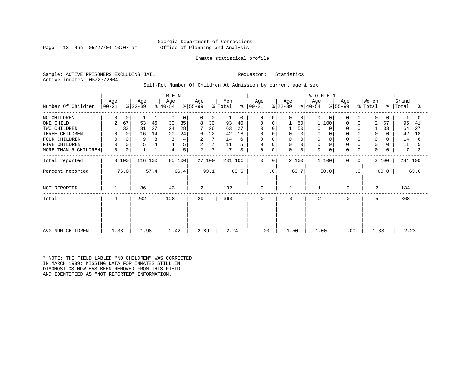#### Georgia Department of Corrections Page 13 Run 05/27/04 10:07 am Office of Planning and Analysis

#### Inmate statistical profile

Sample: ACTIVE PRISONERS EXCLUDING JAIL Requestor: Statistics Active inmates 05/27/2004

#### Self-Rpt Number Of Children At Admission by current age & sex

| M E N                |                    |             |                  |      |                  |        |                  |        |                            |               |                    |             |                  |             | WOMEN            |             |          |                |                  |           |                |      |
|----------------------|--------------------|-------------|------------------|------|------------------|--------|------------------|--------|----------------------------|---------------|--------------------|-------------|------------------|-------------|------------------|-------------|----------|----------------|------------------|-----------|----------------|------|
| Number Of Children   | Age<br>$ 00 - 21 $ |             | Age<br>$ 22-39 $ |      | Age<br>$ 40-54 $ |        | Age<br>$ 55-99 $ |        | Men<br>$\frac{1}{2}$ Total | $\frac{6}{6}$ | Age<br>$ 00 - 21 $ |             | Age<br>$ 22-39 $ |             | Age<br>$ 40-54 $ | $ 55-99 $   | Age      |                | Women<br>% Total | $\approx$ | Grand<br>Total | °    |
| NO CHILDREN          | $\Omega$           | 0           |                  |      | $\Omega$         | 0      | $\Omega$         | 0      |                            | $\Omega$      | $\Omega$           | $\Omega$    | 0                | $\Omega$    | $\Omega$         | $\Omega$    | $\Omega$ | $\Omega$       | $\mathbf 0$      | $\Omega$  |                | 0    |
| ONE CHILD            | 2                  | 67          | 53               | 46   | 30               | 35     | 8                | 30     | 93                         | 40            | 0                  | $\Omega$    |                  | 50          | 100<br>1         |             | $\Omega$ | $\Omega$       | $\overline{2}$   | 67        | 95             | 41   |
| TWO CHILDREN         |                    | 33          | 31               | 27   | 24               | 28     |                  | 26     | 63                         | 27            |                    |             |                  | 50          | $\Omega$         | $\Omega$    |          |                |                  | 33        | 64             | 27   |
| THREE CHILDREN       | 0                  | $\mathbf 0$ | 16               | 14   | 20               | 24     | 6                | 22     | 42                         | 18            | 0                  | 0           | 0                | $\Omega$    | 0                | 0           | $\Omega$ |                | $\mathbf 0$      |           | 42             | 18   |
| FOUR CHILDREN        | 0                  |             | 9                | 8    | 3                | 4      | 2                | 7      | 14                         | 6             | 0                  | 0           | 0                |             | $\mathbf 0$      |             |          |                | $\Omega$         |           | 14             | 6    |
| FIVE CHILDREN        | $\mathbf 0$        | 0           | 5                | 4    |                  | 5      | 2                | 7      | 11                         |               | 0                  | $\Omega$    | 0                | $\Omega$    | 0                |             | $\Omega$ |                | 0                |           | 11             |      |
| MORE THAN 5 CHILDREN | 0                  | 0           |                  |      | 4                | 5      | 2                | 7      | $7\phantom{.0}$            | 3             | 0                  | $\mathbf 0$ | 0                | $\mathbf 0$ | 0                | $\mathbf 0$ | $\Omega$ | 0              | $\mathbf 0$      |           | 7              | 3    |
| Total reported       |                    | 3 100       | 116 100          |      |                  | 85 100 |                  | 27 100 |                            | 231 100       | 0                  | 0           | 2 100            |             | 1 100            |             | $\Omega$ | $\overline{0}$ |                  | 3 100     | 234 100        |      |
| Percent reported     |                    | 75.0        |                  | 57.4 |                  | 66.4   |                  | 93.1   |                            | 63.6          |                    | . 0         |                  | 66.7        | 50.0             |             |          | $\cdot$ 0      |                  | 60.0      |                | 63.6 |
| NOT REPORTED         |                    |             | 86               |      | 43               |        | 2                |        | 132                        |               | 0                  |             |                  |             |                  |             | 0        |                | 2                |           | 134            |      |
| Total                | 4                  |             | 202              |      | 128              |        | 29               |        | 363                        |               | 0                  |             | 3                |             | $\overline{2}$   |             | $\Omega$ |                | 5                |           | 368            |      |
|                      |                    |             |                  |      |                  |        |                  |        |                            |               |                    |             |                  |             |                  |             |          |                |                  |           |                |      |
|                      |                    |             |                  |      |                  |        |                  |        |                            |               |                    |             |                  |             |                  |             |          |                |                  |           |                |      |
| AVG NUM CHILDREN     | 1.33               |             | 1.98             |      | 2.42             |        | 2.89             |        | 2.24                       |               | .00.               |             | 1.50             |             | 1.00             |             | .00      |                | 1.33             |           | 2.23           |      |

\* NOTE: THE FIELD LABLED "NO CHILDREN" WAS CORRECTED IN MARCH 1989: MISSING DATA FOR INMATES STILL IN DIAGNOSTICS NOW HAS BEEN REMOVED FROM THIS FIELD AND IDENTIFIED AS "NOT REPORTED" INFORMATION.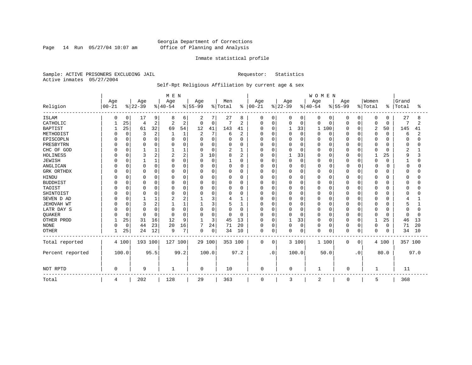Page 14 Run 05/27/04 10:07 am

#### Inmate statistical profile

Sample: ACTIVE PRISONERS EXCLUDING JAIL Requestor: Statistics Active inmates 05/27/2004

### Self-Rpt Religious Affiliation by current age & sex

|                  |            |             |          |                | M E N          |          |                |          |          |              |               |             |          |              | <b>WOMEN</b> |             |          |              |          |          |                |      |
|------------------|------------|-------------|----------|----------------|----------------|----------|----------------|----------|----------|--------------|---------------|-------------|----------|--------------|--------------|-------------|----------|--------------|----------|----------|----------------|------|
|                  | Age        |             | Age      |                | Age            |          | Age            |          | Men      |              | Age           |             | Age      |              | Age          |             | Age      |              | Women    |          | Grand          |      |
| Religion         | $ 00 - 21$ |             | $ 22-39$ |                | $8 40-54$      |          | $8 55-99$      |          | % Total  |              | $8   00 - 21$ |             | $ 22-39$ |              | $ 40-54$     |             | $ 55-99$ |              | % Total  | ႜ        | Total          | °    |
| <b>ISLAM</b>     | O          | 0           | 17       | 9              | 8              | 6        | 2              |          | 27       | 8            | 0             | 0           |          | 0            | 0            | 0           | 0        | 0            | 0        | 0        | 27             | 8    |
| CATHOLIC         |            | 25          | 4        | $\overline{2}$ | $\overline{c}$ | 2        | 0              | 0        | 7        | 2            | $\Omega$      | $\mathbf 0$ | 0        | $\mathbf 0$  | 0            | $\Omega$    | 0        | 0            | 0        | 0        | 7              | 2    |
| <b>BAPTIST</b>   |            | 25          | 61       | 32             | 69             | 54       | 12             | 41       | 143      | 41           | $\Omega$      | $\mathbf 0$ |          | 33           | 1            | 100         | O        | $\Omega$     | 2        | 50       | 145            | 41   |
| METHODIST        |            | $\Omega$    | 3        | 2              |                | 1        | $\overline{2}$ | 7        | 6        | 2            |               | $\Omega$    | n        | $\Omega$     | 0            | $\Omega$    | 0        | $\Omega$     | $\Omega$ | $\Omega$ | 6              |      |
| EPISCOPLN        |            | $\Omega$    | $\Omega$ | $\mathbf 0$    |                | $\Omega$ | 0              | $\Omega$ |          | 0            | $\Omega$      | $\mathbf 0$ |          | $\Omega$     | O            | 0           | 0        | 0            | 0        | 0        | $\Omega$       |      |
| PRESBYTRN        |            | O           | n        | $\Omega$       |                | 0        | 0              | 0        | O        | 0            | 0             | $\Omega$    |          | 0            | Ω            | $\Omega$    | 0        | $\Omega$     | 0        | 0        | 0              |      |
| CHC OF GOD       |            | $\cap$      |          |                |                |          | $\Omega$       | 0        | 2        | $\mathbf{1}$ | $\Omega$      | $\Omega$    | 0        | $\Omega$     | 0            | $\Omega$    | 0        | $\Omega$     | 0        | 0        | $\overline{c}$ |      |
| HOLINESS         |            |             | 3        | $\overline{c}$ | 2              | 2        | 3              | 10       | 8        | 2            | <sup>0</sup>  | $\Omega$    |          | 33           | N            | $\cap$      | 0        | $\Omega$     |          | 25       | 9              |      |
| <b>JEWISH</b>    |            |             |          |                | ∩              | $\Omega$ | $\Omega$       | $\Omega$ | 1        | 0            | <sup>0</sup>  | $\mathbf 0$ | $\Omega$ | $\mathbf 0$  | $\Omega$     | $\Omega$    | O        | $\Omega$     | 0        | $\Omega$ |                | ∩    |
| ANGLICAN         |            | $\Omega$    | $\Omega$ | $\Omega$       | O              | O        | <sup>0</sup>   | 0        | 0        | 0            | $\Omega$      | $\Omega$    | O        | 0            | U            | $\Omega$    | O        | <sup>0</sup> | $\Omega$ | O        | $\Omega$       |      |
| GRK ORTHDX       |            | 0           | 0        | 0              | $\Omega$       | 0        | 0              | 0        | 0        | 0            | 0             | $\mathbf 0$ |          | $\mathbf 0$  | 0            | 0           | 0        | $\Omega$     | 0        | 0        | <sup>0</sup>   |      |
| <b>HINDU</b>     |            |             | $\Omega$ |                |                | 0        | 0              | 0        | 0        | 0            | 0             | 0           |          | $\mathbf 0$  | N            | $\Omega$    | Ω        | 0            | 0        | O        | <sup>0</sup>   |      |
| <b>BUDDHIST</b>  |            |             | $\Omega$ | $\Omega$       |                | $\Omega$ | $\Omega$       | 0        | 0        | 0            | $\Omega$      | $\Omega$    |          | $\Omega$     |              | $\Omega$    | O        | $\Omega$     | 0        | O        | $\Omega$       |      |
| TAOIST           |            |             | $\Omega$ |                |                | O        | 0              | 0        | 0        | 0            | 0             | $\Omega$    |          | $\Omega$     |              | $\Omega$    | 0        | $\Omega$     | 0        | 0        | <sup>0</sup>   |      |
| SHINTOIST        |            |             | $\cap$   | ∩              | O              | U        | $\Omega$       | O        | O        | 0            | <sup>0</sup>  | $\Omega$    | ∩        | $\Omega$     | N            | $\cap$      | O        | $\Omega$     | O        | $\Omega$ | n              |      |
| SEVEN D AD       |            |             |          |                |                | 2        |                | 3        | 4        |              | $\Omega$      | $\Omega$    | $\cap$   | $\Omega$     | $\Omega$     | $\cap$      | O        | $\Omega$     | $\Omega$ | $\Omega$ |                |      |
| JEHOVAH WT       |            | $\cap$      | 3        |                |                |          |                | 3        | 5        |              | $\Omega$      | 0           |          | 0            | O            | 0           | 0        | $\Omega$     | $\Omega$ | 0        |                |      |
| LATR DAY S       |            | O           | $\cap$   | $\Omega$       | C              | 0        | $\Omega$       | $\Omega$ | 0        | 0            | $\Omega$      | $\Omega$    |          | $\Omega$     | Ω            | $\Omega$    | 0        | $\Omega$     | $\Omega$ | 0        | $\Omega$       |      |
| QUAKER           |            | $\Omega$    | $\cap$   | $\Omega$       | $\Omega$       | 0        | $\Omega$       | 0        | $\Omega$ | 0            | <sup>0</sup>  | $\mathbf 0$ | 0        | $\Omega$     | O            | $\Omega$    | 0        | 0            | 0        | 0        | $\Omega$       |      |
| OTHER PROD       |            | 25          | 31       | 16             | 12             | 9        | 1              | 3        | 45       | 13           | $\Omega$      | 0           |          | 33           | O            | $\Omega$    | 0        | $\Omega$     | 1        | 25       | 46             | 13   |
| <b>NONE</b>      | $\Omega$   | $\mathbf 0$ | 44       | 23             | 20             | 16       | 7              | 24       | 71       | 20           | $\Omega$      | 0           | $\Omega$ | $\mathbf{0}$ | 0            | $\mathbf 0$ | 0        | 0            | 0        | 0        | 71             | 20   |
| <b>OTHER</b>     |            | 25          | 24       | 12             | 9              | 7        | $\Omega$       | 0        | 34       | 10           | $\mathbf 0$   | 0           | 0        | 0            | $\Omega$     | $\mathbf 0$ | 0        | $\mathbf 0$  | 0        | 0        | 34             | 10   |
| Total reported   |            | 4 100       | 193 100  |                | 127 100        |          | 29 100         |          | 353 100  |              | $\Omega$      | 0           |          | 3 100        |              | 1 100       | 0        | 0            |          | 4 100    | 357 100        |      |
| Percent reported |            | 100.0       |          | 95.5           |                | 99.2     |                | 100.0    |          | 97.2         |               | $\cdot$ 0   |          | 100.0        |              | 50.0        |          | $\cdot$ 0    |          | 80.0     |                | 97.0 |
| NOT RPTD         | $\Omega$   |             | 9        |                | 1              |          | $\Omega$       |          | 10       |              | $\mathbf 0$   |             | 0        |              | 1            |             | 0        |              | -1       |          | 11             |      |
| Total            | 4          |             | 202      |                | 128            |          | 29             |          | 363      |              | 0             |             | 3        |              | 2            |             | 0        |              | 5        |          | 368            |      |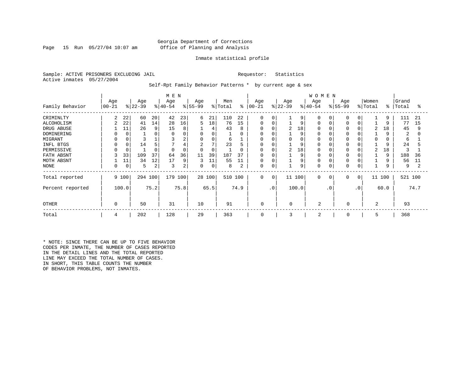#### Georgia Department of Corrections Page 15 Run 05/27/04 10:07 am Office of Planning and Analysis

#### Inmate statistical profile

Sample: ACTIVE PRISONERS EXCLUDING JAIL **Requestor:** Statistics Active inmates 05/27/2004

Self-Rpt Family Behavior Patterns \* by current age & sex

|                  |                |       |           |      | M E N     |          |          |          |         |      |             |                 |           |       | <b>WOMEN</b>   |           |             |           |                |           |         |                |
|------------------|----------------|-------|-----------|------|-----------|----------|----------|----------|---------|------|-------------|-----------------|-----------|-------|----------------|-----------|-------------|-----------|----------------|-----------|---------|----------------|
|                  | Age            |       | Age       |      | Age       |          | Age      |          | Men     |      | Age         |                 | Age       |       | Age            |           | Age         |           | Women          |           | Grand   |                |
| Family Behavior  | $00 - 21$      |       | $ 22-39 $ |      | $ 40-54 $ |          | $ 55-99$ |          | % Total | ៖    | $ 00-21 $   |                 | $ 22-39 $ |       | $ 40-54$       |           | $ 55-99$    |           | % Total        | $\approx$ | Total   | °              |
| CRIMINLTY        | 2              | 22    | 60        | 20   | 42        | 23       | 6        | 21       | 110     | 22   | $\mathbf 0$ | $\Omega$        |           | 9     | $\Omega$       |           |             | $\Omega$  |                | 9         | 111     | 21             |
| ALCOHOLISM       | $\overline{a}$ | 22    | 41        | 14   | 28        | 16       | 5        | 18       | 76      | 15   | $\Omega$    | $\Omega$        |           | 9     | 0              |           |             |           |                | 9         | 77      | 15             |
| DRUG ABUSE       |                | 11    | 26        | 9    | 15        | 8        |          | 4        | 43      | 8    | $\Omega$    |                 | 2         | 18    |                |           |             |           | $\overline{c}$ | 18        | 45      | 9              |
| DOMINERING       |                |       |           |      | $\Omega$  |          | 0        | 0        |         | O    | $\Omega$    |                 |           | 9     |                |           |             |           |                |           | 2       |                |
| MIGRANT          |                |       |           |      |           | 2        | 0        | 0        | 6       |      | 0           |                 |           | 0     | 0              |           |             |           | 0              |           | 6       |                |
| INFL BTGS        |                |       | 14        |      |           |          | 2        | 7        | 23      | 5    | 0           |                 |           | 9     | 0              |           |             |           |                |           | 24      |                |
| PERMISSIVE       |                |       |           |      | $\Omega$  | $\Omega$ | $\Omega$ | $\Omega$ |         | 0    | 0           | $\Omega$        | 2         | 18    | 0              |           |             |           | $\overline{2}$ | 18        |         |                |
| FATH ABSNT       |                | 33    | 109       | 37   | 64        | 36       | 11       | 39       | 187     | 37   | $\Omega$    |                 |           | 9     | $\Omega$       |           |             |           |                | 9         | 188     | 36             |
| MOTH ABSNT       |                | 11    | 34        | 12   | 17        | 9        | 3        | 11       | 55      | 11   | 0           |                 |           | 9     | 0              |           |             |           |                | 9         | 56      | 11             |
| NONE             | $\Omega$       | 0     | 5         | 2    | 3         | 2        | 0        | 0        | 8       | 2    | 0           |                 |           | 9     | $\Omega$       |           | $\Omega$    |           |                |           | 9       | $\overline{c}$ |
| Total reported   |                | 9 100 | 294 100   |      | 179       | 100      |          | 28 100   | 510 100 |      | $\mathbf 0$ | 0               | 11 100    |       | $\mathbf 0$    | 0         | 0           | 0         | 11             | 100       | 521 100 |                |
| Percent reported |                | 100.0 |           | 75.2 |           | 75.8     |          | 65.5     |         | 74.9 |             | .0 <sup>°</sup> |           | 100.0 |                | $\cdot$ 0 |             | $\cdot$ 0 |                | 60.0      |         | 74.7           |
| <b>OTHER</b>     | $\Omega$       |       | 50        |      | 31        |          | 10       |          | 91      |      | 0           |                 | $\Omega$  |       | $\overline{2}$ |           | $\Omega$    |           | 2              |           | 93      |                |
| Total            | 4              |       | 202       |      | 128       |          | 29       |          | 363     |      | $\mathbf 0$ |                 | 3         |       | 2              |           | $\mathbf 0$ |           | 5              |           | 368     |                |

\* NOTE: SINCE THERE CAN BE UP TO FIVE BEHAVIOR CODES PER INMATE, THE NUMBER OF CASES REPORTED IN THE DETAIL LINES AND THE TOTAL REPORTED LINE MAY EXCEED THE TOTAL NUMBER OF CASES. IN SHORT, THIS TABLE COUNTS THE NUMBER OF BEHAVIOR PROBLEMS, NOT INMATES.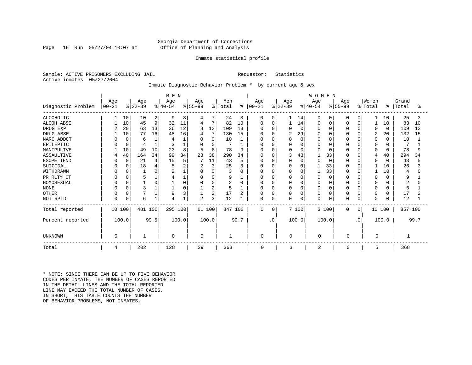#### Georgia Department of Corrections Page 16 Run 05/27/04 10:07 am Office of Planning and Analysis

#### Inmate statistical profile

Sample: ACTIVE PRISONERS EXCLUDING JAIL **Requestor:** Statistics Active inmates 05/27/2004

#### Inmate Diagnostic Behavior Problem \* by current age & sex

|                    |            |          |           |      | M E N     |        |                |                |         |      |               |           |              |             | WOMEN     |             |              |              |          |          |         |      |
|--------------------|------------|----------|-----------|------|-----------|--------|----------------|----------------|---------|------|---------------|-----------|--------------|-------------|-----------|-------------|--------------|--------------|----------|----------|---------|------|
|                    | Age        |          | Age       |      | Age       |        | Age            |                | Men     |      | Age           |           | Age          |             | Age       |             | Age          |              | Women    |          | Grand   |      |
| Diagnostic Problem | $ 00 - 21$ |          | $ 22-39 $ |      | $ 40-54 $ |        | $ 55-99$       |                | % Total |      | $8   00 - 21$ |           | $ 22-39 $    |             | $ 40-54 $ |             | $ 55-99 $    |              | % Total  | ႜ        | Total   | °≈   |
| <b>ALCOHOLIC</b>   |            | 10       | 10        | 2    | 9         | 3      | 4              |                | 24      | 3    | 0             | 0         |              | 14          | $\Omega$  | 0           | 0            | 0            | 1        | 10       | 25      | -3   |
| <b>ALCOH ABSE</b>  |            | 10       | 45        | 9    | 32        | 11     | 4              | 7              | 82      | 10   | $\Omega$      | 0         |              | 14          | O         | 0           |              | $\Omega$     |          | 10       | 83      | 10   |
| DRUG EXP           | 2          | 20       | 63        | 13   | 36        | 12     | 8              | 13             | 109     | 13   | 0             | O         |              | $\mathbf 0$ |           | $\Omega$    |              | $\Omega$     | 0        | $\Omega$ | 109     | 13   |
| DRUG ABSE          |            | 10       | 77        | 16   | 48        | 16     | 4              |                | 130     | 15   | O             | O         | 2            | 29          |           | $\Omega$    |              | $\Omega$     | 2        | 20       | 132     | 15   |
| NARC ADDCT         |            | $\Omega$ | 6         |      |           |        | $\Omega$       | $\Omega$       | 10      |      | 0             | O         |              | $\Omega$    |           | $\Omega$    |              | $\Omega$     | 0        | $\Omega$ | 10      |      |
| EPILEPTIC          |            | $\Omega$ |           |      | 3         |        | $\Omega$       | $\Omega$       |         |      | 0             | O         |              | $\Omega$    |           | $\Omega$    |              | $\Omega$     | 0        | O        |         |      |
| MANIPULTVE         |            | 10       | 49        | 10   | 23        | 8      | 5              | 8              | 78      | 9    |               | O         |              | $\Omega$    |           | $\Omega$    |              | $\Omega$     | 0        | $\Omega$ | 78      |      |
| ASSAULTIVE         |            | 40       | 164       | 34   | 99        | 34     | 23             | 38             | 290     | 34   | $\Omega$      | $\Omega$  |              | 43          |           | 33          | $\Omega$     | $\Omega$     | 4        | 40       | 294     | 34   |
| ESCPE TEND         |            | $\Omega$ | 21        |      | 15        | 5      |                | 11             | 43      | 5    | 0             | 0         |              | 0           |           | $\Omega$    | 0            | $\cap$       | 0        | $\Omega$ | 43      |      |
| SUICIDAL           |            |          | 18        |      |           |        | $\overline{2}$ | 3 <sub>1</sub> | 25      | 3    | O             | O         |              | $\mathbf 0$ |           | 33          |              | $\Omega$     |          | 10       | 26      |      |
| WITHDRAWN          |            |          |           |      |           |        | $\Omega$       | $\Omega$       | 3       | O    | <sup>0</sup>  | U         |              | $\Omega$    |           | 33          |              | $\Omega$     |          | 10       |         |      |
| PR RLTY CT         |            |          |           |      |           |        | 0              | $\Omega$       | 9       |      | 0             | 0         |              | 0           |           | 0           | $\Omega$     | <sup>0</sup> | 0        | $\Omega$ | 9       |      |
| HOMOSEXUAL         |            | $\Omega$ |           |      |           | $\cap$ | $\Omega$       | 0              | 2       | O    | <sup>0</sup>  | 0         |              | $\Omega$    |           | $\Omega$    | $\Omega$     | $\cap$       | $\Omega$ | U        |         |      |
| <b>NONE</b>        |            |          | 3         |      |           |        |                | 2              | 5       |      | 0             | 0         |              | $\Omega$    | $\Omega$  | $\Omega$    | $\Omega$     | $\Omega$     | $\Omega$ | 0        | 5       |      |
| <b>OTHER</b>       |            |          |           |      | 9         |        |                | 2              | 17      | 2    | 0             | 0         | <sup>0</sup> | 0           |           | $\mathbf 0$ | <sup>0</sup> | $\Omega$     | 0        | $\Omega$ | 17      |      |
| NOT RPTD           | O          | $\Omega$ | 6         |      | 4         |        | $\overline{c}$ | 3              | 12      |      | $\Omega$      | 0         | $\Omega$     | $\mathbf 0$ | $\Omega$  | $\mathbf 0$ |              | $\Omega$     | $\Omega$ | O        | 12      |      |
| Total reported     | 10 100     |          | 481 100   |      | 295 100   |        | 61 100         |                | 847 100 |      | $\Omega$      | 0         |              | 7 100       |           | 3 100       | $\Omega$     | $\mathbf 0$  | 10 100   |          | 857 100 |      |
| Percent reported   |            | 100.0    |           | 99.5 |           | 100.0  |                | 100.0          |         | 99.7 |               | $\cdot$ 0 |              | 100.0       |           | 100.0       |              | $\cdot$ 0    |          | 100.0    |         | 99.7 |
| <b>UNKNOWN</b>     | 0          |          |           |      | $\Omega$  |        | 0              |                |         |      | $\Omega$      |           | 0            |             | $\Omega$  |             | 0            |              | 0        |          |         |      |
| Total              | 4          |          | 202       |      | 128       |        | 29             |                | 363     |      | $\mathbf 0$   |           | 3            |             | 2         |             | 0            |              | 5        |          | 368     |      |

\* NOTE: SINCE THERE CAN BE UP TO FIVE BEHAVIOR CODES PER INMATE, THE NUMBER OF CASES REPORTED IN THE DETAIL LINES AND THE TOTAL REPORTED LINE MAY EXCEED THE TOTAL NUMBER OF CASES. IN SHORT, THIS TABLE COUNTS THE NUMBER OF BEHAVIOR PROBLEMS, NOT INMATES.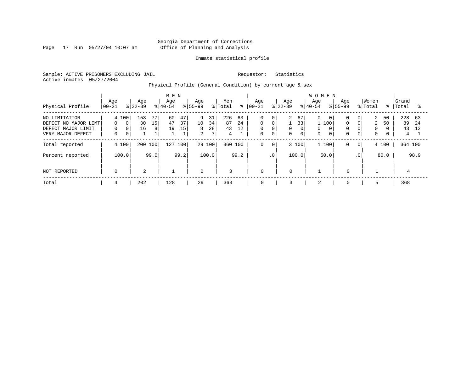Page 17 Run 05/27/04 10:07 am

#### Inmate statistical profile

Sample: ACTIVE PRISONERS EXCLUDING JAIL Requestor: Statistics Active inmates 05/27/2004

Physical Profile (General Condition) by current age & sex

| Physical Profile                                                                 | Age<br>$00 - 21$                                                | Age<br>$ 22-39 $                 | M E N<br>Age<br>$8 40-54$                        | Age<br>$ 55-99 $                                                    | Men<br>% Total<br>$\approx$            | Age<br>$ 00-21$                                          | Age<br>$ 22-39 $                                                                                               | <b>WOMEN</b><br>Age<br>Age<br>$8 40-54$<br>$8155 - 99$                                                      | Women<br>% Total                                            | ႜႜ                                            | Grand<br>Total<br>°≈                      |
|----------------------------------------------------------------------------------|-----------------------------------------------------------------|----------------------------------|--------------------------------------------------|---------------------------------------------------------------------|----------------------------------------|----------------------------------------------------------|----------------------------------------------------------------------------------------------------------------|-------------------------------------------------------------------------------------------------------------|-------------------------------------------------------------|-----------------------------------------------|-------------------------------------------|
| NO LIMITATION<br>DEFECT NO MAJOR LIMT<br>DEFECT MAJOR LIMIT<br>VERY MAJOR DEFECT | 4 100<br>$\Omega$<br>$\Omega$<br>0<br>$\Omega$<br>0<br>$\Omega$ | 153<br>77<br>30<br>15<br>16<br>8 | 47<br>60<br>37<br>47<br>15<br>19<br>$\mathbf{1}$ | 9<br>31<br>10<br>34<br>8<br>28<br>$7\overline{ }$<br>$\overline{2}$ | 226<br>63<br>24<br>87<br>43<br>12<br>4 | $\mathbf 0$<br>$\mathbf 0$<br>$\mathbf 0$<br>$\mathbf 0$ | 2<br>67<br>0<br>33 <sub>1</sub><br>0<br>0<br>$\mathbf 0$<br>$\Omega$<br>$\mathbf 0$<br>$\mathbf 0$<br>$\Omega$ | 0<br>$\Omega$<br>$\mathbf{0}$<br>$\Omega$<br>100<br>$\Omega$<br>0<br>$\Omega$<br>$\Omega$<br>$\overline{0}$ | 0 <sup>1</sup><br>$\Omega$<br>$\mathbf 0$<br>$\overline{0}$ | 2<br>50<br>2<br>50<br>$\Omega$<br>$\mathbf 0$ | 228<br>- 63<br>89<br>-24<br>43<br>12<br>4 |
| Total reported                                                                   | 4 100                                                           | 200 100                          | 127<br>100                                       | 29 100                                                              | 100<br>360                             | 0                                                        | 3 100<br>$\mathbf 0$                                                                                           | 1 100<br>0                                                                                                  | $\overline{0}$                                              | 4 100                                         | 364 100                                   |
| Percent reported                                                                 | 100.0                                                           | 99.0                             | 99.2                                             | 100.0                                                               | 99.2                                   |                                                          | $.0 \cdot$<br>100.0                                                                                            | 50.0                                                                                                        | .0 <sup>1</sup>                                             | 80.0                                          | 98.9                                      |
| NOT REPORTED                                                                     | 0                                                               | 2                                |                                                  | $\overline{0}$                                                      | 3                                      | $\mathbf 0$                                              | $\mathbf 0$                                                                                                    | $\mathbf 0$                                                                                                 |                                                             |                                               |                                           |
| Total                                                                            | 4                                                               | 202                              | 128                                              | 29                                                                  | 363                                    | 0                                                        | 3                                                                                                              | 2<br>$\mathbf 0$                                                                                            |                                                             | 5                                             | 368                                       |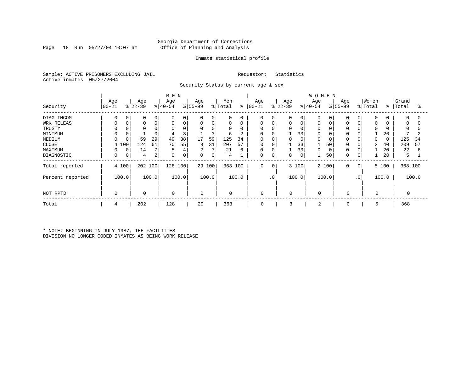#### Georgia Department of Corrections Page 18 Run 05/27/04 10:07 am Office of Planning and Analysis

#### Inmate statistical profile

Sample: ACTIVE PRISONERS EXCLUDING JAIL Requestor: Statistics Active inmates 05/27/2004

Security Status by current age & sex

|                  |             |           |             |    | M E N       |                |             |        |             |               |             |             |           |             | <b>WOMEN</b>   |       |             |          |                |       |             |          |
|------------------|-------------|-----------|-------------|----|-------------|----------------|-------------|--------|-------------|---------------|-------------|-------------|-----------|-------------|----------------|-------|-------------|----------|----------------|-------|-------------|----------|
|                  | Age         |           | Age         |    | Age         |                | Age         |        | Men         |               | Age         |             | Age       |             | Age            |       | Age         |          | Women          |       | Grand       |          |
| Security         | 00-21       | $8 22-39$ |             |    | $ 40-54 $   |                | $ 55-99$    |        | % Total     | $\frac{8}{6}$ | $ 00 - 21$  |             | $ 22-39 $ |             | $8 40-54$      |       | $ 55-99 $   |          | % Total        | ిం    | Total       | °        |
| DIAG INCOM       | $\Omega$    | 0         | $\mathbf 0$ | 0  | $\Omega$    | $\mathbf 0$    | $\mathbf 0$ | 0      | $\mathbf 0$ | 0             | 0           | 0           | 0         | 0           | 0              |       | $\Omega$    | $\Omega$ | $\mathbf 0$    |       | $\mathbf 0$ | $\Omega$ |
| WRK RELEAS       |             | 0         | $\mathbf 0$ | 0  | $\Omega$    | $\mathbf 0$    | 0           | 0      | $\mathbf 0$ | 0             | 0           | $\mathbf 0$ | 0         | $\mathsf 0$ | 0              |       | $\Omega$    | $\Omega$ | 0              |       | 0           | $\Omega$ |
| TRUSTY           |             |           |             |    | $\Omega$    |                | 0           | 0      | $\Omega$    | 0             | 0           |             | 0         | $\Omega$    | 0              |       |             |          | $\Omega$       |       | $\Omega$    |          |
| MINIMUM          |             |           |             |    | 4           | 3              |             | 3      | 6           | 2             | 0           |             |           | 33          | 0              |       | $\Omega$    |          |                | 20    |             | 2        |
| MEDIUM           |             |           | 59          | 29 | 49          | 38             | 17          | 59     | 125         | 34            | $\mathbf 0$ |             |           | 0           | 0              |       |             |          | $\Omega$       |       | 125         | 34       |
| CLOSE            | 4 100       |           | 124         | 61 | 70          | 55             | 9           | 31     | 207         | 57            | 0           | 0           |           | 33          |                | 50    | $\Omega$    |          | $\overline{2}$ | 40    | 209         | 57       |
| MAXIMUM          |             | 0         | 14          |    | 5           | $\overline{4}$ | 2           | 7      | 21          | 6             | 0           | $\mathbf 0$ |           | 33          | $\mathbf 0$    | 0     | $\Omega$    |          |                | 20    | 22          | 6        |
| DIAGNOSTIC       | $\mathbf 0$ | 0         | 4           | 2  | $\mathbf 0$ | 0              | 0           | 0      | 4           |               | 0           | 0           | 0         | $\mathbf 0$ |                | 50    | $\Omega$    | 0        |                | 20    | 5           |          |
| Total reported   | 4 100       |           | 202 100     |    | 128         | 100            |             | 29 100 | 363         | 100           | 0           | 0           |           | 3 100       |                | 2 100 | 0           | 0        |                | 5 100 | 368 100     |          |
| Percent reported | 100.0       |           | 100.0       |    |             | 100.0          |             | 100.0  |             | 100.0         |             | $\cdot$ 0   |           | 100.0       |                | 100.0 |             | .0       |                | 100.0 |             | 100.0    |
| NOT RPTD         | $\Omega$    |           | $\mathbf 0$ |    | $\mathbf 0$ |                | $\mathbf 0$ |        | $\mathbf 0$ |               | 0           |             | $\Omega$  |             | $\Omega$       |       | $\mathbf 0$ |          | 0              |       |             |          |
| Total            | 4           |           | 202         |    | 128         |                | 29          |        | 363         |               | 0           |             | 3         |             | $\overline{2}$ |       | 0           |          | 5              |       | 368         |          |

\* NOTE: BEGINNING IN JULY 1987, THE FACILITIES DIVISION NO LONGER CODED INMATES AS BEING WORK RELEASE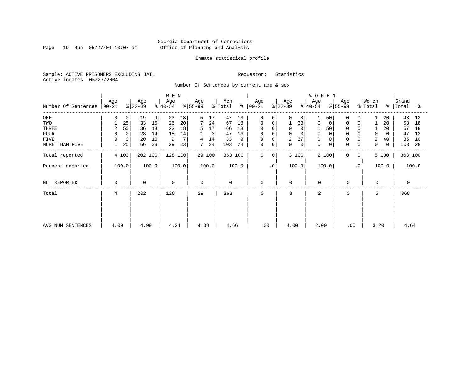Page 19 Run 05/27/04 10:07 am

#### Inmate statistical profile

Sample: ACTIVE PRISONERS EXCLUDING JAIL Requestor: Statistics Active inmates 05/27/2004

Number Of Sentences by current age & sex

|                     |                 |          |                  |       | M E N            |       |                  |        |                |       |                  |           |                  |             | WOMEN            |             |                  |                |                  |             |         |       |
|---------------------|-----------------|----------|------------------|-------|------------------|-------|------------------|--------|----------------|-------|------------------|-----------|------------------|-------------|------------------|-------------|------------------|----------------|------------------|-------------|---------|-------|
| Number Of Sentences | Age<br>$ 00-21$ |          | Age<br>$ 22-39 $ |       | Age<br>$ 40-54 $ |       | Age<br>$ 55-99 $ |        | Men<br>% Total | နွ    | Age<br>$ 00-21 $ |           | Age<br>$ 22-39 $ |             | Age<br>$ 40-54 $ |             | Age<br>$ 55-99 $ |                | Women<br>% Total | $\approx$ 1 | Grand   | ႜ     |
|                     |                 |          |                  |       |                  |       |                  |        |                |       |                  |           |                  |             |                  |             |                  |                |                  |             | Total   |       |
| ONE                 | 0               | 0        | 19               | 9     | 23               | 18    | 5                | 17     | 47             | 13    | 0                | 0         | 0                | $\Omega$    |                  | 50          | 0                | $\overline{0}$ |                  | 20          | 48      | 13    |
| TWO                 |                 | 25       | 33               | 16    | 26               | 20    | $7\phantom{.0}$  | 24     | 67             | 18    | 0                |           |                  | 33          | 0                | 0           | 0                | 0              |                  | 20          | 68      | 18    |
| THREE               | 2               | 50       | 36               | 18    | 23               | 18    | 5                | 17     | 66             | 18    | 0                |           | $\mathbf 0$      |             |                  | 50          | $\Omega$         |                |                  | 20          | 67      | 18    |
| <b>FOUR</b>         | 0               | $\Omega$ | 28               | 14    | 18               | 14    |                  | 3      | 47             | 13    | $\mathbf 0$      |           | $\Omega$         |             | $\mathbf 0$      |             |                  |                | $\Omega$         | 0           | 47      | 13    |
| FIVE                | $\Omega$        | 0        | 20               | 10    | 9                |       |                  | 14     | 33             | 9     | 0                |           | 2                | 67          |                  |             |                  |                | 2                | 40          | 35      | 10    |
| MORE THAN FIVE      |                 | 25       | 66               | 33    | 29               | 23    |                  | 24     | 103            | 28    | $\mathsf 0$      | 0         | $\mathbf 0$      | $\mathbf 0$ | $\mathbf 0$      | $\mathbf 0$ | $\mathbf 0$      | 0              | 0                | 0           | 103     | 28    |
| Total reported      |                 | 4 100    | 202 100          |       | 128 100          |       |                  | 29 100 | 363 100        |       | $\Omega$         | $\Omega$  |                  | 3 100       | 2 100            |             | $\Omega$         | $\overline{0}$ |                  | 5 100       | 368 100 |       |
| Percent reported    |                 | 100.0    |                  | 100.0 |                  | 100.0 |                  | 100.0  |                | 100.0 |                  | $\cdot$ 0 |                  | 100.0       | 100.0            |             |                  | $\cdot$ 0      |                  | 100.0       |         | 100.0 |
| NOT REPORTED        | $\mathbf 0$     |          | 0                |       | $\mathbf 0$      |       | $\mathbf 0$      |        | $\mathbf 0$    |       | $\mathbf 0$      |           | $\mathbf 0$      |             | $\Omega$         |             | $\mathbf 0$      |                | $\Omega$         |             | 0       |       |
| Total               | 4               |          | 202              |       | 128              |       | 29               |        | 363            |       | $\Omega$         |           | 3                |             | $\overline{a}$   |             | $\Omega$         |                | 5.               |             | 368     |       |
|                     |                 |          |                  |       |                  |       |                  |        |                |       |                  |           |                  |             |                  |             |                  |                |                  |             |         |       |
|                     |                 |          |                  |       |                  |       |                  |        |                |       |                  |           |                  |             |                  |             |                  |                |                  |             |         |       |
| AVG NUM SENTENCES   | 4.00            |          | 4.99             |       | 4.24             |       | 4.38             |        | 4.66           |       | .00.             |           | 4.00             |             | 2.00             |             | .00              |                | 3.20             |             | 4.64    |       |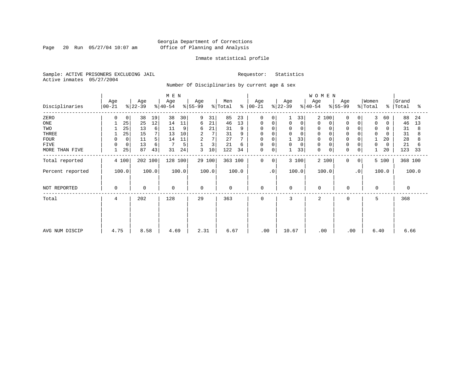Page 20 Run 05/27/04 10:07 am

#### Inmate statistical profile

Sample: ACTIVE PRISONERS EXCLUDING JAIL Requestor: Statistics Active inmates 05/27/2004

Number Of Disciplinaries by current age & sex

|                  |                  |                  | M E N            |                     |                     |                      |                  | WOMEN                        |                         |                                   |                     |
|------------------|------------------|------------------|------------------|---------------------|---------------------|----------------------|------------------|------------------------------|-------------------------|-----------------------------------|---------------------|
| Disciplinaries   | Age<br>$ 00-21 $ | Age<br>$ 22-39 $ | Age<br>$ 40-54 $ | Age<br>$ 55-99$     | Men<br>% Total<br>ႜ | Age<br>$ 00-21 $     | Age<br>$ 22-39 $ | Age<br>$ 55-99$<br>$ 40-54 $ | Age                     | Women<br>% Total<br>$\frac{8}{6}$ | Grand<br>Total<br>ఄ |
| ZERO             | 0<br>0           | 38<br>19         | 38<br>30         | 9<br>31             | 85<br>23            | 0<br>$\Omega$        | 33               | $\overline{a}$<br>100        | $\Omega$<br>$\Omega$    | 3<br>60                           | 88<br>24            |
| $_{\rm ONE}$     | 25               | 25<br>12         | 14<br>11         | 21<br>6             | 13<br>46            | 0<br>0               | 0<br>0           | $\Omega$<br>$\mathbf 0$      | $\mathbf 0$<br>$\Omega$ | $\mathbf 0$<br>$\Omega$           | 46<br>13            |
| TWO              | 25               | 13<br>6          | 11<br>9          | 21<br>6             | 31                  | $\Omega$             | 0<br>$\Omega$    | 0                            |                         | 0                                 | 31<br>8             |
| THREE            | 25               | 7<br>15          | 10<br>13         | 7<br>2              | 31                  | $\Omega$<br>0        | 0<br>$\Omega$    | $\mathbf 0$                  |                         | $\mathbf 0$<br>$\Omega$           | 31                  |
| <b>FOUR</b>      | $\mathbf 0$      | 11<br>5          | 11<br>14         | 7<br>$\overline{a}$ | 27                  | $\Omega$<br>$\Omega$ | 33               | $\Omega$                     |                         | 20                                | 28                  |
| <b>FIVE</b>      | 0<br>$\Omega$    | 13<br>6          | 5                | 3                   | 21<br>6             | $\Omega$<br>0        | 0<br>0           | $\mathbf 0$                  | 0                       | 0<br>0                            | 21<br>6             |
| MORE THAN FIVE   | 25               | 87<br>43         | 24<br>31         | 10<br>3             | 122<br>34           | $\mathbf 0$<br>0     | 33               | $\mathbf 0$<br>0             | $\Omega$<br>$\mathbf 0$ | 20                                | 123<br>33           |
| Total reported   | 4 100            | 202 100          | 128 100          | 29 100              | 363 100             | 0<br>$\mathbf{0}$    | 3 100            | 2 100                        | 0<br>0                  | 5 100                             | 368 100             |
| Percent reported | 100.0            | 100.0            | 100.0            | 100.0               | 100.0               | $\cdot$ 0            | 100.0            | 100.0                        | $\cdot$ 0               | 100.0                             | 100.0               |
| NOT REPORTED     | 0                | $\Omega$         | $\mathbf 0$      | $\Omega$            | $\mathbf 0$         | $\mathbf 0$          | $\Omega$         | $\mathbf 0$                  | $\Omega$                | $\Omega$                          | $\Omega$            |
| Total            | 4                | 202              | 128              | 29                  | 363                 | 0                    | 3                | $\overline{a}$               | 0                       | 5                                 | 368                 |
|                  |                  |                  |                  |                     |                     |                      |                  |                              |                         |                                   |                     |
| AVG NUM DISCIP   | 4.75             | 8.58             | 4.69             | 2.31                | 6.67                | .00                  | 10.67            | .00                          | .00                     | 6.40                              | 6.66                |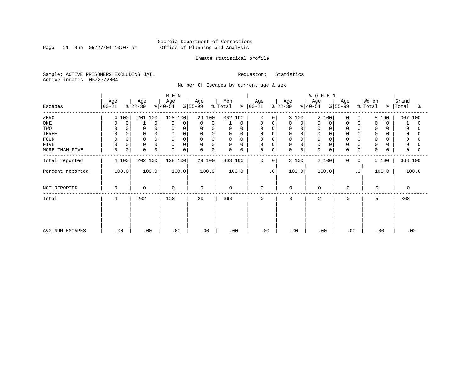Page 21 Run 05/27/04 10:07 am

#### Inmate statistical profile

Sample: ACTIVE PRISONERS EXCLUDING JAIL Requestor: Statistics Active inmates 05/27/2004

Number Of Escapes by current age & sex

|                  |                  |                  | M E N            |                   |                      |                      |                  | WOMEN            |                  |                                   |                     |
|------------------|------------------|------------------|------------------|-------------------|----------------------|----------------------|------------------|------------------|------------------|-----------------------------------|---------------------|
| Escapes          | Age<br>$00 - 21$ | Age<br>$ 22-39 $ | Age<br>$ 40-54 $ | Age<br>$ 55-99 $  | Men<br>% Total<br>န္ | Age<br>$ 00 - 21 $   | Age<br>$ 22-39 $ | Age<br>$8 40-54$ | Age<br>$ 55-99$  | Women<br>% Total<br>$\frac{8}{6}$ | Grand<br>Total<br>ႜ |
| ZERO             | 4 100            | 201 100          | 128 100          | 29 100            | 362 100              | $\Omega$<br>$\Omega$ | 3 100            | 2<br>100         | 0<br>0           | 5 100                             | 367 100             |
| ONE              | $\mathbf 0$<br>0 | $\mathbf 0$      | 0<br>0           | 0<br>$\mathbf 0$  | 0                    | 0<br>0               | 0<br>0           | 0<br>0           | 0<br>0           | $\mathbf 0$<br>$\Omega$           | $\Omega$            |
| TWO              | 0                | 0                | $\Omega$         | 0<br>$\Omega$     | 0<br>0               | 0<br>$\Omega$        | 0<br>$\Omega$    | 0                | 0                | 0                                 | 0                   |
| THREE            | 0                | $\mathbf 0$      | $\Omega$         | $\mathsf{O}$<br>0 | $\mathbf 0$<br>0     | 0<br>$\Omega$        | 0<br>0           | $\mathbf 0$      | $\overline{0}$   | 0                                 | 0                   |
| <b>FOUR</b>      | $\Omega$         |                  | $\Omega$         | 0<br>$\Omega$     | $\Omega$<br>$\Omega$ | $\Omega$             | 0                | $\Omega$         | $\Omega$         | $\Omega$                          |                     |
| FIVE             | 0<br>0           | 0                | 0<br>$\Omega$    | 0<br>0            | 0<br>0               | 0<br>$\Omega$        | 0<br>$\Omega$    | 0                | $\Omega$         | 0                                 | 0                   |
| MORE THAN FIVE   | 0<br>0           | $\Omega$<br>0    | 0<br>0           | $\mathbf 0$<br>0  | 0<br>0               | 0<br>0               | 0<br>0           | $\mathbf 0$<br>0 | 0<br>0           | 0<br>U                            | $\Omega$            |
| Total reported   | 4 100            | 202 100          | 128 100          | 29 100            | 363 100              | 0<br>0               | 3 100            | 2 100            | $\mathbf 0$<br>0 | 5 100                             | 368 100             |
| Percent reported | 100.0            | 100.0            | 100.0            | 100.0             | 100.0                | $\cdot$ 0            | 100.0            | 100.0            | $\cdot$ 0        | 100.0                             | 100.0               |
| NOT REPORTED     | 0                | $\mathbf 0$      | $\mathbf 0$      | 0                 | $\mathbf 0$          | 0                    | 0                | $\mathbf 0$      | $\mathbf 0$      | $\Omega$                          | 0                   |
| Total            | 4                | 202              | 128              | 29                | 363                  | $\mathbf 0$          | 3                | $\overline{2}$   | $\mathbf 0$      | 5                                 | 368                 |
| AVG NUM ESCAPES  | .00              | .00              | .00              | .00               | .00                  | .00                  | .00              | .00              | .00              | .00                               | .00                 |
|                  |                  |                  |                  |                   |                      |                      |                  |                  |                  |                                   |                     |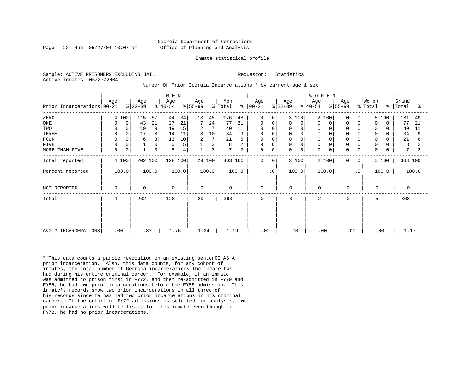#### Georgia Department of Corrections Page 22 Run 05/27/04 10:07 am Office of Planning and Analysis

#### Inmate statistical profile

Sample: ACTIVE PRISONERS EXCLUDING JAIL **Requestor:** Statistics Active inmates 05/27/2004

Number Of Prior Georgia Incarcerations \* by current age & sex

| Prior Incarcerations 00-21                                                  | Age                                                                           | Age<br>$ 22-39 $                                                | M E N<br>Age<br>$8 40-54$                                                    | Age<br>$ 55-99 $                                        | Men<br>% Total<br>∻                                                                            | Age<br>$ 00 - 21$                                                                             | Age<br>$ 22-39 $                                                                           | WOMEN<br>Age<br>Age<br>$ 55-99 $<br>$ 40-54 $                                                                                                                            | Women<br>% Total<br>$\frac{1}{6}$                                                                                         | Grand<br>Total<br>ႜ                                               |
|-----------------------------------------------------------------------------|-------------------------------------------------------------------------------|-----------------------------------------------------------------|------------------------------------------------------------------------------|---------------------------------------------------------|------------------------------------------------------------------------------------------------|-----------------------------------------------------------------------------------------------|--------------------------------------------------------------------------------------------|--------------------------------------------------------------------------------------------------------------------------------------------------------------------------|---------------------------------------------------------------------------------------------------------------------------|-------------------------------------------------------------------|
| ZERO<br>ONE<br>TWO<br>THREE<br><b>FOUR</b><br><b>FIVE</b><br>MORE THAN FIVE | 4 100<br>0<br>$\Omega$<br>0<br>0<br>0<br>$\mathbf 0$<br>$\mathbf 0$<br>0<br>0 | 115<br>57<br>43<br>21<br>19<br>9<br>8<br>17<br>3<br>6<br>0<br>0 | 34<br>44<br>21<br>27<br>15<br>19<br>11<br>14<br>10<br>13<br>5<br>6<br>5<br>4 | 13<br>45<br>24<br>2<br>7<br>10<br>3<br>7<br>2<br>3<br>3 | 176<br>48<br>77<br>21<br>40<br>11<br>34<br>9<br>21<br>6<br>$\,8\,$<br>2<br>7<br>$\overline{c}$ | 0<br>$\Omega$<br>0<br>0<br>0<br>$\mathbf 0$<br>$\mathbf 0$<br>$\mathbf 0$<br>$\mathbf 0$<br>0 | 3 100<br>0<br>$\mathbf 0$<br>0<br>0<br>0<br>0<br>$\mathbf 0$<br>$\mathbf 0$<br>$\mathbf 0$ | 2 100<br>0<br>0<br>$\Omega$<br>0<br>0<br>0<br>$\mathbf 0$<br>$\mathbf 0$<br>0<br>$\mathbf 0$<br>$\Omega$<br>0<br>$\mathbf 0$<br>$\Omega$<br>$\Omega$<br>$\mathbf 0$<br>0 | 5 100<br>0<br>0<br>$\Omega$<br>$\Omega$<br>0<br>0<br>0<br>$\mathbf 0$<br>O<br>0<br>0<br>$\mathbf 0$<br>0<br>$\Omega$<br>0 | 181<br>49<br>77<br>21<br>40<br>11<br>34<br>9<br>21<br>6<br>8<br>7 |
| Total reported<br>Percent reported                                          | 4 100<br>100.0                                                                | 202 100<br>100.0                                                | 128 100<br>100.0                                                             | 29 100<br>100.0                                         | 363 100<br>100.0                                                                               | $\mathbf 0$<br>0<br>$\cdot$ 0                                                                 | 3 100<br>100.0                                                                             | 2 100<br>0<br>100.0                                                                                                                                                      | 5 100<br>0 <sup>1</sup><br>.0 <sup>1</sup><br>100.0                                                                       | 368 100<br>100.0                                                  |
| NOT REPORTED<br>Total                                                       | $\mathbf 0$<br>4                                                              | 0<br>202                                                        | 0<br>128                                                                     | 0<br>29                                                 | 0<br>363                                                                                       | $\mathbf 0$<br>$\mathbf 0$                                                                    | $\mathbf 0$<br>3                                                                           | $\mathbf 0$<br>$\mathbf 0$<br>2<br>0                                                                                                                                     | $\Omega$<br>5                                                                                                             | 0<br>368                                                          |
| AVG # INCARCERATIONS                                                        | .00                                                                           | .83                                                             | 1.76                                                                         | 1.34                                                    | 1.19                                                                                           | .00                                                                                           | .00                                                                                        | .00<br>.00                                                                                                                                                               | .00                                                                                                                       | 1.17                                                              |

\* This data counts a parole revocation on an existing sentenCE AS A prior incarceration. Also, this data counts, for any cohort of inmates, the total number of Georgia incarcerations the inmate has had during his entire criminal career. For example, if an inmate was admitted to prison first in FY72, and then re-admitted in FY79 and FY85, he had two prior incarcerations before the FY85 admission. This inmate's records show two prior incarcerations in all three of his records since he has had two prior incarcerations in his criminal career. If the cohort of FY72 admissions is selected for analysis, two prior incarcerations will be listed for this inmate even though in FY72, he had no prior incarcerations.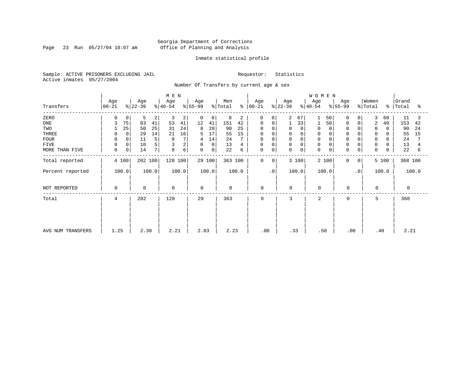Page 23 Run 05/27/04 10:07 am

#### Inmate statistical profile

Sample: ACTIVE PRISONERS EXCLUDING JAIL Requestor: Statistics Active inmates 05/27/2004

Number Of Transfers by current age & sex

|                   |                    |                      |                | M E N            |       |                  |             |                |       |                      |                 |                  |             | <b>WOMEN</b>     |          |                  |              |                  |       |                    |       |
|-------------------|--------------------|----------------------|----------------|------------------|-------|------------------|-------------|----------------|-------|----------------------|-----------------|------------------|-------------|------------------|----------|------------------|--------------|------------------|-------|--------------------|-------|
| Transfers         | Age<br>$ 00 - 21 $ | Age<br>$ 22-39 $     |                | Age<br>$ 40-54 $ |       | Age<br>$ 55-99 $ |             | Men<br>% Total |       | Age<br>$8   00 - 21$ |                 | Age<br>$ 22-39 $ |             | Age<br>$ 40-54 $ |          | Age<br>$ 55-99 $ |              | Women<br>% Total |       | Grand<br>%   Total | °≈    |
| ZERO              | <sup>0</sup>       | 0<br>5               | 2              | 3                | 2     | 0                | 0           | 8              | 2     | 0                    | $\Omega$        | $\overline{2}$   | 67          |                  | 50       | 0                |              | 3                | 60    | 11                 | 3     |
| ONE               | 3                  | 75<br>83             | 41             | 53               | 41    | 12               | 41          | 151            | 42    | 0                    | 0               |                  | 33          |                  | 50       |                  | 0            | $\overline{2}$   | 40    | 153                | 42    |
| TWO               |                    | 25<br>50             | 25             | 31               | 24    | 8                | 28          | 90             | 25    | 0                    |                 |                  | 0           | 0                | $\Omega$ |                  |              | 0                |       | 90                 | 24    |
| THREE             |                    | 29                   | 14             | 21               | 16    | 5                | 17          | 55             | 15    | 0                    |                 |                  | 0           | 0                |          | $\Omega$         |              | 0                |       | 55                 | 15    |
| <b>FOUR</b>       |                    | 11                   | 5              | 9                |       | 4                | 14          | 24             |       | 0                    |                 | 0                | $\Omega$    | $\Omega$         |          |                  |              | $\Omega$         |       | 24                 |       |
| <b>FIVE</b>       |                    | 0<br>10              | 5              |                  | 2     | 0                | 0           | 13             | 4     | 0                    | 0               | 0                | 0           | 0                |          | 0                |              | 0                |       | 13                 |       |
| MORE THAN FIVE    | $\mathbf 0$        | 0 <sup>1</sup><br>14 | 7 <sup>1</sup> | 8                | 6     | $\mathbf 0$      | $\mathbf 0$ | 22             | 6     | 0                    | 0               | 0                | $\mathbf 0$ | $\mathbf 0$      | 0        | $\mathbf 0$      | 0            | $\mathbf 0$      |       | 22                 | 6     |
| Total reported    | 4 100              |                      | 202 100        | 128 100          |       |                  | 29 100      | 363 100        |       | 0                    | 0               |                  | 3 100       | 2 100            |          | 0                | $\mathbf{0}$ |                  | 5 100 | 368 100            |       |
| Percent reported  | 100.0              |                      | 100.0          |                  | 100.0 |                  | 100.0       |                | 100.0 |                      | .0 <sub>1</sub> |                  | 100.0       | 100.0            |          |                  | $\cdot$ 0    |                  | 100.0 |                    | 100.0 |
| NOT REPORTED      | 0                  | $\mathbf 0$          |                | $\mathbf 0$      |       | $\mathbf 0$      |             | $\mathbf 0$    |       | $\mathbf 0$          |                 | 0                |             | $\mathbf 0$      |          | $\mathbf 0$      |              | $\mathbf 0$      |       |                    |       |
| Total             | 4                  | 202                  |                | 128              |       | 29               |             | 363            |       | 0                    |                 | 3                |             | 2                |          | $\mathbf 0$      |              | 5                |       | 368                |       |
|                   |                    |                      |                |                  |       |                  |             |                |       |                      |                 |                  |             |                  |          |                  |              |                  |       |                    |       |
|                   |                    |                      |                |                  |       |                  |             |                |       |                      |                 |                  |             |                  |          |                  |              |                  |       |                    |       |
| AVG NUM TRANSFERS | 1.25               |                      | 2.30           | 2.21             |       | 2.03             |             | 2.23           |       | .00                  |                 | .33              |             | .50              |          | .00              |              | .40              |       | 2.21               |       |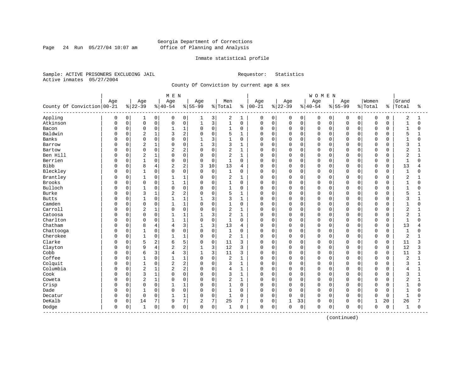Page 24 Run 05/27/04 10:07 am

#### Inmate statistical profile

Sample: ACTIVE PRISONERS EXCLUDING JAIL Requestor: Statistics Active inmates 05/27/2004

County Of Conviction by current age & sex

|                            |     |             |                |                | M E N          |                |                |             |                |              |          |             |              |                | WOMEN       |             |             |             |             |             |                |              |
|----------------------------|-----|-------------|----------------|----------------|----------------|----------------|----------------|-------------|----------------|--------------|----------|-------------|--------------|----------------|-------------|-------------|-------------|-------------|-------------|-------------|----------------|--------------|
|                            | Age |             | Age            |                | Age            |                | Age            |             | Men            |              | Age      |             | Age          |                | Age         |             | Age         |             | Women       |             | Grand          |              |
| County Of Conviction 00-21 |     |             | $8 22-39$      |                | $ 40-54$       |                | $8 55-99$      |             | % Total        | ႜ            | $ 00-21$ |             | $ 22-39$     |                | $ 40-54$    |             | $8 55-99$   |             | % Total     | ႜ           | Total          | ႜ            |
| Appling                    | 0   | 0           | 1              | $\overline{0}$ | 0              | 0              | 1              | 3           | 2              | 1            | 0        | 0           | 0            | $\overline{0}$ | 0           | 0           | 0           | $\mathbf 0$ | $\mathbf 0$ | 0           | 2              | 1            |
| Atkinson                   | O   | $\mathsf 0$ | $\mathbf 0$    | 0              | $\Omega$       | $\mathsf 0$    | $\mathbf{1}$   | 3           | $\mathbf{1}$   | $\mathbf 0$  | 0        | $\mathbf 0$ | 0            | 0              | $\mathbf 0$ | $\mathbf 0$ | $\Omega$    | $\Omega$    | $\mathbf 0$ | 0           | $\mathbf{1}$   | $\Omega$     |
| Bacon                      | U   | 0           | $\mathbf 0$    | 0              | 1              | 1              | $\mathbf 0$    | $\mathbf 0$ | $\mathbf{1}$   | $\mathbf 0$  | 0        | $\mathbf 0$ | $\mathbf 0$  | 0              | 0           | $\mathbf 0$ | $\Omega$    | $\Omega$    | $\mathbf 0$ | 0           | $\mathbf{1}$   | 0            |
| Baldwin                    | U   | 0           | $\overline{c}$ | 1              | 3              | $\overline{c}$ | $\Omega$       | $\mathbf 0$ | 5              | $\mathbf{1}$ | $\Omega$ | $\Omega$    | $\Omega$     | $\Omega$       | $\Omega$    | $\mathbf 0$ | $\Omega$    | $\cap$      | $\mathbf 0$ | $\Omega$    | 5              |              |
| Banks                      | U   | $\Omega$    | $\Omega$       | 0              | $\Omega$       | $\Omega$       | 1              | 3           | $\mathbf{1}$   | $\Omega$     | 0        | $\Omega$    | $\Omega$     | $\Omega$       | $\Omega$    | $\Omega$    | $\Omega$    | $\cap$      | $\Omega$    | $\Omega$    | $\mathbf{1}$   | U            |
| Barrow                     | U   | 0           | $\overline{2}$ | 1              | $\Omega$       | $\mathbf 0$    | $\mathbf{1}$   | 3           | 3              | $\mathbf{1}$ | 0        | $\mathbf 0$ | $\Omega$     | $\Omega$       | $\Omega$    | 0           | $\Omega$    | $\Omega$    | $\mathbf 0$ | 0           | 3              | 1            |
| Bartow                     |     | 0           | $\mathbf 0$    | 0              | 2              | $\sqrt{2}$     | $\Omega$       | $\mathbf 0$ | 2              | $\mathbf{1}$ | 0        | $\mathbf 0$ | 0            | 0              | $\Omega$    | 0           | $\Omega$    | $\Omega$    | $\mathbf 0$ | 0           | 2              | 1            |
| Ben Hill                   | U   | 0           | $\overline{2}$ | $\mathbf 1$    | $\Omega$       | $\mathbf 0$    | $\Omega$       | $\mathbf 0$ | $\overline{a}$ | 1            | $\Omega$ | $\mathbf 0$ | $\mathbf 0$  | $\Omega$       | $\Omega$    | $\mathbf 0$ | $\Omega$    | $\Omega$    | $\mathbf 0$ | $\Omega$    | $\overline{a}$ | $\mathbf{1}$ |
| Berrien                    | U   | 0           | 1              | 0              | $\Omega$       | $\mathbf 0$    | $\Omega$       | $\mathbf 0$ | 1              | 0            | 0        | 0           | 0            | 0              | $\Omega$    | 0           | $\Omega$    | $\Omega$    | $\mathbf 0$ | 0           | -1             | $\Omega$     |
| <b>Bibb</b>                | 0   | 0           | 8              | 4              | 2              | 2              | 3              | 10          | 13             | 4            | 0        | $\mathbf 0$ | 0            | 0              | $\mathbf 0$ | $\mathbf 0$ | $\Omega$    | $\Omega$    | $\mathbf 0$ | $\mathbf 0$ | 13             |              |
| Bleckley                   | 0   | $\Omega$    | $\mathbf{1}$   | 0              | $\Omega$       | $\Omega$       | $\Omega$       | $\mathbf 0$ | $\mathbf{1}$   | $\Omega$     | $\Omega$ | $\Omega$    | $\Omega$     | $\Omega$       | $\Omega$    | $\Omega$    | $\Omega$    | $\Omega$    | $\Omega$    | $\Omega$    | $\mathbf{1}$   | $\Omega$     |
| Brantley                   | 0   | 0           | $\mathbf{1}$   | 0              |                | $\mathbf{1}$   | $\Omega$       | $\mathbf 0$ | $\overline{2}$ | $\mathbf{1}$ | 0        | $\mathbf 0$ | 0            | $\Omega$       | $\Omega$    | $\Omega$    | $\Omega$    | $\Omega$    | $\mathbf 0$ | $\Omega$    | $\overline{2}$ |              |
| Brooks                     |     | 0           | $\mathbf 0$    | 0              |                | $1\,$          | $\Omega$       | $\mathsf 0$ | $\mathbf{1}$   | $\mathbf 0$  | 0        | $\mathbf 0$ | 0            | 0              | $\Omega$    | 0           | $\Omega$    | $\Omega$    | $\mathbf 0$ | 0           | $\mathbf{1}$   | $\Omega$     |
| Bulloch                    |     | 0           | $\mathbf{1}$   | 0              | $\Omega$       | $\mathbf 0$    | $\Omega$       | $\Omega$    | $\mathbf{1}$   | 0            | 0        | $\mathbf 0$ | 0            | 0              | $\Omega$    | 0           | $\cap$      | $\Omega$    | $\mathbf 0$ | 0           | $\mathbf{1}$   | U            |
| <b>Burke</b>               | U   | 0           | 3              | 1              | 2              | $\overline{2}$ | $\Omega$       | $\mathbf 0$ | 5              | $\mathbf{1}$ | 0        | 0           | 0            | 0              | $\Omega$    | 0           | $\Omega$    | $\Omega$    | $\mathbf 0$ | 0           | 5              |              |
| <b>Butts</b>               | U   | 0           | 1              | 0              |                | $\mathbf 1$    |                | 3           | 3              | 1            | 0        | 0           | 0            | 0              | $\Omega$    | 0           | $\Omega$    | $\Omega$    | $\mathbf 0$ | 0           | 3              |              |
| Camden                     | U   | $\Omega$    | $\Omega$       | $\Omega$       | $\mathbf{1}$   | $\mathbf{1}$   | $\Omega$       | $\Omega$    | $\mathbf{1}$   | $\Omega$     | $\Omega$ | $\Omega$    | $\Omega$     | $\Omega$       | $\Omega$    | $\Omega$    | $\Omega$    | $\Omega$    | $\Omega$    | $\Omega$    | $\mathbf{1}$   | $\Omega$     |
| Carroll                    |     | 0           | $\overline{2}$ | 1              | $\Omega$       | $\mathbf 0$    | $\Omega$       | $\mathbf 0$ | 2              | $\mathbf{1}$ | 0        | $\mathbf 0$ | $\Omega$     | $\Omega$       | $\Omega$    | $\Omega$    | $\Omega$    | $\Omega$    | $\mathbf 0$ | $\Omega$    | $\overline{2}$ |              |
| Catoosa                    |     | 0           | $\mathbf 0$    | 0              |                | $1\,$          | $\mathbf{1}$   | 3           | $\overline{2}$ | $\mathbf{1}$ | 0        | $\mathbf 0$ | $\Omega$     | $\Omega$       | $\Omega$    | $\mathbf 0$ | $\Omega$    | $\Omega$    | $\mathbf 0$ | $\Omega$    | $\overline{2}$ | $\mathbf{1}$ |
| Charlton                   | O   | 0           | $\Omega$       | 0              | $\mathbf{1}$   | $1\,$          | $\Omega$       | $\mathbf 0$ | $\mathbf{1}$   | $\Omega$     | $\Omega$ | $\mathbf 0$ | $\mathbf 0$  | $\Omega$       | $\Omega$    | $\mathbf 0$ | $\Omega$    | $\Omega$    | $\mathbf 0$ | $\Omega$    | $\mathbf{1}$   | $\Omega$     |
| Chatham                    | U   | 0           | 8              | 4              | 4              | 3              |                | 3           | 13             | 4            | 0        | $\mathbf 0$ | 0            | $\Omega$       | $\Omega$    | $\mathbf 0$ | $\Omega$    | $\Omega$    | $\mathbf 0$ | $\Omega$    | 13             |              |
| Chattooga                  | U   | $\Omega$    | $\mathbf{1}$   | 0              | $\Omega$       | $\mathbf 0$    | $\Omega$       | $\mathbf 0$ | $\mathbf{1}$   | $\Omega$     | $\Omega$ | $\Omega$    | $\mathbf 0$  | $\Omega$       | $\Omega$    | $\Omega$    | $\Omega$    | $\cap$      | $\Omega$    | $\Omega$    | $\mathbf{1}$   | U            |
| Cherokee                   | U   | 0           | $\mathbf{1}$   | 0              | -1             | $1\,$          | $\mathbf 0$    | $\mathbf 0$ | $\overline{c}$ | $\mathbf{1}$ | 0        | $\mathbf 0$ | $\Omega$     | $\Omega$       | $\Omega$    | 0           | $\Omega$    | $\Omega$    | $\mathbf 0$ | 0           | 2              |              |
| Clarke                     | 0   | $\Omega$    | 5              | 2              | 6              | 5              | $\mathbf 0$    | $\mathbf 0$ | 11             | 3            | 0        | $\mathbf 0$ | $\Omega$     | $\Omega$       | $\Omega$    | $\Omega$    | $\Omega$    | $\Omega$    | $\mathbf 0$ | $\mathbf 0$ | 11             | 3            |
| Clayton                    |     | 0           | 9              | 4              | $\overline{c}$ | $\sqrt{2}$     | $\mathbf{1}$   | 3           | 12             | 3            | 0        | $\mathbf 0$ | $\Omega$     | $\Omega$       | $\Omega$    | $\mathbf 0$ | $\Omega$    | $\Omega$    | $\mathbf 0$ | $\mathbf 0$ | 12             | 3            |
| Cobb                       | U   | 0           | 6              | 3              | 4              | 3              | $\mathbf{1}$   | 3           | 11             | 3            | O        | $\Omega$    | $\mathbf 0$  | $\Omega$       | $\Omega$    | $\mathbf 0$ | $\Omega$    | $\Omega$    | $\mathbf 0$ | $\Omega$    | 11             | ζ            |
| Coffee                     | U   | 0           |                | 0              |                | $\mathbf{1}$   | $\Omega$       | $\mathbf 0$ | 2              | 1            | 0        | 0           | 0            | $\Omega$       | $\Omega$    | 0           | $\Omega$    | $\Omega$    | $\mathbf 0$ | 0           | $\overline{2}$ |              |
| Colquit                    | O   | 0           | $\mathbf{1}$   | 0              | $\overline{2}$ | $\overline{2}$ | $\Omega$       | $\Omega$    | 3              | $\mathbf{1}$ | $\Omega$ | $\Omega$    | $\Omega$     | $\Omega$       | $\Omega$    | $\Omega$    | $\Omega$    | $\cap$      | $\mathbf 0$ | $\Omega$    | 3              |              |
| Columbia                   | U   | $\Omega$    | $\overline{2}$ | 1              | $\overline{2}$ | $\overline{2}$ | $\Omega$       | $\mathbf 0$ | 4              | $\mathbf{1}$ | 0        | $\Omega$    | $\Omega$     | $\Omega$       | $\Omega$    | $\Omega$    | $\Omega$    | $\cap$      | $\mathbf 0$ | $\Omega$    | 4              | $\mathbf{1}$ |
| Cook                       | U   | 0           | 3              | $\mathbf 1$    | $\Omega$       | $\mathbf 0$    | $\Omega$       | $\mathsf 0$ | 3              | 1            | 0        | $\mathbf 0$ | 0            | $\Omega$       | $\Omega$    | 0           | $\Omega$    | $\Omega$    | $\mathbf 0$ | 0           | 3              | 1            |
| Coweta                     | 0   | 0           | $\overline{c}$ | $\mathbf 1$    | $\Omega$       | $\mathsf 0$    | $\Omega$       | $\mathbf 0$ | 2              | 1            | 0        | $\mathbf 0$ | $\mathbf 0$  | 0              | $\Omega$    | $\mathbf 0$ | $\Omega$    | $\Omega$    | $\mathbf 0$ | 0           | $\overline{c}$ | $\mathbf{1}$ |
| Crisp                      | O   | 0           | $\mathbf 0$    | 0              |                | 1              | 0              | $\mathbf 0$ | 1              | 0            | 0        | 0           | 0            | 0              | $\Omega$    | 0           | $\Omega$    | $\Omega$    | $\mathbf 0$ | 0           | $\mathbf{1}$   | 0            |
| Dade                       | O   | 0           | 1              | 0              | $\Omega$       | $\mathbf 0$    | $\Omega$       | $\mathbf 0$ | 1              | 0            | 0        | 0           | $\mathbf 0$  | 0              | $\Omega$    | $\mathbf 0$ | $\Omega$    | $\Omega$    | $\mathbf 0$ | 0           | $\mathbf{1}$   | O            |
| Decatur                    | 0   | $\Omega$    | $\Omega$       | 0              | $\mathbf{1}$   | $1\,$          | $\Omega$       | $\mathbf 0$ | $\mathbf{1}$   | $\Omega$     | $\Omega$ | $\mathbf 0$ | $\mathbf 0$  | $\Omega$       | $\Omega$    | $\mathbf 0$ | $\Omega$    | $\Omega$    | $\Omega$    | $\Omega$    | $\mathbf{1}$   | $\Omega$     |
| DeKalb                     | 0   | 0           | 14             | 7              | 9              | 7              | $\overline{2}$ | 7           | 25             | 7            | 0        | $\mathbf 0$ | $\mathbf{1}$ | 33             | $\mathbf 0$ | 0           | $\Omega$    | 0           | 1           | 20          | 26             |              |
| Dodge<br>------------      | 0   | 0           | $\mathbf{1}$   | 0              | $\mathbf 0$    | $\mathsf 0$    | $\Omega$       | $\mathsf 0$ | 1              | 0            | 0        | 0           | $\Omega$     | 0              | $\mathbf 0$ | 0           | $\mathbf 0$ | 0           | $\mathbf 0$ | 0           | 1              | 0            |
|                            |     |             |                |                |                |                |                |             |                |              |          |             |              |                |             |             |             |             |             |             |                |              |

(continued)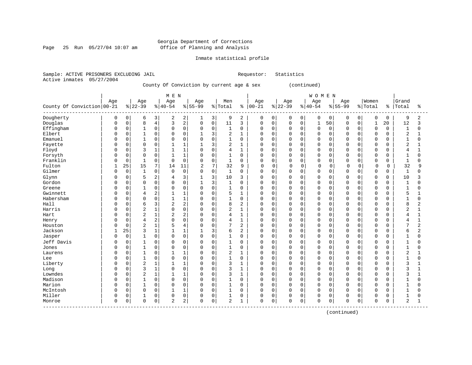Page 25 Run 05/27/04 10:07 am

#### Inmate statistical profile

Sample: ACTIVE PRISONERS EXCLUDING JAIL Requestor: Statistics Active inmates 05/27/2004

County Of Conviction by current age & sex (continued)

| Age<br>Age<br>Men<br>Age<br>Age<br>Women<br>Grand<br>Age<br>Age<br>Age<br>Age<br>County Of Conviction 00-21<br>$ 22-39$<br>$ 40-54$<br>$8155 - 99$<br>% Total<br>$00 - 21$<br>$8 22-39$<br>$8 40-54$<br>$8155 - 99$<br>% Total<br>နွ<br>Total<br>ి<br>ႜ<br>Dougherty<br>2<br>0<br>3 <br>2<br>3<br>2<br>0<br>9<br>0<br>6<br>2<br>9<br>0<br>0<br>0<br>0<br>$\mathbf 0$<br>0<br>0<br>0<br>0<br>1<br>$\overline{a}$<br>$\overline{4}$<br>3<br>Douglas<br>$\mathbf 0$<br>8<br>0<br>$\mathbf 0$<br>11<br>3<br>50<br>3<br>$\mathbf 0$<br>0<br>0<br>0<br>$\mathbf 0$<br>0<br>$\mathbf{1}$<br>20<br>12<br>$\Omega$<br>$\mathbf{1}$<br>Effingham<br>$\mathbf 0$<br>$\overline{0}$<br>$\mathsf 0$<br>$\mathbf 0$<br>$\mathbf 0$<br>$\mathbf 0$<br>$\mathbf{1}$<br>0<br>0<br>$\mathbf{1}$<br>0<br>$\Omega$<br>0<br>$\mathbf 0$<br>$\mathbf 0$<br>$\Omega$<br>$\mathbf 0$<br>0<br>$\Omega$<br>$\Omega$<br>1<br>0<br>$\Omega$<br>$\mathbf{1}$<br>$\Omega$<br>$\mathbf 0$<br>3<br>2<br>$\mathbf{1}$<br>$\Omega$<br>$\mathbf 0$<br>$\overline{2}$<br>Elbert<br>$\Omega$<br>$\mathbf{1}$<br>$\Omega$<br>$\mathbf 0$<br>$\Omega$<br>$\Omega$<br>$\Omega$<br>$\Omega$<br>$\Omega$<br>$\Omega$<br>$\mathbf{1}$<br>0<br>Emanuel<br>$\Omega$<br>$\mathbf 0$<br>$\mathbf 1$<br>$\Omega$<br>0<br>$\mathbf 0$<br>$\Omega$<br>$\Omega$<br>$\mathbf{1}$<br>$\mathbf 0$<br>$\Omega$<br>$\mathbf 0$<br>$\Omega$<br>$\Omega$<br>$\mathbf 0$<br>$\mathbf 0$<br>$\mathbf{1}$<br>$\Omega$<br>$\Omega$<br>$\cap$<br>$\Omega$<br>0<br>Fayette<br>$\mathbf 0$<br>$\Omega$<br>3<br>$\overline{2}$<br>$\overline{2}$<br>$\mathbf 0$<br>$\mathbf{1}$<br>$\mathbf{1}$<br>$\Omega$<br>$\mathbf 0$<br>$\Omega$<br>$\Omega$<br>$\mathbf 0$<br>$\mathbf 0$<br>O<br>$\Omega$<br>$\Omega$<br>$\Omega$<br>$\Omega$<br>$\mathbf 0$<br>3<br>$\mathbf 1$<br>$\mathbf{1}$<br>$\mathbf 0$<br>4<br>$\mathbf{1}$<br>$\Omega$<br>$\Omega$<br>$\mathbf 0$<br>Floyd<br>$\Omega$<br>$\Omega$<br>$\mathbf 0$<br>$\Omega$<br>$\Omega$<br>$\Omega$<br>$\Omega$<br>$\Omega$<br>$\Omega$<br>4<br>$\Omega$<br>$\Omega$<br>Forsyth<br>$\Omega$<br>$\Omega$<br>$\mathbf{1}$<br>$\mathbf{1}$<br>$\Omega$<br>$\mathbf{1}$<br>$\Omega$<br>$\Omega$<br>$\Omega$<br>$\mathbf{1}$<br>$\Omega$<br>$\Omega$<br>$\Omega$<br>$\Omega$<br>$\Omega$<br>$\Omega$<br>$\Omega$<br>O<br>O<br>$\Omega$<br>Franklin<br>$\overline{0}$<br>$\mathbf 0$<br>$\mathbf{1}$<br>$\mathbf 0$<br>$\mathbf{1}$<br>$\mathbf 0$<br>$\mathbf 0$<br>0<br>$\Omega$<br>$\mathbf 0$<br>$\mathbf 0$<br>$\Omega$<br>$\mathbf 0$<br>0<br>$\mathbf 0$<br>$\mathbf 0$<br>$\Omega$<br>0<br>0<br>1<br>0<br>0<br>25<br>$7\phantom{.0}$<br>7<br>Fulton<br>15<br>14<br>$\overline{c}$<br>32<br>$\mathbf 0$<br>$\mathsf 0$<br>0<br>0<br>$\mathbf 0$<br>32<br>11<br>$\mathbf 0$<br>$\mathbf 0$<br>0<br>9<br>0<br>O<br>9<br>1<br>$\mathsf{O}$<br>$\mathsf 0$<br>$\mathbf{1}$<br>Gilmer<br>0<br>$\mathbf{1}$<br>0<br>0<br>$\Omega$<br>$\mathbf 0$<br>$\Omega$<br>0<br>$\mathbf 0$<br>$\mathbf{1}$<br>$\Omega$<br>$\mathbf 0$<br>$\Omega$<br>0<br>$\Omega$<br>0<br>$\Omega$<br>$\mathbf 0$<br>$\Omega$<br>$\mathbf 0$<br>5<br>2<br>3<br>3<br>10<br>$\mathbf 0$<br>Glynn<br>3<br>$\Omega$<br>$\mathbf 0$<br>$\Omega$<br>0<br>$\Omega$<br>$\mathbf 0$<br>$\mathbf 0$<br>$\mathbf 0$<br>10<br>3<br>4<br>O<br>Gordon<br>$\Omega$<br>$\Omega$<br>$\mathbf 0$<br>3<br>$\mathbf{1}$<br>$\Omega$<br>$\Omega$<br>$\Omega$<br>$\mathbf 0$<br>$\Omega$<br>$\mathbf 0$<br>0<br>$\mathbf{1}$<br>$\Omega$<br>$\mathbf 0$<br>$\Omega$<br>$\Omega$<br>$\cap$<br>$\Omega$<br>$\mathbf 1$<br>$\cap$<br>$\Omega$<br>$\Omega$<br>$\mathbf 0$<br>$\Omega$<br>Greene<br>0<br>0<br>1<br>0<br>0<br>1<br>$\Omega$<br>$\Omega$<br>0<br>$\Omega$<br>$\Omega$<br>$\Omega$<br>$\Omega$<br>$\Omega$<br>$\Omega$<br>0<br>0<br>$\mathbf{1}$<br>$\Omega$<br>2<br>Gwinnett<br>$\mathbf 0$<br>$\mathbf{1}$<br>$\mathbf 0$<br>5<br>$\Omega$<br>$\mathbf 0$<br>$\Omega$<br>$\mathbf 0$<br>5<br>0<br>4<br>$\Omega$<br>$\mathbf{1}$<br>$\Omega$<br>$\Omega$<br>$\Omega$<br>$\Omega$<br>$\Omega$<br>$\Omega$<br>$\mathbf 0$<br>Habersham<br>$\Omega$<br>$\mathbf{1}$<br>$\mathbf{1}$<br>$\mathbf{1}$<br>$\Omega$<br>$\mathbf 0$<br>$\mathbf 0$<br>$\Omega$<br>$\mathbf 0$<br>$\mathbf 0$<br>$\Omega$<br>$\mathbf 0$<br>$\Omega$<br>$\Omega$<br>$\Omega$<br>$\mathbf{1}$<br>$\Omega$<br>O<br>$\Omega$<br>$\cap$<br>$\Omega$<br>2<br>2<br>Hall<br>$\Omega$<br>6<br>3<br>8<br>2<br>$\Omega$<br>8<br>$\overline{a}$<br>0<br>$\mathbf 0$<br>$\Omega$<br>$\mathbf 0$<br>$\Omega$<br>$\Omega$<br>$\Omega$<br>$\Omega$<br>$\mathbf 0$<br>O<br>$\Omega$<br>$\Omega$<br>$\mathbf 0$<br>2<br>$\mathbf 1$<br>$\mathsf 0$<br>2<br>$\mathbf{1}$<br>Harris<br>0<br>$\mathbf 0$<br>$\Omega$<br>$\mathbf 0$<br>$\mathbf 0$<br>$\overline{2}$<br>$\Omega$<br>$\mathbf 0$<br>$\Omega$<br>$\Omega$<br>$\Omega$<br>$\Omega$<br>1<br>0<br>$\Omega$<br>$\Omega$<br>$\mathbf 0$<br>2<br>$\mathbf{1}$<br>$\overline{2}$<br>2<br>$\mathbf 0$<br>4<br>$1\,$<br>$\Omega$<br>$\mathbf 0$<br>$\mathbf 0$<br>$\Omega$<br>$\Omega$<br>$\mathbf 0$<br>Hart<br>$\Omega$<br>$\Omega$<br>$\Omega$<br>$\Omega$<br>1<br>$\Omega$<br>4<br>2<br>$\mathbf 0$<br>$\mathbf{1}$<br>$\Omega$<br>$\Omega$<br>4<br>0<br>$\Omega$<br>4<br>$\Omega$<br>$\Omega$<br>$\Omega$<br>$\mathbf 0$<br>$\mathbf{1}$<br>$\Omega$<br>0<br>$\Omega$<br>$\Omega$<br>$\Omega$<br>$\Omega$<br>4<br>Henry<br>2<br>$\mathbf 1$<br>5<br>7<br>$\overline{2}$<br>7<br>$\overline{2}$<br>$\mathbf 0$<br>$\overline{4}$<br>$\Omega$<br>$\Omega$<br>$\mathbf 0$<br>$\Omega$<br>$\Omega$<br>$\Omega$<br>$\mathbf 0$<br>Houston<br>Ω<br>$\Omega$<br>$\Omega$<br>$\Omega$<br>$\Omega$<br>$\Omega$<br>Jackson<br>25<br>3<br>$\mathbf{1}$<br>3<br>6<br>2<br>$\Omega$<br>$\overline{2}$<br>$\mathbf{1}$<br>$\Omega$<br>$\mathbf 0$<br>$\Omega$<br>$\Omega$<br>$\mathbf 0$<br>6<br>$\Omega$<br>$\Omega$<br>$\Omega$<br>O<br>$\mathbf 0$<br>$\mathbf 0$<br>$\mathbf 0$<br>$\mathbf{1}$<br>$\Omega$<br>$\Omega$<br>$\mathbf 0$<br>$\mathbf{1}$<br>$\Omega$<br>$\Omega$<br>$\mathbf 0$<br>Jasper<br>$\Omega$<br>$\Omega$<br>$\mathbf 0$<br>$\Omega$<br>$\Omega$<br>$\Omega$<br>$\Omega$<br>$\Omega$<br>$\mathbf{1}$<br>$\Omega$<br>$\Omega$<br>Jeff Davis<br>$\mathbf 0$<br>$\mathbf 0$<br>$\mathbf 0$<br>0<br>$\Omega$<br>$\mathbf 0$<br>$\mathbf{1}$<br>$\Omega$<br>$\Omega$<br>$\Omega$<br>$\Omega$<br>$\Omega$<br>$\Omega$<br>$\Omega$<br>$\mathbf 0$<br>0<br>0<br>$\Omega$<br>$\Omega$<br>-1<br>U<br>$\mathbf{1}$<br>$\Omega$<br>$\mathbf 0$<br>$\mathbf{1}$<br>$\Omega$<br>$\Omega$<br>$\Omega$<br>$\Omega$<br>$\Omega$<br>$\Omega$<br>$\Omega$<br>$\Omega$<br>$\Omega$<br>$\Omega$<br>$\Omega$<br>$\Omega$<br>$\Omega$<br>$\Omega$<br>$\mathbf{1}$<br>$\Omega$<br>Jones<br>O<br>$\Omega$<br>$\mathbf{1}$<br>2<br>$\Omega$<br>$\mathbf{1}$<br>$\Omega$<br>$\Omega$<br>$\mathbf{1}$<br>$\Omega$<br>$\Omega$<br>$\Omega$<br>$\Omega$<br>$\Omega$<br>$\Omega$<br>$\mathbf 0$<br>$\overline{2}$<br>1<br>$\Omega$<br>$\Omega$<br>$\Omega$<br>$\Omega$<br>Laurens<br>O<br>$\mathbf 0$<br>$\mathbf{1}$<br>$\Omega$<br>$\mathsf 0$<br>$\mathbf{1}$<br>$\Omega$<br>$\mathbf 0$<br>0<br>$\Omega$<br>$\mathbf 0$<br>$\mathbf 0$<br>$\Omega$<br>$\mathbf 0$<br>$\Omega$<br>$\Omega$<br>$\Omega$<br>$\Omega$<br>$\Omega$<br>$\mathbf{1}$<br>$\Omega$<br>Lee<br>0<br>0<br>2<br>3<br>Liberty<br>$\mathbf 0$<br>$\mathbf{1}$<br>$\mathbf{1}$<br>$1\,$<br>$\mathbf{1}$<br>$\Omega$<br>$\Omega$<br>$\mathbf 0$<br>3<br>$\Omega$<br>$\mathbf 0$<br>$\mathbf 0$<br>$\Omega$<br>$\mathbf 0$<br>$\Omega$<br>$\Omega$<br>$\Omega$<br>$\mathbf{1}$<br>0<br>$\Omega$<br>$\mathbf 0$<br>3<br>$\mathbf 1$<br>0<br>$\mathbf 0$<br>$\mathbf 0$<br>3<br>$\Omega$<br>3<br>$\Omega$<br>$\Omega$<br>$\mathbf{1}$<br>$\Omega$<br>$\mathbf 0$<br>$\Omega$<br>$\Omega$<br>$\Omega$<br>$\cap$<br>$\Omega$<br>$\mathbf 0$<br>$\mathbf{1}$<br>$\Omega$<br>Long<br>Lowndes<br>2<br>$\mathbf 0$<br>$\mathbf 1$<br>$\mathbf{1}$<br>3<br>$\Omega$<br>3<br>$\Omega$<br>$\Omega$<br>$\mathbf 0$<br>$\mathbf{1}$<br>$\Omega$<br>$\mathbf 0$<br>$\Omega$<br>$\Omega$<br>$\Omega$<br>$\Omega$<br>$\mathbf 0$<br>$\Omega$<br>O<br>Madison<br>$\Omega$<br>$\mathbf 0$<br>$\mathbf 0$<br>$\mathbf{1}$<br>0<br>$\Omega$<br>$\Omega$<br>$\mathbf{1}$<br>$\Omega$<br>$\Omega$<br>$\Omega$<br>$\mathbf 0$<br>0<br>$\Omega$<br>0<br>$\Omega$<br>$\Omega$<br>$\Omega$<br>$\Omega$<br>$\Omega$<br>-1<br>0<br>Marion<br>$\mathbf{1}$<br>$\Omega$<br>$\mathbf 0$<br>$\mathbf{1}$<br>$\Omega$<br>$\Omega$<br>0<br>$\Omega$<br>$\mathbf 0$<br>$\Omega$<br>$\mathbf 0$<br>$\Omega$<br>$\Omega$<br>$\Omega$<br>$\mathbf 0$<br>O<br>$\Omega$<br>$\Omega$<br>$\Omega$<br>$\mathbf{1}$<br>U<br>O<br>$\mathbf 0$<br>$\mathsf 0$<br>$\mathbf 0$<br>$\mathbf{1}$<br>$\mathbf 0$<br>$\mathbf{1}$<br>$\mathbf 0$<br>$\mathbf 0$<br>McIntosh<br>$\Omega$<br>$\mathbf{1}$<br>0<br>$\Omega$<br>$\mathbf 0$<br>$\Omega$<br>$\Omega$<br>$\mathbf 0$<br>$\Omega$<br>$\Omega$<br>$\Omega$<br>$\Omega$<br>$\mathbf{1}$<br>0 |  |  | M E N |  |  |  |  | <b>WOMEN</b> |  |  |  |  |
|----------------------------------------------------------------------------------------------------------------------------------------------------------------------------------------------------------------------------------------------------------------------------------------------------------------------------------------------------------------------------------------------------------------------------------------------------------------------------------------------------------------------------------------------------------------------------------------------------------------------------------------------------------------------------------------------------------------------------------------------------------------------------------------------------------------------------------------------------------------------------------------------------------------------------------------------------------------------------------------------------------------------------------------------------------------------------------------------------------------------------------------------------------------------------------------------------------------------------------------------------------------------------------------------------------------------------------------------------------------------------------------------------------------------------------------------------------------------------------------------------------------------------------------------------------------------------------------------------------------------------------------------------------------------------------------------------------------------------------------------------------------------------------------------------------------------------------------------------------------------------------------------------------------------------------------------------------------------------------------------------------------------------------------------------------------------------------------------------------------------------------------------------------------------------------------------------------------------------------------------------------------------------------------------------------------------------------------------------------------------------------------------------------------------------------------------------------------------------------------------------------------------------------------------------------------------------------------------------------------------------------------------------------------------------------------------------------------------------------------------------------------------------------------------------------------------------------------------------------------------------------------------------------------------------------------------------------------------------------------------------------------------------------------------------------------------------------------------------------------------------------------------------------------------------------------------------------------------------------------------------------------------------------------------------------------------------------------------------------------------------------------------------------------------------------------------------------------------------------------------------------------------------------------------------------------------------------------------------------------------------------------------------------------------------------------------------------------------------------------------------------------------------------------------------------------------------------------------------------------------------------------------------------------------------------------------------------------------------------------------------------------------------------------------------------------------------------------------------------------------------------------------------------------------------------------------------------------------------------------------------------------------------------------------------------------------------------------------------------------------------------------------------------------------------------------------------------------------------------------------------------------------------------------------------------------------------------------------------------------------------------------------------------------------------------------------------------------------------------------------------------------------------------------------------------------------------------------------------------------------------------------------------------------------------------------------------------------------------------------------------------------------------------------------------------------------------------------------------------------------------------------------------------------------------------------------------------------------------------------------------------------------------------------------------------------------------------------------------------------------------------------------------------------------------------------------------------------------------------------------------------------------------------------------------------------------------------------------------------------------------------------------------------------------------------------------------------------------------------------------------------------------------------------------------------------------------------------------------------------------------------------------------------------------------------------------------------------------------------------------------------------------------------------------------------------------------------------------------------------------------------------------------------------------------------------------------------------------------------------------------------------------------------------------------------------------------------------------------------------------------------------------------------------------------------------------------------------------------------------------------------------------------------------------------------------------------------------------------------------------------------------------------------------------------------------------------------------------------------------------------------------------------------------------------------------------------------------------------------------------------------------------------------------------------------------------------------------------------------------------------------------------------------------------------------------------------------------------------------------------------------------------------------------------------------------------------------------------------------------------------------------------------------------------------------------------------------------------------------------------------------------------------------------------------------------------------------------------------------------------------------------------------------------------------------------------------------------------------------------------------------------------------------------------------------------------------------------------------------------------------------------------------------------------------------------------------------------------------------------------------------------------------------------------------------------------------------------------------------------------------------------------------------------------------------------------------------------------------------------------------------------------------------------------------------------------------------------------------------------------------------------------------------------------------------------------------------------------------------------------------------------------------------------------------------------------------------------------------------------------------------------------------------------------------------------------------------------------------------------------------------------------------------------------------------------------------------------------------------------------------------------------------------------------------------------------------------------------------------------------------------------------------------------------------------------------------------------------------------------------------|--|--|-------|--|--|--|--|--------------|--|--|--|--|
|                                                                                                                                                                                                                                                                                                                                                                                                                                                                                                                                                                                                                                                                                                                                                                                                                                                                                                                                                                                                                                                                                                                                                                                                                                                                                                                                                                                                                                                                                                                                                                                                                                                                                                                                                                                                                                                                                                                                                                                                                                                                                                                                                                                                                                                                                                                                                                                                                                                                                                                                                                                                                                                                                                                                                                                                                                                                                                                                                                                                                                                                                                                                                                                                                                                                                                                                                                                                                                                                                                                                                                                                                                                                                                                                                                                                                                                                                                                                                                                                                                                                                                                                                                                                                                                                                                                                                                                                                                                                                                                                                                                                                                                                                                                                                                                                                                                                                                                                                                                                                                                                                                                                                                                                                                                                                                                                                                                                                                                                                                                                                                                                                                                                                                                                                                                                                                                                                                                                                                                                                                                                                                                                                                                                                                                                                                                                                                                                                                                                                                                                                                                                                                                                                                                                                                                                                                                                                                                                                                                                                                                                                                                                                                                                                                                                                                                                                                                                                                                                                                                                                                                                                                                                                                                                                                                                                                                                                                                                                                                                                                                                                                                                                                                                                                                                                                                                                                                                                                                                                                                                                                                                                                                                                                                                                                                                                                                                                                                                                                                                    |  |  |       |  |  |  |  |              |  |  |  |  |
|                                                                                                                                                                                                                                                                                                                                                                                                                                                                                                                                                                                                                                                                                                                                                                                                                                                                                                                                                                                                                                                                                                                                                                                                                                                                                                                                                                                                                                                                                                                                                                                                                                                                                                                                                                                                                                                                                                                                                                                                                                                                                                                                                                                                                                                                                                                                                                                                                                                                                                                                                                                                                                                                                                                                                                                                                                                                                                                                                                                                                                                                                                                                                                                                                                                                                                                                                                                                                                                                                                                                                                                                                                                                                                                                                                                                                                                                                                                                                                                                                                                                                                                                                                                                                                                                                                                                                                                                                                                                                                                                                                                                                                                                                                                                                                                                                                                                                                                                                                                                                                                                                                                                                                                                                                                                                                                                                                                                                                                                                                                                                                                                                                                                                                                                                                                                                                                                                                                                                                                                                                                                                                                                                                                                                                                                                                                                                                                                                                                                                                                                                                                                                                                                                                                                                                                                                                                                                                                                                                                                                                                                                                                                                                                                                                                                                                                                                                                                                                                                                                                                                                                                                                                                                                                                                                                                                                                                                                                                                                                                                                                                                                                                                                                                                                                                                                                                                                                                                                                                                                                                                                                                                                                                                                                                                                                                                                                                                                                                                                                                    |  |  |       |  |  |  |  |              |  |  |  |  |
|                                                                                                                                                                                                                                                                                                                                                                                                                                                                                                                                                                                                                                                                                                                                                                                                                                                                                                                                                                                                                                                                                                                                                                                                                                                                                                                                                                                                                                                                                                                                                                                                                                                                                                                                                                                                                                                                                                                                                                                                                                                                                                                                                                                                                                                                                                                                                                                                                                                                                                                                                                                                                                                                                                                                                                                                                                                                                                                                                                                                                                                                                                                                                                                                                                                                                                                                                                                                                                                                                                                                                                                                                                                                                                                                                                                                                                                                                                                                                                                                                                                                                                                                                                                                                                                                                                                                                                                                                                                                                                                                                                                                                                                                                                                                                                                                                                                                                                                                                                                                                                                                                                                                                                                                                                                                                                                                                                                                                                                                                                                                                                                                                                                                                                                                                                                                                                                                                                                                                                                                                                                                                                                                                                                                                                                                                                                                                                                                                                                                                                                                                                                                                                                                                                                                                                                                                                                                                                                                                                                                                                                                                                                                                                                                                                                                                                                                                                                                                                                                                                                                                                                                                                                                                                                                                                                                                                                                                                                                                                                                                                                                                                                                                                                                                                                                                                                                                                                                                                                                                                                                                                                                                                                                                                                                                                                                                                                                                                                                                                                                    |  |  |       |  |  |  |  |              |  |  |  |  |
|                                                                                                                                                                                                                                                                                                                                                                                                                                                                                                                                                                                                                                                                                                                                                                                                                                                                                                                                                                                                                                                                                                                                                                                                                                                                                                                                                                                                                                                                                                                                                                                                                                                                                                                                                                                                                                                                                                                                                                                                                                                                                                                                                                                                                                                                                                                                                                                                                                                                                                                                                                                                                                                                                                                                                                                                                                                                                                                                                                                                                                                                                                                                                                                                                                                                                                                                                                                                                                                                                                                                                                                                                                                                                                                                                                                                                                                                                                                                                                                                                                                                                                                                                                                                                                                                                                                                                                                                                                                                                                                                                                                                                                                                                                                                                                                                                                                                                                                                                                                                                                                                                                                                                                                                                                                                                                                                                                                                                                                                                                                                                                                                                                                                                                                                                                                                                                                                                                                                                                                                                                                                                                                                                                                                                                                                                                                                                                                                                                                                                                                                                                                                                                                                                                                                                                                                                                                                                                                                                                                                                                                                                                                                                                                                                                                                                                                                                                                                                                                                                                                                                                                                                                                                                                                                                                                                                                                                                                                                                                                                                                                                                                                                                                                                                                                                                                                                                                                                                                                                                                                                                                                                                                                                                                                                                                                                                                                                                                                                                                                                    |  |  |       |  |  |  |  |              |  |  |  |  |
|                                                                                                                                                                                                                                                                                                                                                                                                                                                                                                                                                                                                                                                                                                                                                                                                                                                                                                                                                                                                                                                                                                                                                                                                                                                                                                                                                                                                                                                                                                                                                                                                                                                                                                                                                                                                                                                                                                                                                                                                                                                                                                                                                                                                                                                                                                                                                                                                                                                                                                                                                                                                                                                                                                                                                                                                                                                                                                                                                                                                                                                                                                                                                                                                                                                                                                                                                                                                                                                                                                                                                                                                                                                                                                                                                                                                                                                                                                                                                                                                                                                                                                                                                                                                                                                                                                                                                                                                                                                                                                                                                                                                                                                                                                                                                                                                                                                                                                                                                                                                                                                                                                                                                                                                                                                                                                                                                                                                                                                                                                                                                                                                                                                                                                                                                                                                                                                                                                                                                                                                                                                                                                                                                                                                                                                                                                                                                                                                                                                                                                                                                                                                                                                                                                                                                                                                                                                                                                                                                                                                                                                                                                                                                                                                                                                                                                                                                                                                                                                                                                                                                                                                                                                                                                                                                                                                                                                                                                                                                                                                                                                                                                                                                                                                                                                                                                                                                                                                                                                                                                                                                                                                                                                                                                                                                                                                                                                                                                                                                                                                    |  |  |       |  |  |  |  |              |  |  |  |  |
|                                                                                                                                                                                                                                                                                                                                                                                                                                                                                                                                                                                                                                                                                                                                                                                                                                                                                                                                                                                                                                                                                                                                                                                                                                                                                                                                                                                                                                                                                                                                                                                                                                                                                                                                                                                                                                                                                                                                                                                                                                                                                                                                                                                                                                                                                                                                                                                                                                                                                                                                                                                                                                                                                                                                                                                                                                                                                                                                                                                                                                                                                                                                                                                                                                                                                                                                                                                                                                                                                                                                                                                                                                                                                                                                                                                                                                                                                                                                                                                                                                                                                                                                                                                                                                                                                                                                                                                                                                                                                                                                                                                                                                                                                                                                                                                                                                                                                                                                                                                                                                                                                                                                                                                                                                                                                                                                                                                                                                                                                                                                                                                                                                                                                                                                                                                                                                                                                                                                                                                                                                                                                                                                                                                                                                                                                                                                                                                                                                                                                                                                                                                                                                                                                                                                                                                                                                                                                                                                                                                                                                                                                                                                                                                                                                                                                                                                                                                                                                                                                                                                                                                                                                                                                                                                                                                                                                                                                                                                                                                                                                                                                                                                                                                                                                                                                                                                                                                                                                                                                                                                                                                                                                                                                                                                                                                                                                                                                                                                                                                                    |  |  |       |  |  |  |  |              |  |  |  |  |
|                                                                                                                                                                                                                                                                                                                                                                                                                                                                                                                                                                                                                                                                                                                                                                                                                                                                                                                                                                                                                                                                                                                                                                                                                                                                                                                                                                                                                                                                                                                                                                                                                                                                                                                                                                                                                                                                                                                                                                                                                                                                                                                                                                                                                                                                                                                                                                                                                                                                                                                                                                                                                                                                                                                                                                                                                                                                                                                                                                                                                                                                                                                                                                                                                                                                                                                                                                                                                                                                                                                                                                                                                                                                                                                                                                                                                                                                                                                                                                                                                                                                                                                                                                                                                                                                                                                                                                                                                                                                                                                                                                                                                                                                                                                                                                                                                                                                                                                                                                                                                                                                                                                                                                                                                                                                                                                                                                                                                                                                                                                                                                                                                                                                                                                                                                                                                                                                                                                                                                                                                                                                                                                                                                                                                                                                                                                                                                                                                                                                                                                                                                                                                                                                                                                                                                                                                                                                                                                                                                                                                                                                                                                                                                                                                                                                                                                                                                                                                                                                                                                                                                                                                                                                                                                                                                                                                                                                                                                                                                                                                                                                                                                                                                                                                                                                                                                                                                                                                                                                                                                                                                                                                                                                                                                                                                                                                                                                                                                                                                                                    |  |  |       |  |  |  |  |              |  |  |  |  |
|                                                                                                                                                                                                                                                                                                                                                                                                                                                                                                                                                                                                                                                                                                                                                                                                                                                                                                                                                                                                                                                                                                                                                                                                                                                                                                                                                                                                                                                                                                                                                                                                                                                                                                                                                                                                                                                                                                                                                                                                                                                                                                                                                                                                                                                                                                                                                                                                                                                                                                                                                                                                                                                                                                                                                                                                                                                                                                                                                                                                                                                                                                                                                                                                                                                                                                                                                                                                                                                                                                                                                                                                                                                                                                                                                                                                                                                                                                                                                                                                                                                                                                                                                                                                                                                                                                                                                                                                                                                                                                                                                                                                                                                                                                                                                                                                                                                                                                                                                                                                                                                                                                                                                                                                                                                                                                                                                                                                                                                                                                                                                                                                                                                                                                                                                                                                                                                                                                                                                                                                                                                                                                                                                                                                                                                                                                                                                                                                                                                                                                                                                                                                                                                                                                                                                                                                                                                                                                                                                                                                                                                                                                                                                                                                                                                                                                                                                                                                                                                                                                                                                                                                                                                                                                                                                                                                                                                                                                                                                                                                                                                                                                                                                                                                                                                                                                                                                                                                                                                                                                                                                                                                                                                                                                                                                                                                                                                                                                                                                                                                    |  |  |       |  |  |  |  |              |  |  |  |  |
|                                                                                                                                                                                                                                                                                                                                                                                                                                                                                                                                                                                                                                                                                                                                                                                                                                                                                                                                                                                                                                                                                                                                                                                                                                                                                                                                                                                                                                                                                                                                                                                                                                                                                                                                                                                                                                                                                                                                                                                                                                                                                                                                                                                                                                                                                                                                                                                                                                                                                                                                                                                                                                                                                                                                                                                                                                                                                                                                                                                                                                                                                                                                                                                                                                                                                                                                                                                                                                                                                                                                                                                                                                                                                                                                                                                                                                                                                                                                                                                                                                                                                                                                                                                                                                                                                                                                                                                                                                                                                                                                                                                                                                                                                                                                                                                                                                                                                                                                                                                                                                                                                                                                                                                                                                                                                                                                                                                                                                                                                                                                                                                                                                                                                                                                                                                                                                                                                                                                                                                                                                                                                                                                                                                                                                                                                                                                                                                                                                                                                                                                                                                                                                                                                                                                                                                                                                                                                                                                                                                                                                                                                                                                                                                                                                                                                                                                                                                                                                                                                                                                                                                                                                                                                                                                                                                                                                                                                                                                                                                                                                                                                                                                                                                                                                                                                                                                                                                                                                                                                                                                                                                                                                                                                                                                                                                                                                                                                                                                                                                                    |  |  |       |  |  |  |  |              |  |  |  |  |
|                                                                                                                                                                                                                                                                                                                                                                                                                                                                                                                                                                                                                                                                                                                                                                                                                                                                                                                                                                                                                                                                                                                                                                                                                                                                                                                                                                                                                                                                                                                                                                                                                                                                                                                                                                                                                                                                                                                                                                                                                                                                                                                                                                                                                                                                                                                                                                                                                                                                                                                                                                                                                                                                                                                                                                                                                                                                                                                                                                                                                                                                                                                                                                                                                                                                                                                                                                                                                                                                                                                                                                                                                                                                                                                                                                                                                                                                                                                                                                                                                                                                                                                                                                                                                                                                                                                                                                                                                                                                                                                                                                                                                                                                                                                                                                                                                                                                                                                                                                                                                                                                                                                                                                                                                                                                                                                                                                                                                                                                                                                                                                                                                                                                                                                                                                                                                                                                                                                                                                                                                                                                                                                                                                                                                                                                                                                                                                                                                                                                                                                                                                                                                                                                                                                                                                                                                                                                                                                                                                                                                                                                                                                                                                                                                                                                                                                                                                                                                                                                                                                                                                                                                                                                                                                                                                                                                                                                                                                                                                                                                                                                                                                                                                                                                                                                                                                                                                                                                                                                                                                                                                                                                                                                                                                                                                                                                                                                                                                                                                                                    |  |  |       |  |  |  |  |              |  |  |  |  |
|                                                                                                                                                                                                                                                                                                                                                                                                                                                                                                                                                                                                                                                                                                                                                                                                                                                                                                                                                                                                                                                                                                                                                                                                                                                                                                                                                                                                                                                                                                                                                                                                                                                                                                                                                                                                                                                                                                                                                                                                                                                                                                                                                                                                                                                                                                                                                                                                                                                                                                                                                                                                                                                                                                                                                                                                                                                                                                                                                                                                                                                                                                                                                                                                                                                                                                                                                                                                                                                                                                                                                                                                                                                                                                                                                                                                                                                                                                                                                                                                                                                                                                                                                                                                                                                                                                                                                                                                                                                                                                                                                                                                                                                                                                                                                                                                                                                                                                                                                                                                                                                                                                                                                                                                                                                                                                                                                                                                                                                                                                                                                                                                                                                                                                                                                                                                                                                                                                                                                                                                                                                                                                                                                                                                                                                                                                                                                                                                                                                                                                                                                                                                                                                                                                                                                                                                                                                                                                                                                                                                                                                                                                                                                                                                                                                                                                                                                                                                                                                                                                                                                                                                                                                                                                                                                                                                                                                                                                                                                                                                                                                                                                                                                                                                                                                                                                                                                                                                                                                                                                                                                                                                                                                                                                                                                                                                                                                                                                                                                                                                    |  |  |       |  |  |  |  |              |  |  |  |  |
|                                                                                                                                                                                                                                                                                                                                                                                                                                                                                                                                                                                                                                                                                                                                                                                                                                                                                                                                                                                                                                                                                                                                                                                                                                                                                                                                                                                                                                                                                                                                                                                                                                                                                                                                                                                                                                                                                                                                                                                                                                                                                                                                                                                                                                                                                                                                                                                                                                                                                                                                                                                                                                                                                                                                                                                                                                                                                                                                                                                                                                                                                                                                                                                                                                                                                                                                                                                                                                                                                                                                                                                                                                                                                                                                                                                                                                                                                                                                                                                                                                                                                                                                                                                                                                                                                                                                                                                                                                                                                                                                                                                                                                                                                                                                                                                                                                                                                                                                                                                                                                                                                                                                                                                                                                                                                                                                                                                                                                                                                                                                                                                                                                                                                                                                                                                                                                                                                                                                                                                                                                                                                                                                                                                                                                                                                                                                                                                                                                                                                                                                                                                                                                                                                                                                                                                                                                                                                                                                                                                                                                                                                                                                                                                                                                                                                                                                                                                                                                                                                                                                                                                                                                                                                                                                                                                                                                                                                                                                                                                                                                                                                                                                                                                                                                                                                                                                                                                                                                                                                                                                                                                                                                                                                                                                                                                                                                                                                                                                                                                                    |  |  |       |  |  |  |  |              |  |  |  |  |
|                                                                                                                                                                                                                                                                                                                                                                                                                                                                                                                                                                                                                                                                                                                                                                                                                                                                                                                                                                                                                                                                                                                                                                                                                                                                                                                                                                                                                                                                                                                                                                                                                                                                                                                                                                                                                                                                                                                                                                                                                                                                                                                                                                                                                                                                                                                                                                                                                                                                                                                                                                                                                                                                                                                                                                                                                                                                                                                                                                                                                                                                                                                                                                                                                                                                                                                                                                                                                                                                                                                                                                                                                                                                                                                                                                                                                                                                                                                                                                                                                                                                                                                                                                                                                                                                                                                                                                                                                                                                                                                                                                                                                                                                                                                                                                                                                                                                                                                                                                                                                                                                                                                                                                                                                                                                                                                                                                                                                                                                                                                                                                                                                                                                                                                                                                                                                                                                                                                                                                                                                                                                                                                                                                                                                                                                                                                                                                                                                                                                                                                                                                                                                                                                                                                                                                                                                                                                                                                                                                                                                                                                                                                                                                                                                                                                                                                                                                                                                                                                                                                                                                                                                                                                                                                                                                                                                                                                                                                                                                                                                                                                                                                                                                                                                                                                                                                                                                                                                                                                                                                                                                                                                                                                                                                                                                                                                                                                                                                                                                                                    |  |  |       |  |  |  |  |              |  |  |  |  |
|                                                                                                                                                                                                                                                                                                                                                                                                                                                                                                                                                                                                                                                                                                                                                                                                                                                                                                                                                                                                                                                                                                                                                                                                                                                                                                                                                                                                                                                                                                                                                                                                                                                                                                                                                                                                                                                                                                                                                                                                                                                                                                                                                                                                                                                                                                                                                                                                                                                                                                                                                                                                                                                                                                                                                                                                                                                                                                                                                                                                                                                                                                                                                                                                                                                                                                                                                                                                                                                                                                                                                                                                                                                                                                                                                                                                                                                                                                                                                                                                                                                                                                                                                                                                                                                                                                                                                                                                                                                                                                                                                                                                                                                                                                                                                                                                                                                                                                                                                                                                                                                                                                                                                                                                                                                                                                                                                                                                                                                                                                                                                                                                                                                                                                                                                                                                                                                                                                                                                                                                                                                                                                                                                                                                                                                                                                                                                                                                                                                                                                                                                                                                                                                                                                                                                                                                                                                                                                                                                                                                                                                                                                                                                                                                                                                                                                                                                                                                                                                                                                                                                                                                                                                                                                                                                                                                                                                                                                                                                                                                                                                                                                                                                                                                                                                                                                                                                                                                                                                                                                                                                                                                                                                                                                                                                                                                                                                                                                                                                                                                    |  |  |       |  |  |  |  |              |  |  |  |  |
|                                                                                                                                                                                                                                                                                                                                                                                                                                                                                                                                                                                                                                                                                                                                                                                                                                                                                                                                                                                                                                                                                                                                                                                                                                                                                                                                                                                                                                                                                                                                                                                                                                                                                                                                                                                                                                                                                                                                                                                                                                                                                                                                                                                                                                                                                                                                                                                                                                                                                                                                                                                                                                                                                                                                                                                                                                                                                                                                                                                                                                                                                                                                                                                                                                                                                                                                                                                                                                                                                                                                                                                                                                                                                                                                                                                                                                                                                                                                                                                                                                                                                                                                                                                                                                                                                                                                                                                                                                                                                                                                                                                                                                                                                                                                                                                                                                                                                                                                                                                                                                                                                                                                                                                                                                                                                                                                                                                                                                                                                                                                                                                                                                                                                                                                                                                                                                                                                                                                                                                                                                                                                                                                                                                                                                                                                                                                                                                                                                                                                                                                                                                                                                                                                                                                                                                                                                                                                                                                                                                                                                                                                                                                                                                                                                                                                                                                                                                                                                                                                                                                                                                                                                                                                                                                                                                                                                                                                                                                                                                                                                                                                                                                                                                                                                                                                                                                                                                                                                                                                                                                                                                                                                                                                                                                                                                                                                                                                                                                                                                                    |  |  |       |  |  |  |  |              |  |  |  |  |
|                                                                                                                                                                                                                                                                                                                                                                                                                                                                                                                                                                                                                                                                                                                                                                                                                                                                                                                                                                                                                                                                                                                                                                                                                                                                                                                                                                                                                                                                                                                                                                                                                                                                                                                                                                                                                                                                                                                                                                                                                                                                                                                                                                                                                                                                                                                                                                                                                                                                                                                                                                                                                                                                                                                                                                                                                                                                                                                                                                                                                                                                                                                                                                                                                                                                                                                                                                                                                                                                                                                                                                                                                                                                                                                                                                                                                                                                                                                                                                                                                                                                                                                                                                                                                                                                                                                                                                                                                                                                                                                                                                                                                                                                                                                                                                                                                                                                                                                                                                                                                                                                                                                                                                                                                                                                                                                                                                                                                                                                                                                                                                                                                                                                                                                                                                                                                                                                                                                                                                                                                                                                                                                                                                                                                                                                                                                                                                                                                                                                                                                                                                                                                                                                                                                                                                                                                                                                                                                                                                                                                                                                                                                                                                                                                                                                                                                                                                                                                                                                                                                                                                                                                                                                                                                                                                                                                                                                                                                                                                                                                                                                                                                                                                                                                                                                                                                                                                                                                                                                                                                                                                                                                                                                                                                                                                                                                                                                                                                                                                                                    |  |  |       |  |  |  |  |              |  |  |  |  |
|                                                                                                                                                                                                                                                                                                                                                                                                                                                                                                                                                                                                                                                                                                                                                                                                                                                                                                                                                                                                                                                                                                                                                                                                                                                                                                                                                                                                                                                                                                                                                                                                                                                                                                                                                                                                                                                                                                                                                                                                                                                                                                                                                                                                                                                                                                                                                                                                                                                                                                                                                                                                                                                                                                                                                                                                                                                                                                                                                                                                                                                                                                                                                                                                                                                                                                                                                                                                                                                                                                                                                                                                                                                                                                                                                                                                                                                                                                                                                                                                                                                                                                                                                                                                                                                                                                                                                                                                                                                                                                                                                                                                                                                                                                                                                                                                                                                                                                                                                                                                                                                                                                                                                                                                                                                                                                                                                                                                                                                                                                                                                                                                                                                                                                                                                                                                                                                                                                                                                                                                                                                                                                                                                                                                                                                                                                                                                                                                                                                                                                                                                                                                                                                                                                                                                                                                                                                                                                                                                                                                                                                                                                                                                                                                                                                                                                                                                                                                                                                                                                                                                                                                                                                                                                                                                                                                                                                                                                                                                                                                                                                                                                                                                                                                                                                                                                                                                                                                                                                                                                                                                                                                                                                                                                                                                                                                                                                                                                                                                                                                    |  |  |       |  |  |  |  |              |  |  |  |  |
|                                                                                                                                                                                                                                                                                                                                                                                                                                                                                                                                                                                                                                                                                                                                                                                                                                                                                                                                                                                                                                                                                                                                                                                                                                                                                                                                                                                                                                                                                                                                                                                                                                                                                                                                                                                                                                                                                                                                                                                                                                                                                                                                                                                                                                                                                                                                                                                                                                                                                                                                                                                                                                                                                                                                                                                                                                                                                                                                                                                                                                                                                                                                                                                                                                                                                                                                                                                                                                                                                                                                                                                                                                                                                                                                                                                                                                                                                                                                                                                                                                                                                                                                                                                                                                                                                                                                                                                                                                                                                                                                                                                                                                                                                                                                                                                                                                                                                                                                                                                                                                                                                                                                                                                                                                                                                                                                                                                                                                                                                                                                                                                                                                                                                                                                                                                                                                                                                                                                                                                                                                                                                                                                                                                                                                                                                                                                                                                                                                                                                                                                                                                                                                                                                                                                                                                                                                                                                                                                                                                                                                                                                                                                                                                                                                                                                                                                                                                                                                                                                                                                                                                                                                                                                                                                                                                                                                                                                                                                                                                                                                                                                                                                                                                                                                                                                                                                                                                                                                                                                                                                                                                                                                                                                                                                                                                                                                                                                                                                                                                                    |  |  |       |  |  |  |  |              |  |  |  |  |
|                                                                                                                                                                                                                                                                                                                                                                                                                                                                                                                                                                                                                                                                                                                                                                                                                                                                                                                                                                                                                                                                                                                                                                                                                                                                                                                                                                                                                                                                                                                                                                                                                                                                                                                                                                                                                                                                                                                                                                                                                                                                                                                                                                                                                                                                                                                                                                                                                                                                                                                                                                                                                                                                                                                                                                                                                                                                                                                                                                                                                                                                                                                                                                                                                                                                                                                                                                                                                                                                                                                                                                                                                                                                                                                                                                                                                                                                                                                                                                                                                                                                                                                                                                                                                                                                                                                                                                                                                                                                                                                                                                                                                                                                                                                                                                                                                                                                                                                                                                                                                                                                                                                                                                                                                                                                                                                                                                                                                                                                                                                                                                                                                                                                                                                                                                                                                                                                                                                                                                                                                                                                                                                                                                                                                                                                                                                                                                                                                                                                                                                                                                                                                                                                                                                                                                                                                                                                                                                                                                                                                                                                                                                                                                                                                                                                                                                                                                                                                                                                                                                                                                                                                                                                                                                                                                                                                                                                                                                                                                                                                                                                                                                                                                                                                                                                                                                                                                                                                                                                                                                                                                                                                                                                                                                                                                                                                                                                                                                                                                                                    |  |  |       |  |  |  |  |              |  |  |  |  |
|                                                                                                                                                                                                                                                                                                                                                                                                                                                                                                                                                                                                                                                                                                                                                                                                                                                                                                                                                                                                                                                                                                                                                                                                                                                                                                                                                                                                                                                                                                                                                                                                                                                                                                                                                                                                                                                                                                                                                                                                                                                                                                                                                                                                                                                                                                                                                                                                                                                                                                                                                                                                                                                                                                                                                                                                                                                                                                                                                                                                                                                                                                                                                                                                                                                                                                                                                                                                                                                                                                                                                                                                                                                                                                                                                                                                                                                                                                                                                                                                                                                                                                                                                                                                                                                                                                                                                                                                                                                                                                                                                                                                                                                                                                                                                                                                                                                                                                                                                                                                                                                                                                                                                                                                                                                                                                                                                                                                                                                                                                                                                                                                                                                                                                                                                                                                                                                                                                                                                                                                                                                                                                                                                                                                                                                                                                                                                                                                                                                                                                                                                                                                                                                                                                                                                                                                                                                                                                                                                                                                                                                                                                                                                                                                                                                                                                                                                                                                                                                                                                                                                                                                                                                                                                                                                                                                                                                                                                                                                                                                                                                                                                                                                                                                                                                                                                                                                                                                                                                                                                                                                                                                                                                                                                                                                                                                                                                                                                                                                                                                    |  |  |       |  |  |  |  |              |  |  |  |  |
|                                                                                                                                                                                                                                                                                                                                                                                                                                                                                                                                                                                                                                                                                                                                                                                                                                                                                                                                                                                                                                                                                                                                                                                                                                                                                                                                                                                                                                                                                                                                                                                                                                                                                                                                                                                                                                                                                                                                                                                                                                                                                                                                                                                                                                                                                                                                                                                                                                                                                                                                                                                                                                                                                                                                                                                                                                                                                                                                                                                                                                                                                                                                                                                                                                                                                                                                                                                                                                                                                                                                                                                                                                                                                                                                                                                                                                                                                                                                                                                                                                                                                                                                                                                                                                                                                                                                                                                                                                                                                                                                                                                                                                                                                                                                                                                                                                                                                                                                                                                                                                                                                                                                                                                                                                                                                                                                                                                                                                                                                                                                                                                                                                                                                                                                                                                                                                                                                                                                                                                                                                                                                                                                                                                                                                                                                                                                                                                                                                                                                                                                                                                                                                                                                                                                                                                                                                                                                                                                                                                                                                                                                                                                                                                                                                                                                                                                                                                                                                                                                                                                                                                                                                                                                                                                                                                                                                                                                                                                                                                                                                                                                                                                                                                                                                                                                                                                                                                                                                                                                                                                                                                                                                                                                                                                                                                                                                                                                                                                                                                                    |  |  |       |  |  |  |  |              |  |  |  |  |
|                                                                                                                                                                                                                                                                                                                                                                                                                                                                                                                                                                                                                                                                                                                                                                                                                                                                                                                                                                                                                                                                                                                                                                                                                                                                                                                                                                                                                                                                                                                                                                                                                                                                                                                                                                                                                                                                                                                                                                                                                                                                                                                                                                                                                                                                                                                                                                                                                                                                                                                                                                                                                                                                                                                                                                                                                                                                                                                                                                                                                                                                                                                                                                                                                                                                                                                                                                                                                                                                                                                                                                                                                                                                                                                                                                                                                                                                                                                                                                                                                                                                                                                                                                                                                                                                                                                                                                                                                                                                                                                                                                                                                                                                                                                                                                                                                                                                                                                                                                                                                                                                                                                                                                                                                                                                                                                                                                                                                                                                                                                                                                                                                                                                                                                                                                                                                                                                                                                                                                                                                                                                                                                                                                                                                                                                                                                                                                                                                                                                                                                                                                                                                                                                                                                                                                                                                                                                                                                                                                                                                                                                                                                                                                                                                                                                                                                                                                                                                                                                                                                                                                                                                                                                                                                                                                                                                                                                                                                                                                                                                                                                                                                                                                                                                                                                                                                                                                                                                                                                                                                                                                                                                                                                                                                                                                                                                                                                                                                                                                                                    |  |  |       |  |  |  |  |              |  |  |  |  |
|                                                                                                                                                                                                                                                                                                                                                                                                                                                                                                                                                                                                                                                                                                                                                                                                                                                                                                                                                                                                                                                                                                                                                                                                                                                                                                                                                                                                                                                                                                                                                                                                                                                                                                                                                                                                                                                                                                                                                                                                                                                                                                                                                                                                                                                                                                                                                                                                                                                                                                                                                                                                                                                                                                                                                                                                                                                                                                                                                                                                                                                                                                                                                                                                                                                                                                                                                                                                                                                                                                                                                                                                                                                                                                                                                                                                                                                                                                                                                                                                                                                                                                                                                                                                                                                                                                                                                                                                                                                                                                                                                                                                                                                                                                                                                                                                                                                                                                                                                                                                                                                                                                                                                                                                                                                                                                                                                                                                                                                                                                                                                                                                                                                                                                                                                                                                                                                                                                                                                                                                                                                                                                                                                                                                                                                                                                                                                                                                                                                                                                                                                                                                                                                                                                                                                                                                                                                                                                                                                                                                                                                                                                                                                                                                                                                                                                                                                                                                                                                                                                                                                                                                                                                                                                                                                                                                                                                                                                                                                                                                                                                                                                                                                                                                                                                                                                                                                                                                                                                                                                                                                                                                                                                                                                                                                                                                                                                                                                                                                                                                    |  |  |       |  |  |  |  |              |  |  |  |  |
|                                                                                                                                                                                                                                                                                                                                                                                                                                                                                                                                                                                                                                                                                                                                                                                                                                                                                                                                                                                                                                                                                                                                                                                                                                                                                                                                                                                                                                                                                                                                                                                                                                                                                                                                                                                                                                                                                                                                                                                                                                                                                                                                                                                                                                                                                                                                                                                                                                                                                                                                                                                                                                                                                                                                                                                                                                                                                                                                                                                                                                                                                                                                                                                                                                                                                                                                                                                                                                                                                                                                                                                                                                                                                                                                                                                                                                                                                                                                                                                                                                                                                                                                                                                                                                                                                                                                                                                                                                                                                                                                                                                                                                                                                                                                                                                                                                                                                                                                                                                                                                                                                                                                                                                                                                                                                                                                                                                                                                                                                                                                                                                                                                                                                                                                                                                                                                                                                                                                                                                                                                                                                                                                                                                                                                                                                                                                                                                                                                                                                                                                                                                                                                                                                                                                                                                                                                                                                                                                                                                                                                                                                                                                                                                                                                                                                                                                                                                                                                                                                                                                                                                                                                                                                                                                                                                                                                                                                                                                                                                                                                                                                                                                                                                                                                                                                                                                                                                                                                                                                                                                                                                                                                                                                                                                                                                                                                                                                                                                                                                                    |  |  |       |  |  |  |  |              |  |  |  |  |
|                                                                                                                                                                                                                                                                                                                                                                                                                                                                                                                                                                                                                                                                                                                                                                                                                                                                                                                                                                                                                                                                                                                                                                                                                                                                                                                                                                                                                                                                                                                                                                                                                                                                                                                                                                                                                                                                                                                                                                                                                                                                                                                                                                                                                                                                                                                                                                                                                                                                                                                                                                                                                                                                                                                                                                                                                                                                                                                                                                                                                                                                                                                                                                                                                                                                                                                                                                                                                                                                                                                                                                                                                                                                                                                                                                                                                                                                                                                                                                                                                                                                                                                                                                                                                                                                                                                                                                                                                                                                                                                                                                                                                                                                                                                                                                                                                                                                                                                                                                                                                                                                                                                                                                                                                                                                                                                                                                                                                                                                                                                                                                                                                                                                                                                                                                                                                                                                                                                                                                                                                                                                                                                                                                                                                                                                                                                                                                                                                                                                                                                                                                                                                                                                                                                                                                                                                                                                                                                                                                                                                                                                                                                                                                                                                                                                                                                                                                                                                                                                                                                                                                                                                                                                                                                                                                                                                                                                                                                                                                                                                                                                                                                                                                                                                                                                                                                                                                                                                                                                                                                                                                                                                                                                                                                                                                                                                                                                                                                                                                                                    |  |  |       |  |  |  |  |              |  |  |  |  |
|                                                                                                                                                                                                                                                                                                                                                                                                                                                                                                                                                                                                                                                                                                                                                                                                                                                                                                                                                                                                                                                                                                                                                                                                                                                                                                                                                                                                                                                                                                                                                                                                                                                                                                                                                                                                                                                                                                                                                                                                                                                                                                                                                                                                                                                                                                                                                                                                                                                                                                                                                                                                                                                                                                                                                                                                                                                                                                                                                                                                                                                                                                                                                                                                                                                                                                                                                                                                                                                                                                                                                                                                                                                                                                                                                                                                                                                                                                                                                                                                                                                                                                                                                                                                                                                                                                                                                                                                                                                                                                                                                                                                                                                                                                                                                                                                                                                                                                                                                                                                                                                                                                                                                                                                                                                                                                                                                                                                                                                                                                                                                                                                                                                                                                                                                                                                                                                                                                                                                                                                                                                                                                                                                                                                                                                                                                                                                                                                                                                                                                                                                                                                                                                                                                                                                                                                                                                                                                                                                                                                                                                                                                                                                                                                                                                                                                                                                                                                                                                                                                                                                                                                                                                                                                                                                                                                                                                                                                                                                                                                                                                                                                                                                                                                                                                                                                                                                                                                                                                                                                                                                                                                                                                                                                                                                                                                                                                                                                                                                                                                    |  |  |       |  |  |  |  |              |  |  |  |  |
|                                                                                                                                                                                                                                                                                                                                                                                                                                                                                                                                                                                                                                                                                                                                                                                                                                                                                                                                                                                                                                                                                                                                                                                                                                                                                                                                                                                                                                                                                                                                                                                                                                                                                                                                                                                                                                                                                                                                                                                                                                                                                                                                                                                                                                                                                                                                                                                                                                                                                                                                                                                                                                                                                                                                                                                                                                                                                                                                                                                                                                                                                                                                                                                                                                                                                                                                                                                                                                                                                                                                                                                                                                                                                                                                                                                                                                                                                                                                                                                                                                                                                                                                                                                                                                                                                                                                                                                                                                                                                                                                                                                                                                                                                                                                                                                                                                                                                                                                                                                                                                                                                                                                                                                                                                                                                                                                                                                                                                                                                                                                                                                                                                                                                                                                                                                                                                                                                                                                                                                                                                                                                                                                                                                                                                                                                                                                                                                                                                                                                                                                                                                                                                                                                                                                                                                                                                                                                                                                                                                                                                                                                                                                                                                                                                                                                                                                                                                                                                                                                                                                                                                                                                                                                                                                                                                                                                                                                                                                                                                                                                                                                                                                                                                                                                                                                                                                                                                                                                                                                                                                                                                                                                                                                                                                                                                                                                                                                                                                                                                                    |  |  |       |  |  |  |  |              |  |  |  |  |
|                                                                                                                                                                                                                                                                                                                                                                                                                                                                                                                                                                                                                                                                                                                                                                                                                                                                                                                                                                                                                                                                                                                                                                                                                                                                                                                                                                                                                                                                                                                                                                                                                                                                                                                                                                                                                                                                                                                                                                                                                                                                                                                                                                                                                                                                                                                                                                                                                                                                                                                                                                                                                                                                                                                                                                                                                                                                                                                                                                                                                                                                                                                                                                                                                                                                                                                                                                                                                                                                                                                                                                                                                                                                                                                                                                                                                                                                                                                                                                                                                                                                                                                                                                                                                                                                                                                                                                                                                                                                                                                                                                                                                                                                                                                                                                                                                                                                                                                                                                                                                                                                                                                                                                                                                                                                                                                                                                                                                                                                                                                                                                                                                                                                                                                                                                                                                                                                                                                                                                                                                                                                                                                                                                                                                                                                                                                                                                                                                                                                                                                                                                                                                                                                                                                                                                                                                                                                                                                                                                                                                                                                                                                                                                                                                                                                                                                                                                                                                                                                                                                                                                                                                                                                                                                                                                                                                                                                                                                                                                                                                                                                                                                                                                                                                                                                                                                                                                                                                                                                                                                                                                                                                                                                                                                                                                                                                                                                                                                                                                                                    |  |  |       |  |  |  |  |              |  |  |  |  |
|                                                                                                                                                                                                                                                                                                                                                                                                                                                                                                                                                                                                                                                                                                                                                                                                                                                                                                                                                                                                                                                                                                                                                                                                                                                                                                                                                                                                                                                                                                                                                                                                                                                                                                                                                                                                                                                                                                                                                                                                                                                                                                                                                                                                                                                                                                                                                                                                                                                                                                                                                                                                                                                                                                                                                                                                                                                                                                                                                                                                                                                                                                                                                                                                                                                                                                                                                                                                                                                                                                                                                                                                                                                                                                                                                                                                                                                                                                                                                                                                                                                                                                                                                                                                                                                                                                                                                                                                                                                                                                                                                                                                                                                                                                                                                                                                                                                                                                                                                                                                                                                                                                                                                                                                                                                                                                                                                                                                                                                                                                                                                                                                                                                                                                                                                                                                                                                                                                                                                                                                                                                                                                                                                                                                                                                                                                                                                                                                                                                                                                                                                                                                                                                                                                                                                                                                                                                                                                                                                                                                                                                                                                                                                                                                                                                                                                                                                                                                                                                                                                                                                                                                                                                                                                                                                                                                                                                                                                                                                                                                                                                                                                                                                                                                                                                                                                                                                                                                                                                                                                                                                                                                                                                                                                                                                                                                                                                                                                                                                                                                    |  |  |       |  |  |  |  |              |  |  |  |  |
|                                                                                                                                                                                                                                                                                                                                                                                                                                                                                                                                                                                                                                                                                                                                                                                                                                                                                                                                                                                                                                                                                                                                                                                                                                                                                                                                                                                                                                                                                                                                                                                                                                                                                                                                                                                                                                                                                                                                                                                                                                                                                                                                                                                                                                                                                                                                                                                                                                                                                                                                                                                                                                                                                                                                                                                                                                                                                                                                                                                                                                                                                                                                                                                                                                                                                                                                                                                                                                                                                                                                                                                                                                                                                                                                                                                                                                                                                                                                                                                                                                                                                                                                                                                                                                                                                                                                                                                                                                                                                                                                                                                                                                                                                                                                                                                                                                                                                                                                                                                                                                                                                                                                                                                                                                                                                                                                                                                                                                                                                                                                                                                                                                                                                                                                                                                                                                                                                                                                                                                                                                                                                                                                                                                                                                                                                                                                                                                                                                                                                                                                                                                                                                                                                                                                                                                                                                                                                                                                                                                                                                                                                                                                                                                                                                                                                                                                                                                                                                                                                                                                                                                                                                                                                                                                                                                                                                                                                                                                                                                                                                                                                                                                                                                                                                                                                                                                                                                                                                                                                                                                                                                                                                                                                                                                                                                                                                                                                                                                                                                                    |  |  |       |  |  |  |  |              |  |  |  |  |
|                                                                                                                                                                                                                                                                                                                                                                                                                                                                                                                                                                                                                                                                                                                                                                                                                                                                                                                                                                                                                                                                                                                                                                                                                                                                                                                                                                                                                                                                                                                                                                                                                                                                                                                                                                                                                                                                                                                                                                                                                                                                                                                                                                                                                                                                                                                                                                                                                                                                                                                                                                                                                                                                                                                                                                                                                                                                                                                                                                                                                                                                                                                                                                                                                                                                                                                                                                                                                                                                                                                                                                                                                                                                                                                                                                                                                                                                                                                                                                                                                                                                                                                                                                                                                                                                                                                                                                                                                                                                                                                                                                                                                                                                                                                                                                                                                                                                                                                                                                                                                                                                                                                                                                                                                                                                                                                                                                                                                                                                                                                                                                                                                                                                                                                                                                                                                                                                                                                                                                                                                                                                                                                                                                                                                                                                                                                                                                                                                                                                                                                                                                                                                                                                                                                                                                                                                                                                                                                                                                                                                                                                                                                                                                                                                                                                                                                                                                                                                                                                                                                                                                                                                                                                                                                                                                                                                                                                                                                                                                                                                                                                                                                                                                                                                                                                                                                                                                                                                                                                                                                                                                                                                                                                                                                                                                                                                                                                                                                                                                                                    |  |  |       |  |  |  |  |              |  |  |  |  |
|                                                                                                                                                                                                                                                                                                                                                                                                                                                                                                                                                                                                                                                                                                                                                                                                                                                                                                                                                                                                                                                                                                                                                                                                                                                                                                                                                                                                                                                                                                                                                                                                                                                                                                                                                                                                                                                                                                                                                                                                                                                                                                                                                                                                                                                                                                                                                                                                                                                                                                                                                                                                                                                                                                                                                                                                                                                                                                                                                                                                                                                                                                                                                                                                                                                                                                                                                                                                                                                                                                                                                                                                                                                                                                                                                                                                                                                                                                                                                                                                                                                                                                                                                                                                                                                                                                                                                                                                                                                                                                                                                                                                                                                                                                                                                                                                                                                                                                                                                                                                                                                                                                                                                                                                                                                                                                                                                                                                                                                                                                                                                                                                                                                                                                                                                                                                                                                                                                                                                                                                                                                                                                                                                                                                                                                                                                                                                                                                                                                                                                                                                                                                                                                                                                                                                                                                                                                                                                                                                                                                                                                                                                                                                                                                                                                                                                                                                                                                                                                                                                                                                                                                                                                                                                                                                                                                                                                                                                                                                                                                                                                                                                                                                                                                                                                                                                                                                                                                                                                                                                                                                                                                                                                                                                                                                                                                                                                                                                                                                                                                    |  |  |       |  |  |  |  |              |  |  |  |  |
|                                                                                                                                                                                                                                                                                                                                                                                                                                                                                                                                                                                                                                                                                                                                                                                                                                                                                                                                                                                                                                                                                                                                                                                                                                                                                                                                                                                                                                                                                                                                                                                                                                                                                                                                                                                                                                                                                                                                                                                                                                                                                                                                                                                                                                                                                                                                                                                                                                                                                                                                                                                                                                                                                                                                                                                                                                                                                                                                                                                                                                                                                                                                                                                                                                                                                                                                                                                                                                                                                                                                                                                                                                                                                                                                                                                                                                                                                                                                                                                                                                                                                                                                                                                                                                                                                                                                                                                                                                                                                                                                                                                                                                                                                                                                                                                                                                                                                                                                                                                                                                                                                                                                                                                                                                                                                                                                                                                                                                                                                                                                                                                                                                                                                                                                                                                                                                                                                                                                                                                                                                                                                                                                                                                                                                                                                                                                                                                                                                                                                                                                                                                                                                                                                                                                                                                                                                                                                                                                                                                                                                                                                                                                                                                                                                                                                                                                                                                                                                                                                                                                                                                                                                                                                                                                                                                                                                                                                                                                                                                                                                                                                                                                                                                                                                                                                                                                                                                                                                                                                                                                                                                                                                                                                                                                                                                                                                                                                                                                                                                                    |  |  |       |  |  |  |  |              |  |  |  |  |
|                                                                                                                                                                                                                                                                                                                                                                                                                                                                                                                                                                                                                                                                                                                                                                                                                                                                                                                                                                                                                                                                                                                                                                                                                                                                                                                                                                                                                                                                                                                                                                                                                                                                                                                                                                                                                                                                                                                                                                                                                                                                                                                                                                                                                                                                                                                                                                                                                                                                                                                                                                                                                                                                                                                                                                                                                                                                                                                                                                                                                                                                                                                                                                                                                                                                                                                                                                                                                                                                                                                                                                                                                                                                                                                                                                                                                                                                                                                                                                                                                                                                                                                                                                                                                                                                                                                                                                                                                                                                                                                                                                                                                                                                                                                                                                                                                                                                                                                                                                                                                                                                                                                                                                                                                                                                                                                                                                                                                                                                                                                                                                                                                                                                                                                                                                                                                                                                                                                                                                                                                                                                                                                                                                                                                                                                                                                                                                                                                                                                                                                                                                                                                                                                                                                                                                                                                                                                                                                                                                                                                                                                                                                                                                                                                                                                                                                                                                                                                                                                                                                                                                                                                                                                                                                                                                                                                                                                                                                                                                                                                                                                                                                                                                                                                                                                                                                                                                                                                                                                                                                                                                                                                                                                                                                                                                                                                                                                                                                                                                                                    |  |  |       |  |  |  |  |              |  |  |  |  |
|                                                                                                                                                                                                                                                                                                                                                                                                                                                                                                                                                                                                                                                                                                                                                                                                                                                                                                                                                                                                                                                                                                                                                                                                                                                                                                                                                                                                                                                                                                                                                                                                                                                                                                                                                                                                                                                                                                                                                                                                                                                                                                                                                                                                                                                                                                                                                                                                                                                                                                                                                                                                                                                                                                                                                                                                                                                                                                                                                                                                                                                                                                                                                                                                                                                                                                                                                                                                                                                                                                                                                                                                                                                                                                                                                                                                                                                                                                                                                                                                                                                                                                                                                                                                                                                                                                                                                                                                                                                                                                                                                                                                                                                                                                                                                                                                                                                                                                                                                                                                                                                                                                                                                                                                                                                                                                                                                                                                                                                                                                                                                                                                                                                                                                                                                                                                                                                                                                                                                                                                                                                                                                                                                                                                                                                                                                                                                                                                                                                                                                                                                                                                                                                                                                                                                                                                                                                                                                                                                                                                                                                                                                                                                                                                                                                                                                                                                                                                                                                                                                                                                                                                                                                                                                                                                                                                                                                                                                                                                                                                                                                                                                                                                                                                                                                                                                                                                                                                                                                                                                                                                                                                                                                                                                                                                                                                                                                                                                                                                                                                    |  |  |       |  |  |  |  |              |  |  |  |  |
| Miller<br>$\mathsf{O}\xspace$<br>$\mathbf 0$<br>0<br>$\Omega$<br>0<br>$\mathbf 0$<br>1<br>$\mathbf 0$<br>0<br>$\mathbf 0$<br>$\mathbf 0$<br>$\mathbf 0$<br>$\mathbf 0$<br>0<br>1<br>0<br>0<br>$\Omega$<br>$\Omega$<br>O<br>0                                                                                                                                                                                                                                                                                                                                                                                                                                                                                                                                                                                                                                                                                                                                                                                                                                                                                                                                                                                                                                                                                                                                                                                                                                                                                                                                                                                                                                                                                                                                                                                                                                                                                                                                                                                                                                                                                                                                                                                                                                                                                                                                                                                                                                                                                                                                                                                                                                                                                                                                                                                                                                                                                                                                                                                                                                                                                                                                                                                                                                                                                                                                                                                                                                                                                                                                                                                                                                                                                                                                                                                                                                                                                                                                                                                                                                                                                                                                                                                                                                                                                                                                                                                                                                                                                                                                                                                                                                                                                                                                                                                                                                                                                                                                                                                                                                                                                                                                                                                                                                                                                                                                                                                                                                                                                                                                                                                                                                                                                                                                                                                                                                                                                                                                                                                                                                                                                                                                                                                                                                                                                                                                                                                                                                                                                                                                                                                                                                                                                                                                                                                                                                                                                                                                                                                                                                                                                                                                                                                                                                                                                                                                                                                                                                                                                                                                                                                                                                                                                                                                                                                                                                                                                                                                                                                                                                                                                                                                                                                                                                                                                                                                                                                                                                                                                                                                                                                                                                                                                                                                                                                                                                                                                                                                                                       |  |  |       |  |  |  |  |              |  |  |  |  |
| $\overline{c}$<br>$\Omega$<br>$\overline{a}$<br>2<br>$\mathbf 0$<br>$\mathbf 0$<br>$\mathbf 0$<br>0<br>0<br>0<br>$\mathbf 0$<br>$\mathbf{1}$<br>$\Omega$<br>0<br>$\mathbf 0$<br>0<br>$\overline{2}$<br>$\Omega$<br>0<br>0<br>$\Omega$<br>Monroe                                                                                                                                                                                                                                                                                                                                                                                                                                                                                                                                                                                                                                                                                                                                                                                                                                                                                                                                                                                                                                                                                                                                                                                                                                                                                                                                                                                                                                                                                                                                                                                                                                                                                                                                                                                                                                                                                                                                                                                                                                                                                                                                                                                                                                                                                                                                                                                                                                                                                                                                                                                                                                                                                                                                                                                                                                                                                                                                                                                                                                                                                                                                                                                                                                                                                                                                                                                                                                                                                                                                                                                                                                                                                                                                                                                                                                                                                                                                                                                                                                                                                                                                                                                                                                                                                                                                                                                                                                                                                                                                                                                                                                                                                                                                                                                                                                                                                                                                                                                                                                                                                                                                                                                                                                                                                                                                                                                                                                                                                                                                                                                                                                                                                                                                                                                                                                                                                                                                                                                                                                                                                                                                                                                                                                                                                                                                                                                                                                                                                                                                                                                                                                                                                                                                                                                                                                                                                                                                                                                                                                                                                                                                                                                                                                                                                                                                                                                                                                                                                                                                                                                                                                                                                                                                                                                                                                                                                                                                                                                                                                                                                                                                                                                                                                                                                                                                                                                                                                                                                                                                                                                                                                                                                                                                                    |  |  |       |  |  |  |  |              |  |  |  |  |

(continued)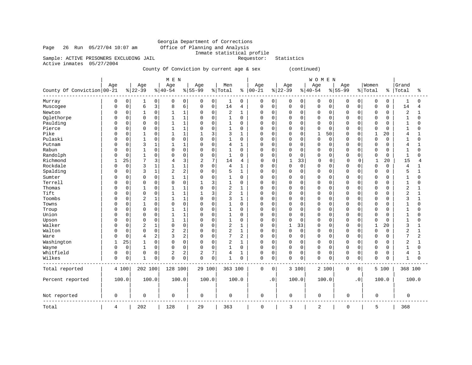# Georgia Department of Corrections<br>Office of Planning and Analysis Inmate statistical profile<br>Requestor: Statistics

Page 26 Run 05/27/04 10:07 am Sample: ACTIVE PRISONERS EXCLUDING JAIL

Active inmates 05/27/2004

County Of Conviction by current age & sex (continued)

|                            |          |                     |             |                | M E N          |                |             |             |                |              |             |             |              |             | WOMEN       |                     |             |           |             |       |                |                |
|----------------------------|----------|---------------------|-------------|----------------|----------------|----------------|-------------|-------------|----------------|--------------|-------------|-------------|--------------|-------------|-------------|---------------------|-------------|-----------|-------------|-------|----------------|----------------|
|                            | Age      |                     | Age         |                | Age            |                | Age         |             | Men            |              | Age         |             | Age          |             | Age         |                     | Age         |           | Women       |       | Grand          |                |
| County Of Conviction 00-21 |          |                     | $ 22-39$    |                | $ 40-54$       |                | $8155 - 99$ |             | % Total        | ႜ            | $ 00-21$    |             | $ 22-39$     |             | $ 40-54$    |                     | $8 55-99$   |           | % Total     | ៖     | Total          | နွ             |
| Murray                     | 0        | 0                   | 1           | 0              | 0              | 0              | 0           | 0           | $\mathbf{1}$   | 0            | $\mathbf 0$ | 0           | 0            | 0           | 0           | 0                   | 0           | 0         | 0           | 0     | 1              | $\Omega$       |
| Muscogee                   | $\Omega$ | $\mathsf{O}\xspace$ | 6           | 3              | 8              | 6              | 0           | $\mathbf 0$ | 14             | 4            | 0           | $\mathbf 0$ | 0            | 0           | $\mathbf 0$ | $\mathsf{O}\xspace$ | $\mathbf 0$ | 0         | 0           | 0     | 14             | $\overline{4}$ |
| Newton                     | U        | $\mathbf 0$         |             | $\mathbf 0$    |                | $\mathbf 1$    | $\Omega$    | $\Omega$    | 2              | 1            | $\Omega$    | 0           | $\Omega$     | $\mathbf 0$ | $\Omega$    | 0                   | 0           | $\Omega$  | 0           | 0     | 2              | $\mathbf{1}$   |
| Oglethorpe                 | U        | $\mathbf 0$         | $\mathbf 0$ | $\mathbf 0$    | $\mathbf{1}$   | $\mathbf{1}$   | 0           | $\mathbf 0$ | $\mathbf{1}$   | 0            | 0           | 0           | 0            | $\Omega$    | $\mathbf 0$ | 0                   | 0           | 0         | 0           | 0     | 1              | $\Omega$       |
| Paulding                   |          | 0                   | $\Omega$    | $\Omega$       | 1              | $\mathbf{1}$   | $\Omega$    | $\Omega$    | $\mathbf{1}$   | 0            | $\Omega$    | $\Omega$    | $\Omega$     | $\Omega$    | $\Omega$    | $\mathbf 0$         | O           | $\Omega$  | 0           | 0     | $\mathbf{1}$   | $\Omega$       |
| Pierce                     |          | 0                   | 0           | $\mathbf 0$    | 1              | 1              | 0           | $\Omega$    | $\mathbf{1}$   | 0            | 0           | 0           | 0            | 0           | $\mathbf 0$ | 0                   | 0           | 0         | $\Omega$    | 0     | 1              | $\Omega$       |
| Pike                       |          | $\mathbf 0$         | 1           | $\Omega$       | 1              | $\mathbf{1}$   | 1           | 3           | 3              | $\mathbf{1}$ | $\Omega$    | $\Omega$    | $\mathbf 0$  | $\Omega$    | $\mathbf 1$ | 50                  | $\Omega$    | $\Omega$  | $\mathbf 1$ | 20    | 4              | $\mathbf{1}$   |
| Pulaski                    |          | $\mathbf 0$         | 1           | $\mathbf 0$    | 0              | $\mathbf 0$    | 0           | $\Omega$    | $\mathbf{1}$   | 0            | 0           | 0           | 0            | $\mathbf 0$ | $\mathbf 0$ | $\mathbf 0$         | 0           | 0         | 0           | 0     |                | $\Omega$       |
| Putnam                     |          | $\mathbf 0$         | 3           | $\mathbf{1}$   | $\mathbf{1}$   | $\mathbf{1}$   | $\Omega$    | $\Omega$    | 4              | 1            | $\Omega$    | $\Omega$    | $\mathbf 0$  | $\mathbf 0$ | $\Omega$    | $\mathbf 0$         | $\Omega$    | 0         | $\Omega$    | 0     | 4              | $\mathbf{1}$   |
| Rabun                      |          | $\mathbf 0$         |             | $\mathbf 0$    | 0              | $\mathbf 0$    | $\Omega$    | $\Omega$    | $\mathbf{1}$   | 0            | $\Omega$    | 0           | $\mathbf 0$  | $\mathbf 0$ | $\Omega$    | 0                   | 0           | 0         | $\Omega$    | 0     |                | $\Omega$       |
| Randolph                   | O        | $\mathbf 0$         | 1           | $\Omega$       | $\Omega$       | $\mathsf 0$    | 0           | $\mathbf 0$ | $\mathbf{1}$   | O            | $\mathbf 0$ | $\Omega$    | $\mathbf 0$  | $\mathbf 0$ | $\Omega$    | $\mathbf 0$         | $\Omega$    | 0         | 0           | 0     | $\mathbf{1}$   | $\Omega$       |
| Richmond                   |          | 25                  | 7           | 3              | 4              | 3              | 2           | 7           | 14             | 4            | $\mathbf 0$ | 0           | $\mathbf{1}$ | 33          | $\mathbf 0$ | 0                   | $\Omega$    | 0         | 1           | 20    | 15             | 4              |
| Rockdale                   | O        | $\mathbf 0$         | 3           | $\mathbf{1}$   | 1              | $\mathbf{1}$   | $\Omega$    | $\mathbf 0$ | 4              | 1            | $\mathbf 0$ | $\Omega$    | $\mathbf 0$  | $\mathbf 0$ | $\Omega$    | $\mathbf 0$         | $\Omega$    | 0         | 0           | 0     | 4              | $\mathbf{1}$   |
| Spalding                   |          | $\mathbf 0$         | 3           | 1              | 2              | 2              | $\Omega$    | $\Omega$    | 5              | 1            | $\Omega$    | $\Omega$    | 0            | 0           | $\mathbf 0$ | 0                   | 0           | 0         | 0           | 0     | 5              | $\mathbf{1}$   |
| Sumter                     | U        | $\mathbf 0$         | $\Omega$    | $\mathbf 0$    | $\mathbf{1}$   | $\mathbf{1}$   | $\Omega$    | $\mathbf 0$ | $\mathbf{1}$   | 0            | $\mathbf 0$ | $\Omega$    | 0            | $\Omega$    | $\Omega$    | $\mathbf 0$         | 0           | 0         | $\Omega$    | 0     | 1              | $\Omega$       |
| Terrell                    |          | 0                   | 0           | $\mathbf 0$    | 0              | $\mathbf 0$    | 1           | 3           | $\mathbf{1}$   | 0            | $\mathbf 0$ | $\Omega$    | 0            | $\mathbf 0$ | $\mathbf 0$ | 0                   | 0           | 0         | 0           | 0     | 1              | $\Omega$       |
| Thomas                     |          | 0                   | 1           | $\mathbf 0$    | $\mathbf{1}$   | $\mathbf{1}$   | $\Omega$    | $\Omega$    | $\overline{2}$ | 1            | $\mathbf 0$ | O           | $\mathbf 0$  | $\Omega$    | $\Omega$    | 0                   | $\Omega$    | 0         | 0           | 0     | 2              | $\mathbf{1}$   |
| Tift                       |          | $\Omega$            | $\Omega$    | $\mathbf 0$    | 1              | $\mathbf{1}$   | 1           | 3           | $\overline{2}$ | 1            | $\Omega$    | 0           | 0            | $\Omega$    | $\mathbf 0$ | 0                   | 0           | $\Omega$  | 0           | 0     | 2              | $\mathbf{1}$   |
| Toombs                     |          | $\mathbf 0$         | 2           | 1              | 1              | $\mathbf{1}$   | 0           | $\mathbf 0$ | 3              | $\mathbf 1$  | $\mathbf 0$ | $\Omega$    | 0            | $\Omega$    | $\mathbf 0$ | 0                   | 0           | 0         | 0           | 0     | 3              | $\mathbf{1}$   |
| Towns                      |          | $\mathbf 0$         | 1           | $\mathbf 0$    | $\Omega$       | $\mathbf 0$    | 0           | $\Omega$    | $\mathbf{1}$   | 0            | $\Omega$    | $\Omega$    | $\mathbf 0$  | 0           | $\mathbf 0$ | 0                   | O           | $\Omega$  | 0           | 0     | 1              | $\Omega$       |
| Troup                      |          | $\mathbf 0$         | $\Omega$    | $\mathbf 0$    |                | $\mathbf{1}$   | $\Omega$    | $\Omega$    | $\mathbf{1}$   | 0            | $\Omega$    | $\Omega$    | $\mathbf 0$  | $\Omega$    | $\Omega$    | $\mathbf 0$         | $\Omega$    | $\Omega$  | $\Omega$    | 0     |                | $\Omega$       |
| Union                      | U        | $\mathbf 0$         | $\Omega$    | $\mathbf 0$    | 1              | $\mathbf{1}$   | $\Omega$    | $\Omega$    | $\mathbf{1}$   | O            | $\mathbf 0$ | O           | $\mathbf 0$  | 0           | $\Omega$    | 0                   | 0           | 0         | 0           | 0     | 1              | $\Omega$       |
| Upson                      |          | $\mathbf 0$         | $\Omega$    | $\mathbf 0$    | 1              | $1\,$          | $\Omega$    | $\Omega$    | $\mathbf{1}$   | 0            | $\Omega$    | $\Omega$    | $\mathbf 0$  | $\Omega$    | $\Omega$    | 0                   | $\Omega$    | 0         | $\Omega$    | 0     | $\mathbf{1}$   | $\Omega$       |
| Walker                     |          | $\mathbf 0$         | 2           | 1              | 0              | $\mathbf 0$    | 0           | $\Omega$    | $\overline{2}$ | 1            | 0           | 0           | 1            | 33          | 0           | 0                   | $\Omega$    | 0         | 1           | 20    | 3              | 1              |
| Walton                     |          | $\mathbf 0$         | $\Omega$    | $\mathbf 0$    | $\overline{2}$ | $\overline{c}$ | $\Omega$    | $\Omega$    | $\overline{2}$ | $\mathbf{1}$ | $\Omega$    | $\Omega$    | $\mathbf 0$  | $\Omega$    | $\mathbf 0$ | $\mathbf 0$         | $\Omega$    | $\Omega$  | 0           | O     | $\overline{2}$ | $\mathbf{1}$   |
| Ware                       | U        | $\mathbf 0$         | 4           | $\overline{2}$ | 3              | $\overline{c}$ | 0           | $\mathbf 0$ | $\overline{7}$ | 2            | 0           | 0           | 0            | $\mathbf 0$ | $\mathbf 0$ | 0                   | 0           | 0         | 0           | 0     | 7              | 2              |
| Washington                 |          | 25                  |             | $\mathbf 0$    | $\Omega$       | $\mathbf 0$    | 0           | $\Omega$    | $\overline{c}$ | $\mathbf{1}$ | $\mathbf 0$ | $\Omega$    | 0            | $\mathbf 0$ | $\mathbf 0$ | 0                   | 0           | 0         | 0           | 0     | $\sqrt{2}$     | $\mathbf{1}$   |
| Wayne                      | $\Omega$ | $\mathbf 0$         | 1           | $\mathbf 0$    | 0              | $\mathbf 0$    | 0           | $\mathbf 0$ | $\mathbf{1}$   | 0            | $\mathbf 0$ | $\mathbf 0$ | $\mathbf 0$  | $\mathbf 0$ | $\mathbf 0$ | $\mathbf 0$         | $\Omega$    | 0         | 0           | 0     | 1              | 0              |
| Whitfield                  | 0        | $\mathbf 0$         | $\mathbf 0$ | $\mathbf 0$    | 2              | 2              | 2           | 7           | 4              | 1            | $\Omega$    | $\Omega$    | 0            | $\mathbf 0$ | $\Omega$    | 0                   | 0           | 0         | 0           | 0     | 4              | $\mathbf{1}$   |
| Wilkes                     | 0        | $\mathbf 0$         | 1           | $\mathbf 0$    | 0              | $\mathbf 0$    | 0           | $\mathbf 0$ | 1              | 0            | $\mathbf 0$ | 0           | $\mathbf 0$  | 0           | $\Omega$    | $\mathbf 0$         | 0           | 0         | 0           | 0     | 1              | $\mathbf 0$    |
| Total reported             |          | 4 100               | 202 100     |                | 128 100        |                | 29 100      |             | 363 100        |              | 0           | 0           |              | 3 100       |             | 2 100               | 0           | 0         |             | 5 100 | 368 100        |                |
| Percent reported           |          | 100.0               | 100.0       |                | 100.0          |                | 100.0       |             |                | 100.0        |             | $\cdot$ 0   |              | 100.0       |             | 100.0               |             | $\cdot$ 0 |             | 100.0 |                | 100.0          |
| Not reported               | 0        |                     | 0           |                | 0              |                | 0           |             | 0              |              | $\mathbf 0$ |             | 0            |             | $\mathbf 0$ |                     | $\mathbf 0$ |           | 0           |       | 0              |                |
| Total                      | 4        |                     | 202         |                | 128            |                | 29          |             | 363            |              | 0           |             | 3            |             | 2           |                     | 0           |           | 5           |       | 368            |                |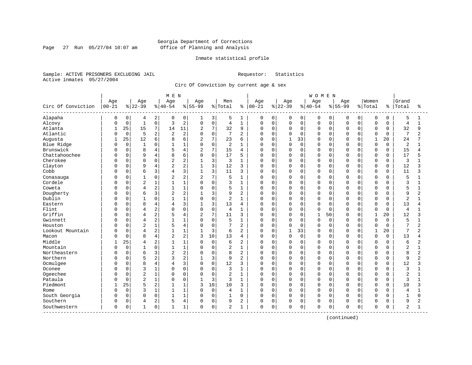Page 27 Run 05/27/04 10:07 am

#### Inmate statistical profile

Sample: ACTIVE PRISONERS EXCLUDING JAIL Requestor: Statistics Active inmates 05/27/2004

Circ Of Conviction by current age & sex

|                    |              |             |                |                | MEN            |                |                |             |                 |                |              |             |              |             | <b>WOMEN</b> |          |              |             |             |             |                |              |
|--------------------|--------------|-------------|----------------|----------------|----------------|----------------|----------------|-------------|-----------------|----------------|--------------|-------------|--------------|-------------|--------------|----------|--------------|-------------|-------------|-------------|----------------|--------------|
|                    | Age          |             | Age            |                | Age            |                | Age            |             | Men             |                | Age          |             | Age          |             | Age          |          | Age          |             | Women       |             | Grand          |              |
| Circ Of Conviction | $00 - 21$    |             | $8 22-39$      |                | $8140 - 54$    |                | $8155 - 99$    |             | % Total         | ႜ              | $ 00 - 21$   |             | $ 22-39$     |             | $8 40-54$    |          | $8 55-99$    |             | % Total     | နွ          | Total          | ႜ            |
| Alapaha            | 0            | 0           | 4              | 2              | 0              | 0              | ı              | 3           | 5               | 1              | 0            | 0           | 0            | 0           | 0            | 0        | 0            | 0           | 0           | 0           | 5              |              |
| Alcovy             | O            | $\mathbf 0$ | $\mathbf{1}$   | $\mathbf{0}$   | 3              | $\overline{c}$ | $\mathbf 0$    | $\mathsf 0$ | $\overline{4}$  | $\mathbf{1}$   | $\Omega$     | $\mathbf 0$ | 0            | $\mathbf 0$ | $\mathsf 0$  | 0        | $\Omega$     | $\mathbf 0$ | $\mathsf 0$ | $\mathbf 0$ | $\overline{4}$ | $\mathbf{1}$ |
| Atlanta            | $\mathbf{1}$ | 25          | 15             | 7              | 14             | 11             | $\overline{2}$ | 7           | 32              | 9              | 0            | $\mathbf 0$ | 0            | $\Omega$    | $\mathbf 0$  | 0        | $\Omega$     | $\Omega$    | $\mathbf 0$ | $\Omega$    | 32             | 9            |
| Atlantic           | U            | $\mathbf 0$ | 5              | 2              | 2              | $\overline{c}$ | $\Omega$       | $\mathbf 0$ | 7               | $\overline{2}$ | 0            | $\mathbf 0$ | 0            | $\mathbf 0$ | $\mathbf 0$  | $\Omega$ | $\Omega$     | O           | $\Omega$    | $\Omega$    | 7              |              |
| Augusta            | 1            | 25          | 12             | 6              | 8              | 6              | $\overline{2}$ | 7           | 23              | 6              | <sup>0</sup> | $\Omega$    | $\mathbf{1}$ | 33          | $\Omega$     | $\Omega$ | $\Omega$     | U           | 1           | 20          | 24             |              |
| Blue Ridge         | U            | $\mathbf 0$ | $\mathbf{1}$   | $\Omega$       |                | $\mathbf{1}$   | $\Omega$       | $\mathbf 0$ | $\overline{2}$  | $\mathbf{1}$   | 0            | $\mathbf 0$ | 0            | $\mathbf 0$ | $\Omega$     | $\Omega$ | $\Omega$     | $\Omega$    | $\mathbf 0$ | $\Omega$    | $\overline{2}$ |              |
| Brunswick          |              | $\mathbf 0$ | 8              | 4              |                | $\overline{4}$ | $\overline{2}$ | 7           | 15              | 4              | $\Omega$     | $\mathbf 0$ | 0            | $\mathbf 0$ | $\Omega$     | 0        | $\Omega$     | 0           | $\Omega$    | $\mathbf 0$ | 15             | 4            |
| Chattahoochee      |              | $\mathbf 0$ | 9              | 4              | 8              | 6              | $\Omega$       | $\mathbf 0$ | 17              | 5              | 0            | $\mathbf 0$ | 0            | $\mathbf 0$ | $\Omega$     | 0        | $\Omega$     | O           | $\mathbf 0$ | $\Omega$    | 17             |              |
| Cherokee           | U            | 0           | $\Omega$       | 0              | 2              | $\overline{2}$ |                | 3           | 3               | $\mathbf{1}$   | 0            | 0           | 0            | 0           | $\mathbf 0$  | 0        | $\Omega$     | 0           | 0           | 0           | 3              |              |
| Clayton            | O            | 0           | 9              | 4              | $\overline{2}$ | 2              |                | 3           | 12              | 3              | 0            | 0           | 0            | $\mathbf 0$ | $\mathbf 0$  | $\Omega$ | <sup>0</sup> | O           | $\Omega$    | $\Omega$    | 12             | 3            |
| Cobb               | U            | 0           | 6              | 3              | 4              | 3              | 1              | 3           | 11              | 3              | 0            | 0           | 0            | 0           | $\mathbf 0$  | $\Omega$ | <sup>0</sup> | O           | $\mathbf 0$ | $\Omega$    | 11             | ς            |
| Conasauga          | Ω            | 0           | $\mathbf{1}$   | 0              | $\overline{c}$ | 2              | $\overline{a}$ | 7           | 5               | $\mathbf{1}$   | 0            | $\Omega$    | U            | $\Omega$    | $\Omega$     | $\Omega$ | $\Omega$     | O           | $\Omega$    | $\Omega$    | 5              |              |
| Cordele            |              | $\mathbf 0$ | $\overline{2}$ | 1              |                | $1\,$          | $\Omega$       | $\mathbf 0$ | 3               | $\mathbf{1}$   | 0            | $\mathbf 0$ | 0            | $\mathbf 0$ | $\Omega$     | 0        | $\Omega$     | $\Omega$    | $\Omega$    | $\Omega$    | 3              | -1           |
| Coweta             |              | 0           | 4              | 2              |                | $1\,$          | $\Omega$       | $\Omega$    | 5               | $\mathbf{1}$   | 0            | $\mathbf 0$ | 0            | $\mathbf 0$ | $\Omega$     | 0        | $\cap$       | $\Omega$    | $\Omega$    | $\Omega$    | 5              |              |
| Dougherty          | U            | 0           | 6              | 3              | 2              | $\overline{2}$ |                | 3           | 9               | 2              | 0            | $\mathbf 0$ | 0            | $\Omega$    | $\mathbf 0$  | 0        | $\Omega$     | O           | $\Omega$    | $\Omega$    | 9              | 2            |
| Dublin             | Λ            | 0           | $\mathbf{1}$   | 0              |                | $1\,$          | $\Omega$       | $\mathbf 0$ | $\overline{a}$  | $\mathbf{1}$   | 0            | $\mathbf 0$ | 0            | $\Omega$    | $\mathbf 0$  | $\Omega$ | $\Omega$     | O           | $\Omega$    | $\Omega$    | $\overline{c}$ |              |
| Eastern            |              | 0           | 8              | 4              | 4              | 3              | $\mathbf{1}$   | 3           | 13              | 4              | 0            | 0           | 0            | $\Omega$    | $\Omega$     | $\cap$   | <sup>0</sup> | U           | $\Omega$    | $\Omega$    | 13             | 4            |
| Flint              |              | 0           | 4              | 2              | $\Omega$       | $\mathbf 0$    | $\mathbf 0$    | $\mathbf 0$ | $\overline{4}$  | $\mathbf{1}$   | 0            | $\mathbf 0$ | 0            | 0           | $\mathbf 0$  | $\Omega$ | $\Omega$     | $\Omega$    | $\mathbf 0$ | $\Omega$    | $\overline{4}$ |              |
| Griffin            |              | 0           | 4              | $\overline{c}$ |                | 4              | 2              | 7           | 11              | 3              | 0            | 0           | $\Omega$     | $\mathbf 0$ | $\mathbf{1}$ | 50       | 0            | 0           | 1           | 20          | 12             | 3            |
| Gwinnett           | U            | 0           | 4              | $\overline{a}$ | 1              | $\mathbf{1}$   | $\Omega$       | $\mathbf 0$ | 5               | $\mathbf{1}$   | 0            | $\mathbf 0$ | 0            | $\mathbf 0$ | $\mathbf 0$  | 0        | $\Omega$     | 0           | $\Omega$    | $\Omega$    | 5              | 1            |
| Houston            |              | 0           | $\overline{2}$ | $\mathbf 1$    | 5              | $\overline{4}$ | 0              | $\mathbf 0$ | $7\phantom{.0}$ | 2              | 0            | 0           | 0            | 0           | $\mathbf 0$  | $\Omega$ | $\Omega$     | 0           | $\Omega$    | 0           | 7              | 2            |
| Lookout Mountain   | U            | 0           | 4              | $\overline{2}$ |                | $\mathbf{1}$   |                | 3           | 6               | 2              | $\Omega$     | $\mathbf 0$ | 1            | 33          | $\mathbf 0$  | 0        | $\Omega$     | $\Omega$    | 1           | 20          | 7              | 2            |
| Macon              | U            | $\Omega$    | 8              | $\overline{4}$ | 2              | $\overline{a}$ | 3              | 10          | 13              | $\overline{4}$ | $\Omega$     | $\Omega$    | $\Omega$     | $\Omega$    | $\Omega$     | $\Omega$ | $\Omega$     | $\Omega$    | $\Omega$    | $\Omega$    | 13             | 4            |
| Middle             |              | 25          | 4              | 2              |                | $\mathbf{1}$   | $\Omega$       | 0           | 6               | $\overline{2}$ | $\Omega$     | $\mathbf 0$ | 0            | $\Omega$    | $\Omega$     | $\Omega$ | O            | $\Omega$    | $\Omega$    | $\Omega$    | 6              | 2            |
| Mountain           |              | $\mathbf 0$ | $\mathbf{1}$   | 0              |                | $\mathbf 1$    | $\Omega$       | $\mathbf 0$ | 2               | $\mathbf{1}$   | 0            | $\mathbf 0$ | 0            | $\mathbf 0$ | $\Omega$     | 0        | $\Omega$     | 0           | $\Omega$    | $\Omega$    | $\overline{a}$ |              |
| Northeastern       |              | $\mathbf 0$ | 6              | 3              | $\overline{2}$ | $\overline{c}$ | $\cap$         | $\Omega$    | 8               | $\overline{2}$ | 0            | $\mathbf 0$ | 0            | $\Omega$    | $\Omega$     | 0        | $\Omega$     | O           | $\Omega$    | $\Omega$    | 8              | 2            |
| Northern           | U            | 0           | 5              | 2              |                | $\overline{2}$ |                | 3           | 9               | 2              | 0            | $\Omega$    | 0            | 0           | $\Omega$     | 0        | $\Omega$     | O           | $\Omega$    | 0           | 9              |              |
| Ocmulgee           | O            | 0           | 8              | 4              | 4              | 3              | $\Omega$       | $\mathbf 0$ | 12              | 3              | 0            | 0           | 0            | $\Omega$    | $\mathbf 0$  | $\Omega$ | <sup>0</sup> | O           | $\Omega$    | $\Omega$    | 12             | 3            |
| Oconee             |              | 0           | 3              | $\mathbf 1$    | $\Omega$       | $\mathbf 0$    | $\Omega$       | 0           | 3               | $\mathbf{1}$   | 0            | 0           | 0            | $\mathbf 0$ | $\mathbf 0$  | $\Omega$ | $\Omega$     | O           | $\Omega$    | $\Omega$    | 3              |              |
| Ogeechee           |              | $\mathbf 0$ | $\overline{2}$ | $\mathbf 1$    | $\Omega$       | $\mathbf 0$    | 0              | $\mathbf 0$ | $\overline{2}$  | $\mathbf{1}$   | 0            | $\mathbf 0$ | 0            | 0           | $\Omega$     | 0        | $\Omega$     | 0           | $\mathbf 0$ | $\Omega$    | $\overline{2}$ |              |
| Pataula            |              | $\mathbf 0$ | $\overline{2}$ | $\mathbf{1}$   | $\Omega$       | $\mathbf 0$    | $\mathbf{1}$   | 3           | 3               | $\mathbf{1}$   | 0            | $\mathbf 0$ | 0            | $\mathbf 0$ | $\Omega$     | 0        | $\Omega$     | 0           | $\mathbf 0$ | 0           | 3              | $\mathbf{1}$ |
| Piedmont           | -1           | 25          | 5              | 2              |                | $\mathbf{1}$   | 3              | 10          | 10              | 3              | $\Omega$     | $\Omega$    | $\Omega$     | $\Omega$    | $\mathbf 0$  | $\Omega$ | $\Omega$     | $\Omega$    | $\Omega$    | $\Omega$    | 10             | 3            |
| Rome               |              | $\mathbf 0$ | 3              | 1              |                | 1              | 0              | $\mathbf 0$ | $\overline{4}$  | $\mathbf{1}$   | $\Omega$     | $\mathbf 0$ | 0            | $\Omega$    | $\mathbf 0$  | $\Omega$ | $\Omega$     | $\Omega$    | $\Omega$    | $\Omega$    | $\overline{4}$ |              |
| South Georgia      | O            | $\Omega$    | $\Omega$       | 0              | $\mathbf{1}$   | $1\,$          | $\Omega$       | $\mathbf 0$ | $\mathbf{1}$    | $\Omega$       | $\Omega$     | $\mathbf 0$ | 0            | $\Omega$    | $\Omega$     | 0        | $\Omega$     | $\Omega$    | $\Omega$    | $\Omega$    | $\mathbf{1}$   | $\Omega$     |
| Southern           | 0            | 0           | 4              | 2              | 5              | $\overline{4}$ | $\Omega$       | $\mathbf 0$ | 9               | 2              | 0            | $\Omega$    | 0            | $\mathbf 0$ | $\mathbf 0$  | 0        | $\Omega$     | 0           | $\Omega$    | O           | 9              | 2            |
| Southwestern       | 0            | 0           | 1              | $\overline{0}$ | 1              | $\mathbf 1$    | $\Omega$       | 0           | 2               | 1              | 0            | 0           | 0            | 0           | $\mathbf 0$  | 0        | $\Omega$     | 0           | 0           | 0           | 2              |              |

(continued)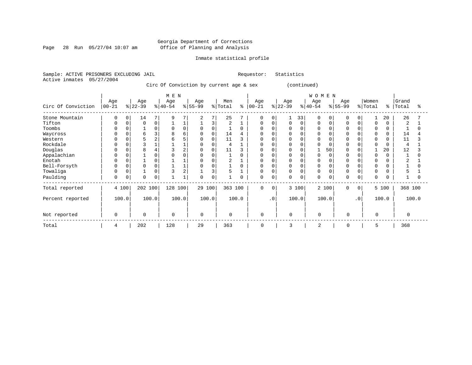Page 28 Run 05/27/04 10:07 am

#### Inmate statistical profile

Sample: ACTIVE PRISONERS EXCLUDING JAIL Requestor: Statistics Active inmates 05/27/2004

Circ Of Conviction by current age & sex (continued)

|                    |                  |       |                  |       | M E N            |                |                 |          |                |       |                    |              |                  |             | <b>WOMEN</b>     |             |                 |           |                  |          |                |       |
|--------------------|------------------|-------|------------------|-------|------------------|----------------|-----------------|----------|----------------|-------|--------------------|--------------|------------------|-------------|------------------|-------------|-----------------|-----------|------------------|----------|----------------|-------|
| Circ Of Conviction | Age<br>$00 - 21$ |       | Age<br>$ 22-39 $ |       | Age<br>$ 40-54 $ |                | Age<br>$ 55-99$ |          | Men<br>% Total | နွ    | Age<br>$ 00 - 21 $ |              | Age<br>$ 22-39 $ |             | Age<br>$ 40-54 $ |             | Age<br>$ 55-99$ |           | Women<br>% Total | ៖        | Grand<br>Total |       |
| Stone Mountain     | 0                | 0     | 14               | 7     | 9                |                | 2               | 7        | 25             |       | 0                  | <sup>0</sup> |                  | 33          | 0                | $\Omega$    | 0               | 0         |                  | 20       | 26             |       |
| Tifton             | $\mathbf 0$      |       | $\Omega$         | 0     |                  |                |                 | 3        | 2              |       | 0                  | 0            | 0                | $\mathbf 0$ | 0                | 0           | $\Omega$        |           | $\Omega$         |          | 2              |       |
| Toombs             | $\Omega$         |       |                  | 0     |                  | $\Omega$       | $\mathbf 0$     | $\Omega$ |                | 0     | 0                  |              |                  | $\Omega$    |                  | $\Omega$    |                 |           | $\mathbf 0$      | $\Omega$ |                |       |
| Waycross           | $\Omega$         |       | 6                | 3     | 8                | 6              | 0               | 0        | 14             |       | 0                  |              |                  | $\Omega$    |                  |             |                 |           | 0                | 0        | 14             |       |
| Western            | 0                |       | 5                | 2     | б                |                | 0               | 0        | 11             |       | $\mathbf 0$        |              |                  | 0           |                  | $\Omega$    | <sup>0</sup>    |           | $\mathbf 0$      | 0        | 11             |       |
| Rockdale           |                  |       | 3                |       |                  |                | 0               | 0        | 4              |       | $\Omega$           |              |                  | $\mathbf 0$ |                  |             |                 |           | $\Omega$         |          | $\overline{4}$ |       |
| Douglas            |                  |       | 8                | 4     |                  |                | $\mathbf 0$     | 0        | 11             |       |                    |              |                  | 0           |                  | 50          |                 |           |                  | 20       | 12             |       |
| Appalachian        | $\Omega$         |       |                  |       |                  |                | $\Omega$        | 0        |                |       | $\Omega$           |              |                  | $\Omega$    |                  | $\sqrt{ }$  | $\Omega$        |           | $\Omega$         |          |                |       |
| Enotah             | $\Omega$         |       |                  |       |                  |                | 0               |          | 2              |       | 0                  |              |                  | 0           |                  |             |                 |           | $\Omega$         |          | 2              |       |
| Bell-Forsyth       | $\Omega$         |       |                  | 0     |                  |                | $\Omega$        | 0        |                | O     | $\Omega$           |              | O                | $\Omega$    |                  | $\Omega$    | $\Omega$        |           | $\Omega$         |          |                |       |
| Towaliga           | $\Omega$         |       |                  | 0     |                  | $\overline{2}$ |                 | 3        | 5              |       | 0                  |              | 0                | $\mathbf 0$ |                  | $\Omega$    | $\Omega$        |           | $\Omega$         |          |                |       |
| Paulding           | 0                | 0     | $\Omega$         | 0     |                  |                | 0               | 0        |                | 0     | 0                  | $\Omega$     | 0                | $\mathbf 0$ | 0                | $\mathbf 0$ | $\Omega$        | 0         | $\Omega$         | $\Omega$ |                |       |
| Total reported     |                  | 4 100 | 202 100          |       | 128 100          |                | 29 100          |          | 363 100        |       | 0                  | $\Omega$     |                  | 3 100       |                  | 2 100       | $\Omega$        | $\Omega$  |                  | 5 100    | 368 100        |       |
| Percent reported   |                  | 100.0 |                  | 100.0 |                  | 100.0          |                 | 100.0    |                | 100.0 |                    | $\cdot$ 0    |                  | 100.0       |                  | 100.0       |                 | $\cdot$ 0 |                  | 100.0    |                | 100.0 |
| Not reported       | $\mathbf 0$      |       | $\Omega$         |       | $\mathbf 0$      |                | $\Omega$        |          | $\mathbf 0$    |       | $\mathbf 0$        |              | $\Omega$         |             | $\mathbf 0$      |             | $\Omega$        |           | $\Omega$         |          | $\Omega$       |       |
| Total              | 4                |       | 202              |       | 128              |                | 29              |          | 363            |       | 0                  |              | 3                |             | $\overline{c}$   |             | $\Omega$        |           | 5                |          | 368            |       |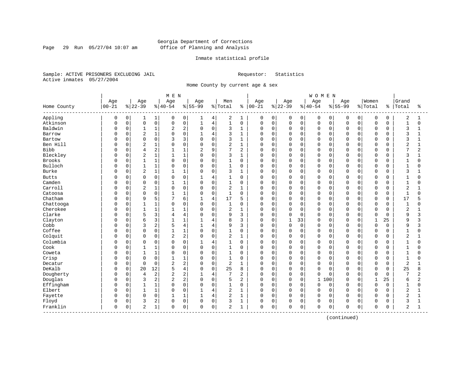Page 29 Run 05/27/04 10:07 am

#### Inmate statistical profile

Sample: ACTIVE PRISONERS EXCLUDING JAIL Requestor: Statistics Active inmates 05/27/2004

Home County by current age & sex

|                       |           |             |                |              | M E N          |                |                |                |              |                |            |             |          |              | <b>WOMEN</b> |          |             |             |              |             |                         |                |
|-----------------------|-----------|-------------|----------------|--------------|----------------|----------------|----------------|----------------|--------------|----------------|------------|-------------|----------|--------------|--------------|----------|-------------|-------------|--------------|-------------|-------------------------|----------------|
|                       | Age       |             | Age            |              | Age            |                | Age            |                | Men          |                | Age        |             | Age      |              | Age          |          | Age         |             | Women        |             | Grand                   |                |
| Home County           | $00 - 21$ |             | $ 22-39$       |              | $8140 - 54$    |                | $8155 - 99$    |                | % Total      | ៖              | $ 00 - 21$ |             | $ 22-39$ |              | $8 40-54$    |          | $8155 - 99$ |             | % Total      | နွ          | Total                   | ႜ              |
| Appling               | 0         | 0           | 1              | $\mathbf{1}$ | 0              | 0              | 1              | 4              | 2            | 1              | 0          | 0           | 0        | 0            | 0            | 0        | 0           | 0           | 0            | 0           | $\overline{c}$          | 1              |
| Atkinson              | 0         | $\mathsf 0$ | $\mathsf 0$    | 0            | 0              | 0              | $\mathbf{1}$   | $\,4$          | $\mathbf{1}$ | $\mathbf 0$    | 0          | $\mathbf 0$ | 0        | $\mathsf{O}$ | $\mathbf 0$  | 0        | $\Omega$    | $\mathbf 0$ | $\mathsf 0$  | $\mathbf 0$ | $\mathbf{1}$            | $\mathbf 0$    |
| Baldwin               | O         | 0           | $\mathbf{1}$   | 1            | 2              | $\overline{c}$ | $\mathbf 0$    | $\mathbf 0$    | 3            | $\mathbf{1}$   | 0          | $\mathbf 0$ | 0        | $\mathbf 0$  | $\mathbf 0$  | 0        | $\Omega$    | $\Omega$    | $\mathbf 0$  | 0           | 3                       | 1              |
| Barrow                | O         | $\mathbf 0$ | $\overline{2}$ | 1            | $\Omega$       | 0              | -1             | $\overline{4}$ | 3            | $\mathbf{1}$   | 0          | $\mathbf 0$ | 0        | $\mathbf 0$  | $\mathbf 0$  | $\Omega$ | $\Omega$    | $\Omega$    | $\mathbf 0$  | $\Omega$    | 3                       | -1             |
| Bartow                | O         | 0           | $\mathbf 0$    | 0            | 3              | 3              | $\Omega$       | $\Omega$       | 3            | $\mathbf{1}$   | 0          | 0           | 0        | $\Omega$     | $\mathbf 0$  | $\Omega$ | $\cap$      | O           | $\Omega$     | $\Omega$    | 3                       |                |
| Ben Hill              | U         | $\Omega$    | $\overline{2}$ | 1            | $\Omega$       | $\mathbf 0$    | $\Omega$       | $\Omega$       | 2            | $\mathbf{1}$   | 0          | $\mathbf 0$ | O        | $\Omega$     | $\mathbf 0$  | $\Omega$ | $\Omega$    | $\Omega$    | $\Omega$     | U           | $\overline{c}$          | $\mathbf{1}$   |
| <b>Bibb</b>           | Ω         | $\mathbf 0$ | 4              | 2            |                | $\mathbf 1$    | $\overline{2}$ | 9              | 7            | $\overline{2}$ | 0          | $\mathbf 0$ | 0        | $\mathbf 0$  | $\mathbf 0$  | 0        | $\Omega$    | 0           | $\Omega$     | $\Omega$    | 7                       | $\overline{2}$ |
| Bleckley              | Ω         | 0           | $\overline{c}$ | 1            |                | $\mathbf 1$    | $\Omega$       | 0              | 3            | $\mathbf{1}$   | 0          | $\mathbf 0$ | 0        | $\mathbf 0$  | $\Omega$     | 0        | $\Omega$    | 0           | $\mathbf 0$  | $\Omega$    | 3                       |                |
| <b>Brooks</b>         | $\Omega$  | 0           | $\mathbf{1}$   | 1            | $\Omega$       | $\mathbf 0$    | $\mathbf 0$    | $\mathbf 0$    | 1            | $\mathbf 0$    | 0          | $\mathbf 0$ | 0        | $\mathbf 0$  | $\mathbf 0$  | 0        | $\Omega$    | $\Omega$    | $\mathbf 0$  | $\Omega$    | 1                       | $\Omega$       |
| Bulloch               | U         | 0           | $\mathbf{1}$   | 1            | $\Omega$       | $\mathsf 0$    | $\Omega$       | 0              | 1            | $\mathbf 0$    | 0          | $\mathbf 0$ | 0        | $\mathbf 0$  | $\mathbf 0$  | 0        | $\Omega$    | O           | $\Omega$     | $\Omega$    | $\mathbf{1}$            |                |
| <b>Burke</b>          | U         | 0           | $\overline{2}$ | 1            | 1              | $1\,$          | $\Omega$       | $\mathbf 0$    | 3            | $\mathbf{1}$   | 0          | $\mathbf 0$ | 0        | $\mathbf 0$  | $\Omega$     | $\Omega$ | $\Omega$    | O           | $\Omega$     | $\cap$      | 3                       |                |
| <b>Butts</b>          | Ω         | 0           | $\Omega$       | $\Omega$     | $\Omega$       | $\Omega$       | $\mathbf{1}$   | 4              | 1            | $\Omega$       | 0          | $\Omega$    | 0        | $\Omega$     | $\Omega$     | $\Omega$ | $\Omega$    | 0           | $\Omega$     | $\Omega$    | 1                       | $\Omega$       |
| Camden                |           | $\mathbf 0$ | $\mathbf 0$    | 0            | $\mathbf{1}$   | $1\,$          | $\Omega$       | $\mathbf 0$    | $\mathbf{1}$ | $\mathbf 0$    | $\Omega$   | $\mathbf 0$ | 0        | $\Omega$     | $\mathbf 0$  | $\Omega$ | $\Omega$    | $\Omega$    | $\Omega$     | $\Omega$    | $\mathbf{1}$            | $\Omega$       |
| Carroll               |           | 0           | $\sqrt{2}$     | 1            | $\Omega$       | 0              | $\Omega$       | $\mathbf 0$    | $\sqrt{2}$   | $\mathbf{1}$   | $\Omega$   | $\mathbf 0$ | $\Omega$ | $\mathbf 0$  | $\mathbf 0$  | 0        | $\Omega$    | $\Omega$    | $\Omega$     | $\Omega$    | $\overline{\mathbf{c}}$ |                |
| Catoosa               | O         | 0           | $\Omega$       | 0            | $\mathbf{1}$   | $1\,$          | $\Omega$       | $\Omega$       | $\mathbf{1}$ | $\Omega$       | $\Omega$   | $\mathbf 0$ | 0        | $\Omega$     | $\mathbf 0$  | $\Omega$ | $\Omega$    | $\Omega$    | $\Omega$     | $\Omega$    | $\mathbf{1}$            | $\Omega$       |
| Chatham               | Ω         | 0           | 9              | 5            |                | 6              |                | $\overline{4}$ | 17           | 5              | 0          | $\mathbf 0$ | 0        | $\mathbf 0$  | $\mathbf 0$  | $\Omega$ | $\Omega$    | O           | $\Omega$     | $\Omega$    | 17                      |                |
| Chattooga             | O         | 0           | $\mathbf{1}$   | $\mathbf 1$  | $\Omega$       | $\mathbf 0$    | $\Omega$       | $\Omega$       | $\mathbf{1}$ | $\Omega$       | 0          | $\Omega$    | 0        | $\Omega$     | $\Omega$     | $\Omega$ | $\Omega$    | $\Omega$    | $\Omega$     | $\Omega$    | $\mathbf{1}$            | U              |
| Cherokee              | O         | 0           | $\mathbf{1}$   | $\mathbf 1$  |                | $\mathbf{1}$   | $\Omega$       | $\Omega$       | 2            | $\mathbf{1}$   | $\Omega$   | $\mathbf 0$ | 0        | $\Omega$     | $\mathbf 0$  | $\Omega$ | $\Omega$    | $\Omega$    | $\mathbf 0$  | $\Omega$    | $\overline{2}$          |                |
| Clarke                |           | 0           | 5              | 3            | 4              | $\,4$          | $\Omega$       | 0              | 9            | 3              | $\Omega$   | $\mathbf 0$ | 0        | $\mathbf 0$  | $\Omega$     | 0        | $\Omega$    | 0           | $\Omega$     | $\Omega$    | 9                       | 3              |
| Clayton               | Ω         | $\mathbf 0$ | 6              | 3            | $\mathbf{1}$   | $1\,$          | 1              | $\overline{4}$ | 8            | 3              | $\Omega$   | $\mathbf 0$ | $1\,$    | 33           | $\Omega$     | 0        | $\Omega$    | $\Omega$    | $\mathbf{1}$ | 25          | 9                       | κ              |
| Cobb                  | O         | 0           | 3              | 2            | 5              | $\overline{4}$ |                | $\overline{4}$ | 9            | 3              | 0          | $\mathbf 0$ | 0        | $\mathbf 0$  | $\mathbf 0$  | 0        | $\Omega$    | O           | $\mathbf 0$  | $\Omega$    | 9                       | 3              |
| Coffee                | O         | 0           | $\mathbf 0$    | 0            |                | $\mathbf{1}$   | $\Omega$       | $\mathbf 0$    | 1            | $\Omega$       | $\Omega$   | $\mathbf 0$ | 0        | $\mathbf 0$  | $\mathbf 0$  | 0        | $\Omega$    | $\Omega$    | $\Omega$     | $\Omega$    | $\mathbf{1}$            | O              |
| Colquit               | U         | $\mathbf 0$ | $\mathbf 0$    | 0            | 2              | $\overline{c}$ | $\Omega$       | 0              | 2            | $\mathbf{1}$   | 0          | $\mathbf 0$ | 0        | $\mathbf 0$  | $\mathbf 0$  | $\Omega$ | $\Omega$    | $\Omega$    | $\Omega$     | $\Omega$    | $\overline{2}$          |                |
| Columbia              | 0         | 0           | 0              | 0            | $\Omega$       | 0              | 1              | 4              | 1            | 0              | 0          | $\mathbf 0$ | 0        | 0            | 0            | 0        | $\Omega$    | 0           | $\Omega$     | $\Omega$    | $\mathbf{1}$            | O              |
| Cook                  |           | $\mathbf 0$ | $\mathbf{1}$   | 1            | $\Omega$       | $\mathbf 0$    | $\mathbf 0$    | $\mathbf 0$    | 1            | 0              | 0          | $\mathbf 0$ | 0        | 0            | $\mathbf 0$  | 0        | $\Omega$    | 0           | $\mathbf 0$  | $\Omega$    | $\mathbf{1}$            | 0              |
| Coweta                | Ω         | $\mathbf 0$ | $\mathbf{1}$   | 1            | $\Omega$       | $\mathbf 0$    | $\Omega$       | 0              | $\mathbf{1}$ | $\mathbf 0$    | 0          | $\mathbf 0$ | 0        | $\mathbf 0$  | $\mathbf 0$  | 0        | $\Omega$    | 0           | $\mathbf 0$  | $\Omega$    | $\mathbf 1$             | $\Omega$       |
| Crisp                 | O         | 0           | $\mathbf 0$    | 0            |                | $\mathbf{1}$   | $\Omega$       | $\mathbf 0$    | $\mathbf{1}$ | $\mathbf 0$    | 0          | $\mathbf 0$ | 0        | $\mathbf 0$  | $\mathbf 0$  | 0        | $\Omega$    | 0           | $\mathbf 0$  | 0           | $\mathbf{1}$            | O              |
| Decatur               | O         | 0           | $\Omega$       | 0            | $\overline{c}$ | $\overline{c}$ | $\Omega$       | $\Omega$       | 2            | $\mathbf{1}$   | $\Omega$   | $\mathbf 0$ | 0        | $\Omega$     | $\Omega$     | $\Omega$ | $\Omega$    | 0           | $\Omega$     | $\Omega$    | $\overline{2}$          |                |
| DeKalb                | 0         | 0           | 20             | 12           | 5              | $\overline{4}$ | $\Omega$       | $\Omega$       | 25           | 8              | $\Omega$   | $\Omega$    | 0        | $\Omega$     | $\Omega$     | $\Omega$ | $\Omega$    | $\Omega$    | $\Omega$     | $\Omega$    | 25                      | 8              |
| Dougherty             | 0         | $\mathbf 0$ | 4              | 2            | 2              | $\overline{c}$ |                | 4              | 7            | 2              | $\Omega$   | $\mathbf 0$ | 0        | $\mathbf 0$  | $\Omega$     | $\Omega$ | $\Omega$    | $\Omega$    | $\mathbf 0$  | $\Omega$    | 7                       | 2              |
| Douglas               | 0         | $\mathbf 0$ | 3              | 2            | $\overline{2}$ | $\overline{c}$ | $\Omega$       | $\mathbf 0$    | 5            | 2              | $\Omega$   | $\mathbf 0$ | 0        | $\mathbf 0$  | $\mathbf{1}$ | 100      | $\Omega$    | $\Omega$    | $\mathbf{1}$ | 25          | 6                       | 2              |
| Effingham             | $\Omega$  | $\mathbf 0$ | $\mathbf{1}$   | 1            | $\Omega$       | $\mathbf 0$    | $\Omega$       | $\mathbf 0$    | $\mathbf{1}$ | $\Omega$       | $\Omega$   | $\mathbf 0$ | 0        | $\Omega$     | $\mathbf 0$  | $\Omega$ | $\Omega$    | $\Omega$    | $\Omega$     | $\Omega$    | $\mathbf 1$             | $\Omega$       |
| Elbert                | 0         | 0           | $\mathbf{1}$   | 1            | $\Omega$       | $\mathsf 0$    |                | $\overline{4}$ | 2            | $\mathbf{1}$   | $\Omega$   | $\mathbf 0$ | 0        | $\mathbf 0$  | $\mathbf 0$  | $\Omega$ | $\Omega$    | $\Omega$    | $\Omega$     | $\Omega$    | $\overline{2}$          |                |
| Fayette               | O         | 0           | $\mathbf 0$    | 0            | $\mathbf{1}$   | $1\,$          | $\mathbf{1}$   | 4              | 2            | $\mathbf{1}$   | $\Omega$   | $\mathbf 0$ | 0        | $\Omega$     | $\mathbf 0$  | 0        | $\Omega$    | $\Omega$    | $\Omega$     | $\Omega$    | $\overline{2}$          | $\mathbf{1}$   |
| Floyd                 | 0         | 0           | 3              | 2            | 0              | 0              | $\Omega$       | $\mathbf 0$    | 3            | $\mathbf{1}$   | 0          | $\mathbf 0$ | 0        | $\mathbf 0$  | $\mathbf 0$  | 0        | $\Omega$    | 0           | $\Omega$     | O           | 3                       | -1             |
| Franklin<br>--------- | 0         | 0           | $\overline{2}$ | 1            | 0              | 0              | $\Omega$       | $\mathsf{O}$   | 2            | 1              | 0          | 0           | 0        | 0            | $\mathbf 0$  | 0        | 0           | 0           | $\mathbf 0$  | 0           | 2                       | 1              |

(continued)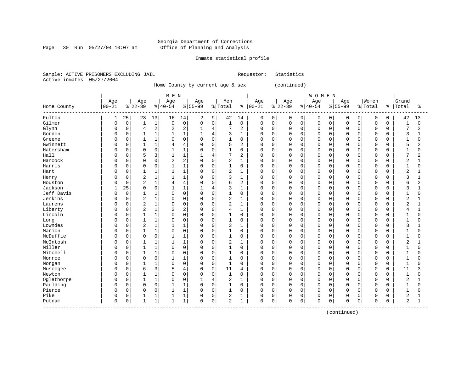Page 30 Run 05/27/04 10:07 am

#### Inmate statistical profile

Sample: ACTIVE PRISONERS EXCLUDING JAIL Requestor: Statistics Active inmates 05/27/2004

Home County by current age & sex (continued)

| ----------<br>Fulton<br>25<br>13<br>9<br>42<br>$\mathbf 0$<br>$\mathbf 0$<br>$\mathbf 0$<br>42<br>23<br>16<br>14<br>2<br>14<br>$\mathbf 0$<br>0<br>0<br>0<br>$\mathbf 0$<br>0<br>1<br>0<br>Gilmer<br>$\mathbf 0$<br>$\mathbf{1}$<br>$\mathsf 0$<br>$\mathsf 0$<br>$1\,$<br>$\mathsf{O}$<br>$\mathbf 0$<br>$\mathbf 0$<br>$\mathbf{1}$<br>0<br>$\mathbf{1}$<br>0<br>0<br>0<br>0<br>0<br>0<br>$\mathbf 0$<br>$\mathbf 0$<br>0<br>$\mathbf 0$<br>7<br>2<br>$\overline{2}$<br>2<br>2<br>$\mathbf 0$<br>7<br>Glynn<br>$\mathbf 0$<br>$\mathbf{1}$<br>$\mathbf 0$<br>$\Omega$<br>$\mathbf 0$<br>$\mathbf 0$<br>$\Omega$<br>$\mathbf 0$<br>0<br>4<br>4<br>$\mathbf 0$<br>$\mathbf 0$<br>$\mathbf 0$<br>Gordon<br>$\mathbf 0$<br>$\mathbf{1}$<br>$\mathbf{1}$<br>3<br>$\mathbf 0$<br>$\mathbf 0$<br>$\Omega$<br>$\mathbf 0$<br>$\mathbf 0$<br>3<br>U<br>$\mathbf{1}$<br>$\mathbf{1}$<br>1<br>1<br>0<br>$\Omega$<br>$\Omega$<br>$\Omega$<br>4<br>0<br>$\mathbf 0$<br>$\mathbf{1}$<br>$\mathbf 0$<br>$\mathbf 0$<br>$\mathbf{1}$<br>$\mathbf 0$<br>$\mathbf 0$<br>$\mathbf{1}$<br>Greene<br>U<br>$\mathbf{1}$<br>0<br>$\Omega$<br>0<br>$\Omega$<br>$\Omega$<br>$\Omega$<br>$\Omega$<br>$\Omega$<br>$\Omega$<br>$\Omega$<br>0<br>5<br>$\mathbf{1}$<br>$\Omega$<br>5<br>Gwinnett<br>$\mathbf 0$<br>$\mathbf{1}$<br>$\Omega$<br>$\Omega$<br>$\overline{a}$<br>$\Omega$<br>$\Omega$<br>$\Omega$<br>$\mathbf 0$<br>U<br>4<br>4<br>$\Omega$<br>$\Omega$<br>$\Omega$<br>$\Omega$<br>$\Omega$ | ႜ              |
|-----------------------------------------------------------------------------------------------------------------------------------------------------------------------------------------------------------------------------------------------------------------------------------------------------------------------------------------------------------------------------------------------------------------------------------------------------------------------------------------------------------------------------------------------------------------------------------------------------------------------------------------------------------------------------------------------------------------------------------------------------------------------------------------------------------------------------------------------------------------------------------------------------------------------------------------------------------------------------------------------------------------------------------------------------------------------------------------------------------------------------------------------------------------------------------------------------------------------------------------------------------------------------------------------------------------------------------------------------------------------------------------------------------------------------------------------------------------------------|----------------|
|                                                                                                                                                                                                                                                                                                                                                                                                                                                                                                                                                                                                                                                                                                                                                                                                                                                                                                                                                                                                                                                                                                                                                                                                                                                                                                                                                                                                                                                                             | 13             |
|                                                                                                                                                                                                                                                                                                                                                                                                                                                                                                                                                                                                                                                                                                                                                                                                                                                                                                                                                                                                                                                                                                                                                                                                                                                                                                                                                                                                                                                                             | 0              |
|                                                                                                                                                                                                                                                                                                                                                                                                                                                                                                                                                                                                                                                                                                                                                                                                                                                                                                                                                                                                                                                                                                                                                                                                                                                                                                                                                                                                                                                                             | $\overline{2}$ |
|                                                                                                                                                                                                                                                                                                                                                                                                                                                                                                                                                                                                                                                                                                                                                                                                                                                                                                                                                                                                                                                                                                                                                                                                                                                                                                                                                                                                                                                                             | 1              |
|                                                                                                                                                                                                                                                                                                                                                                                                                                                                                                                                                                                                                                                                                                                                                                                                                                                                                                                                                                                                                                                                                                                                                                                                                                                                                                                                                                                                                                                                             | $\Omega$       |
|                                                                                                                                                                                                                                                                                                                                                                                                                                                                                                                                                                                                                                                                                                                                                                                                                                                                                                                                                                                                                                                                                                                                                                                                                                                                                                                                                                                                                                                                             | $\overline{2}$ |
| $\mathbf{1}$<br>Habersham<br>$\Omega$<br>$\mathbf{1}$<br>$\Omega$<br>$\Omega$<br>$\mathbf{1}$<br>$\Omega$<br>$\Omega$<br>$\mathbf{1}$<br>$\Omega$<br>$\Omega$<br>$\Omega$<br>$\Omega$<br>$\Omega$<br>$\Omega$<br>$\Omega$<br>$\Omega$<br>U<br>$\Omega$<br>$\Omega$<br>$\Omega$                                                                                                                                                                                                                                                                                                                                                                                                                                                                                                                                                                                                                                                                                                                                                                                                                                                                                                                                                                                                                                                                                                                                                                                              | $\Omega$       |
| 7<br>Hall<br>$\mathbf 0$<br>5<br>3<br>$\mathbf{1}$<br>$\overline{2}$<br>$\Omega$<br>$\mathbf 0$<br>$\Omega$<br>$\mathbf 0$<br>7<br>$\mathbf{1}$<br>$\mathbf{1}$<br>4<br>$\mathbf 0$<br>$\mathbf 0$<br>$\mathbf 0$<br>$\Omega$<br>$\Omega$<br>$\mathbf 0$<br>0                                                                                                                                                                                                                                                                                                                                                                                                                                                                                                                                                                                                                                                                                                                                                                                                                                                                                                                                                                                                                                                                                                                                                                                                               | $\overline{2}$ |
| $\overline{2}$<br>2<br>$\overline{c}$<br>Hancock<br>$\mathbf 0$<br>$\mathbf 0$<br>$\mathbf 0$<br>$\mathbf 0$<br>$\mathbf 0$<br>$\mathbf{1}$<br>$\Omega$<br>$\Omega$<br>$\mathbf 0$<br>$\mathbf 0$<br>$\Omega$<br>$\mathbf 0$<br>$\overline{2}$<br>$\mathbf 0$<br>$\Omega$<br>$\Omega$<br>U<br>0                                                                                                                                                                                                                                                                                                                                                                                                                                                                                                                                                                                                                                                                                                                                                                                                                                                                                                                                                                                                                                                                                                                                                                             | 1              |
| Harris<br>$\mathbf{1}$<br>$\mathbf{1}$<br>$1\,$<br>$\mathbf 0$<br>$\mathbf{1}$<br>$\mathbf 0$<br>0<br>$\mathbf 0$<br>0<br>0<br>0<br>$\Omega$<br>0<br>$\mathbf 0$<br>$\mathbf 0$<br>O<br>$\mathbf 0$<br>$\Omega$<br>0<br>$\mathbf 0$<br>$\mathbf 0$                                                                                                                                                                                                                                                                                                                                                                                                                                                                                                                                                                                                                                                                                                                                                                                                                                                                                                                                                                                                                                                                                                                                                                                                                          | 0              |
| $\overline{c}$<br>$\overline{2}$<br>$\mathbf 0$<br>$\mathbf{1}$<br>1<br>$\mathbf{1}$<br>$\mathbf{1}$<br>$\mathbf 0$<br>$\Omega$<br>0<br>$\mathbf 0$<br>$\mathbf 0$<br>Hart<br>O<br>$\Omega$<br>$\mathbf{1}$<br>$\mathbf 0$<br>$\Omega$<br>0<br>$\Omega$<br>$\mathbf 0$<br>$\Omega$                                                                                                                                                                                                                                                                                                                                                                                                                                                                                                                                                                                                                                                                                                                                                                                                                                                                                                                                                                                                                                                                                                                                                                                          | $\mathbf{1}$   |
| $\overline{2}$<br>$\mathbf{1}$<br>3<br>3<br>$\mathbf 0$<br>$\mathbf{1}$<br>$\mathbf{1}$<br>$\mathbf 0$<br>$\mathbf{1}$<br>$\Omega$<br>$\Omega$<br>$\mathbf 0$<br>0<br>$\Omega$<br>$\Omega$<br>$\mathbf 0$<br>U<br>$\Omega$<br>0<br>$\Omega$<br>0<br>Henry                                                                                                                                                                                                                                                                                                                                                                                                                                                                                                                                                                                                                                                                                                                                                                                                                                                                                                                                                                                                                                                                                                                                                                                                                   | 1              |
| $\overline{2}$<br>$\mathbf{1}$<br>6<br>$\overline{2}$<br>$\mathbf 0$<br>$\overline{4}$<br>4<br>$\mathbf 0$<br>$\Omega$<br>$\mathbf 0$<br>$\mathbf 0$<br>$\mathbf 0$<br>0<br>$\mathbf 0$<br>$\mathbf 0$<br>$\Omega$<br>$\Omega$<br>$\mathbf 0$<br>б<br>Houston<br>U<br>0                                                                                                                                                                                                                                                                                                                                                                                                                                                                                                                                                                                                                                                                                                                                                                                                                                                                                                                                                                                                                                                                                                                                                                                                     | $\overline{2}$ |
| 3<br>Jackson<br>25<br>0<br>$\mathbf 0$<br>$\mathbf 0$<br>$\mathbf 0$<br>3<br>$\mathbf{1}$<br>$\mathbf{1}$<br>1<br>$\mathbf{1}$<br>$\Omega$<br>$\mathbf 0$<br>$\Omega$<br>$\Omega$<br>$\Omega$<br>$\Omega$<br>4<br>$\Omega$<br>0                                                                                                                                                                                                                                                                                                                                                                                                                                                                                                                                                                                                                                                                                                                                                                                                                                                                                                                                                                                                                                                                                                                                                                                                                                             |                |
| Jeff Davis<br>$\mathbf 0$<br>$\mathbf{1}$<br>$\mathbf 0$<br>$\mathbf 0$<br>$\Omega$<br>$\mathbf{1}$<br>$\mathbf{1}$<br>$\Omega$<br>$\mathbf 0$<br>0<br>$\Omega$<br>$\Omega$<br>$\mathbf{1}$<br>O<br>$\Omega$<br>$\mathbf 0$<br>$\Omega$<br>$\Omega$<br>$\Omega$<br>$\Omega$<br>$\Omega$                                                                                                                                                                                                                                                                                                                                                                                                                                                                                                                                                                                                                                                                                                                                                                                                                                                                                                                                                                                                                                                                                                                                                                                     | $\Omega$       |
| $\overline{c}$<br>Jenkins<br>$\overline{2}$<br>$\Omega$<br>$\sqrt{2}$<br>$\Omega$<br>$\mathbf{1}$<br>$\Omega$<br>$\Omega$<br>$\Omega$<br>$\Omega$<br>$\Omega$<br>$\Omega$<br>$\Omega$<br>$\Omega$<br>$\Omega$<br>$\Omega$<br>1<br>$\Omega$<br>$\Omega$<br>$\Omega$<br>U                                                                                                                                                                                                                                                                                                                                                                                                                                                                                                                                                                                                                                                                                                                                                                                                                                                                                                                                                                                                                                                                                                                                                                                                     | 1              |
| $\overline{2}$<br>$\overline{2}$<br>$\mathbf 0$<br>$\mathbf 0$<br>2<br>$\mathbf 0$<br>$\mathbf{1}$<br>$\Omega$<br>$\mathbf 0$<br>$\Omega$<br>$\mathbf{1}$<br>$\Omega$<br>$\Omega$<br>$\mathbf 0$<br>$\Omega$<br>$\Omega$<br>$\Omega$<br>$\mathbf 0$<br>Laurens<br>U<br>$\Omega$<br>$\Omega$                                                                                                                                                                                                                                                                                                                                                                                                                                                                                                                                                                                                                                                                                                                                                                                                                                                                                                                                                                                                                                                                                                                                                                                 | 1              |
| $\sqrt{2}$<br>$1\,$<br>2<br>2<br>$\overline{4}$<br>$\mathbf 0$<br>$\mathbf 0$<br>Liberty<br>$\mathbf 0$<br>$\mathbf 0$<br>$\Omega$<br>$\mathbf{1}$<br>$\Omega$<br>$\mathbf 0$<br>$\Omega$<br>$\Omega$<br>$\Omega$<br>$\Omega$<br>$\overline{4}$<br>0<br>$\Omega$<br>0                                                                                                                                                                                                                                                                                                                                                                                                                                                                                                                                                                                                                                                                                                                                                                                                                                                                                                                                                                                                                                                                                                                                                                                                       | $\mathbf{1}$   |
| $\mathbf{1}$<br>Lincoln<br>$\mathbf{1}$<br>$\Omega$<br>$\Omega$<br>$1\,$<br>$\mathbf 0$<br>$\mathbf 0$<br>$\mathbf{1}$<br>$\mathbf 0$<br>$\mathbf 0$<br>$\Omega$<br>$\Omega$<br>$\Omega$<br>$\Omega$<br>$\Omega$<br>$\Omega$<br>$\Omega$<br>$\Omega$<br>$\Omega$<br>$\Omega$<br>0                                                                                                                                                                                                                                                                                                                                                                                                                                                                                                                                                                                                                                                                                                                                                                                                                                                                                                                                                                                                                                                                                                                                                                                           | $\Omega$       |
| $\mathbf{1}$<br>$1\,$<br>$\mathbf 0$<br>$\mathbf 0$<br>$\mathbf{1}$<br>$\mathbf 0$<br>$\mathbf{1}$<br>$\mathbf 0$<br>$\mathbf 0$<br>$\mathbf 0$<br>$\Omega$<br>0<br>$\mathbf 0$<br>$\mathbf 0$<br>$\Omega$<br>0<br>$\Omega$<br>$\Omega$<br>Long<br>U<br>$\mathbf 0$<br>0                                                                                                                                                                                                                                                                                                                                                                                                                                                                                                                                                                                                                                                                                                                                                                                                                                                                                                                                                                                                                                                                                                                                                                                                    | $\Omega$       |
| $\overline{2}$<br>Lowndes<br>$\mathbf{1}$<br>3<br>$\mathbf 0$<br>3<br>$\mathbf 0$<br>$\mathbf{1}$<br>$\mathbf 0$<br>$\Omega$<br>$\mathbf 0$<br>$\Omega$<br>$\Omega$<br>$\Omega$<br>$\Omega$<br>$\Omega$<br>$\mathbf 0$<br>U<br>1<br>$\Omega$<br>1<br>0                                                                                                                                                                                                                                                                                                                                                                                                                                                                                                                                                                                                                                                                                                                                                                                                                                                                                                                                                                                                                                                                                                                                                                                                                      |                |
| Marion<br>1<br>$\mathbf{1}$<br>$\mathbf 0$<br>$\Omega$<br>$\mathbf{1}$<br>$\mathbf 0$<br>$\mathbf 0$<br>$\mathbf 0$<br>O<br>$\mathbf 0$<br>$\mathbf 0$<br>$\Omega$<br>0<br>$\Omega$<br>$\mathbf 0$<br>0<br>$\Omega$<br>$\Omega$<br>$\Omega$<br>$\mathbf{1}$<br>0                                                                                                                                                                                                                                                                                                                                                                                                                                                                                                                                                                                                                                                                                                                                                                                                                                                                                                                                                                                                                                                                                                                                                                                                            | $\Omega$       |
| McDuffie<br>$\mathbf{1}$<br>$\Omega$<br>$\Omega$<br>$\mathbf 0$<br>$\Omega$<br>$\mathbf{1}$<br>$\mathbf{1}$<br>$\Omega$<br>$\Omega$<br>$\Omega$<br>$\Omega$<br>$\mathbf{1}$<br>U<br>$\Omega$<br>0<br>$\Omega$<br>$\Omega$<br>$\Omega$<br>$\Omega$<br>$\Omega$<br>$\Omega$                                                                                                                                                                                                                                                                                                                                                                                                                                                                                                                                                                                                                                                                                                                                                                                                                                                                                                                                                                                                                                                                                                                                                                                                   | $\Omega$       |
| $\overline{2}$<br>McIntosh<br>$\mathbf 0$<br>$\overline{c}$<br>$\Omega$<br>$\mathbf{1}$<br>$\mathbf{1}$<br>$\mathbf{1}$<br>$\mathbf{1}$<br>$\mathbf 0$<br>$\Omega$<br>$\mathbf{1}$<br>$\Omega$<br>$\mathbf 0$<br>$\Omega$<br>$\Omega$<br>$\Omega$<br>$\Omega$<br>$\Omega$<br>$\mathbf 0$<br>U<br>$\Omega$                                                                                                                                                                                                                                                                                                                                                                                                                                                                                                                                                                                                                                                                                                                                                                                                                                                                                                                                                                                                                                                                                                                                                                   | $\mathbf{1}$   |
| $\mathbf{1}$<br>Miller<br>$\mathbf 0$<br>$\mathbf{1}$<br>$\mathbf{1}$<br>$\mathbf 0$<br>$\mathbf 0$<br>$\Omega$<br>$\Omega$<br>$\Omega$<br>$\Omega$<br>$\Omega$<br>$\mathbf 0$<br>$\mathbf 0$<br>$\Omega$<br>$\mathbf 0$<br>$\mathbf 0$<br>$\Omega$<br>$\Omega$<br>$\Omega$<br>$\mathbf{1}$<br>U                                                                                                                                                                                                                                                                                                                                                                                                                                                                                                                                                                                                                                                                                                                                                                                                                                                                                                                                                                                                                                                                                                                                                                            | $\Omega$       |
| Mitchell<br>$\mathbf{1}$<br>$\mathbf 0$<br>$\mathbf{1}$<br>$\mathbf 0$<br>$\mathbf 0$<br>$\mathbf 0$<br>1<br>$\mathbf 0$<br>$\Omega$<br>$\mathbf 0$<br>$\Omega$<br>$\Omega$<br>$\mathbf 0$<br>$\mathbf 1$<br>0<br>0<br>$\mathbf 0$<br>$\Omega$<br>$\Omega$<br>$\mathbf 0$<br>U                                                                                                                                                                                                                                                                                                                                                                                                                                                                                                                                                                                                                                                                                                                                                                                                                                                                                                                                                                                                                                                                                                                                                                                              | $\Omega$       |
| $\mathbf 0$<br>$1\,$<br>$\mathbf 0$<br>$\mathbf{1}$<br>$\mathbf 0$<br>$\mathbf 0$<br>$\mathbf{1}$<br>$\mathbf{1}$<br>0<br>$\Omega$<br>$\mathbf 0$<br>$\Omega$<br>0<br>0<br>$\mathbf 0$<br>$\mathbf 0$<br>O<br>$\mathbf 0$<br>0<br>$\Omega$<br>$\mathbf 0$<br>Monroe                                                                                                                                                                                                                                                                                                                                                                                                                                                                                                                                                                                                                                                                                                                                                                                                                                                                                                                                                                                                                                                                                                                                                                                                         | $\Omega$       |
| $\mathbf{1}$<br>$\mathbf{1}$<br>$\mathbf 0$<br>$\mathbf 0$<br>$\mathbf{1}$<br>$\mathbf 0$<br>$\mathbf{1}$<br>$\mathbf 0$<br>$\mathbf 0$<br>$\mathbf 0$<br>$\Omega$<br>$\mathbf 0$<br>$\Omega$<br>$\Omega$<br>$\Omega$<br>$\Omega$<br>$\Omega$<br>Morgan<br>U<br>$\Omega$<br>$\Omega$<br>0                                                                                                                                                                                                                                                                                                                                                                                                                                                                                                                                                                                                                                                                                                                                                                                                                                                                                                                                                                                                                                                                                                                                                                                   | O              |
| 3<br>5<br>11<br>$\mathbf 0$<br>6<br>$\mathbf 0$<br>$\Omega$<br>$\mathbf 0$<br>$\Omega$<br>$\Omega$<br>$\Omega$<br>$\Omega$<br>$\mathbf 0$<br>11<br>U<br>4<br>0<br>$\Omega$<br>$\Omega$<br>$\Omega$<br>Muscogee<br>4                                                                                                                                                                                                                                                                                                                                                                                                                                                                                                                                                                                                                                                                                                                                                                                                                                                                                                                                                                                                                                                                                                                                                                                                                                                         | 3              |
| $\mathbf 0$<br>$\mathbf{1}$<br>0<br>$\mathbf 0$<br>1<br>$\Omega$<br>$\Omega$<br>$\mathbf 0$<br>$\mathbf 0$<br>$\mathbf{1}$<br>Newton<br>1<br>0<br>$\Omega$<br>0<br>0<br>$\Omega$<br>$\Omega$<br>$\Omega$<br>$\Omega$<br>0<br>U                                                                                                                                                                                                                                                                                                                                                                                                                                                                                                                                                                                                                                                                                                                                                                                                                                                                                                                                                                                                                                                                                                                                                                                                                                              | 0              |
| $\mathbf{1}$<br>$\overline{2}$<br>$\Omega$<br>$\mathbf 0$<br>$\overline{2}$<br>Oglethorpe<br>$\mathbf 0$<br>$\mathbf{1}$<br>$\Omega$<br>$\Omega$<br>$\mathbf{1}$<br>$\mathbf{1}$<br>$\Omega$<br>$\Omega$<br>$\Omega$<br>$\Omega$<br>$\Omega$<br>$\Omega$<br>U<br>4<br>$\Omega$<br>$\Omega$                                                                                                                                                                                                                                                                                                                                                                                                                                                                                                                                                                                                                                                                                                                                                                                                                                                                                                                                                                                                                                                                                                                                                                                  |                |
| Paulding<br>$\Omega$<br>$\mathbf{1}$<br>$1\,$<br>$\Omega$<br>$\mathbf 0$<br>$\Omega$<br>$\mathbf 0$<br>$\mathbf{1}$<br>$\mathbf 0$<br>$\Omega$<br>$\Omega$<br>$\Omega$<br>$\Omega$<br>$\Omega$<br>$\Omega$<br>$\Omega$<br>$\mathbf{1}$<br>U<br>$\Omega$<br>0<br>$\Omega$                                                                                                                                                                                                                                                                                                                                                                                                                                                                                                                                                                                                                                                                                                                                                                                                                                                                                                                                                                                                                                                                                                                                                                                                    | $\Omega$       |
| $\overline{1}$<br>$\mathbf{1}$<br>$\mathbf 0$<br>0<br>$\Omega$<br>$\mathbf 0$<br>$\Omega$<br>$\Omega$<br>$\Omega$<br>$\Omega$<br>$\Omega$<br>$\mathbf 0$<br>$\Omega$<br>$\Omega$<br>$\mathbf 0$<br>$\mathbf{1}$<br>Pierce<br>0<br>-1<br>$\Omega$<br>$\Omega$<br>$\Omega$                                                                                                                                                                                                                                                                                                                                                                                                                                                                                                                                                                                                                                                                                                                                                                                                                                                                                                                                                                                                                                                                                                                                                                                                    | $\Omega$       |
| $\overline{c}$<br>Pike<br>$\Omega$<br>2<br>$\mathbf 0$<br>$\mathbf{1}$<br>0<br>$\mathbf 0$<br>$\Omega$<br>$\mathbf 0$<br>0<br>1<br>$\Omega$<br>$\Omega$<br>$\Omega$<br>$\Omega$<br>$\Omega$<br>$\Omega$<br>0                                                                                                                                                                                                                                                                                                                                                                                                                                                                                                                                                                                                                                                                                                                                                                                                                                                                                                                                                                                                                                                                                                                                                                                                                                                                |                |
| $\overline{a}$<br>$\mathbf{1}$<br>$\Omega$<br>$\Omega$<br>$\overline{a}$<br>$\Omega$<br>$\Omega$<br>$\mathbf{1}$<br>$\mathbf{1}$<br>$\mathbf{1}$<br>$\Omega$<br>$\Omega$<br>$\mathbf{1}$<br>$\Omega$<br>$\Omega$<br>$\Omega$<br>$\Omega$<br>$\Omega$<br>$\Omega$<br>$\Omega$<br>$\Omega$<br>Putnam                                                                                                                                                                                                                                                                                                                                                                                                                                                                                                                                                                                                                                                                                                                                                                                                                                                                                                                                                                                                                                                                                                                                                                          | $\mathbf{1}$   |

------------------------------------------------------------------------------------------------------------------------------------

(continued)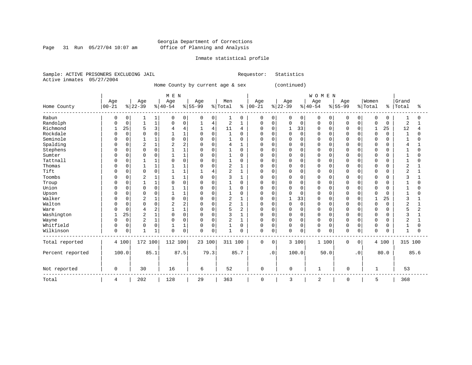#### Georgia Department of Corrections Page 31 Run 05/27/04 10:07 am Office of Planning and Analysis

#### Inmate statistical profile

Sample: ACTIVE PRISONERS EXCLUDING JAIL Requestor: Statistics Active inmates 05/27/2004

Home County by current age & sex (continued)

 | M E N | W O M E N | | Age | Age | Age | Age | Men | Age | Age | Age | Age |Women |Grand Home County |00-21 %|22-39 %|40-54 %|55-99 %|Total % |00-21 %|22-39 %|40-54 %|55-99 %|Total % |Total % ------------------------------------------------------------------------------------------------------------------------------------ Rabun | 0 0| 1 1| 0 0| 0 0| 1 0 | 0 0| 0 0| 0 0| 0 0| 0 0 | 1 0 Randolph | 0 0| 1 1| 0 0| 1 4| 2 1 | 0 0| 0 0| 0 0| 0 0| 0 0 | 2 1 Richmond | 1 25| 5 3| 4 4| 1 4| 11 4 | 0 0| 1 33| 0 0| 0 0| 1 25 | 12 4 Rockdale | 0 0| 0 0| 1 1| 0 0| 1 0 | 0 0| 0 0| 0 0| 0 0| 0 0 | 1 0 Seminole | 0 0| 1 1| 0 0| 0 0| 1 0 | 0 0| 0 0| 0 0| 0 0| 0 0 | 1 0 Spalding | 0 0| 2 1| 2 2| 0 0| 4 1 | 0 0| 0 0| 0 0| 0 0| 0 0 | 4 1 Stephens | 0 0| 0 0| 1 1| 0 0| 1 0 | 0 0| 0 0| 0 0| 0 0| 0 0 | 1 0 Sumter | 0 0| 0 0| 1 1| 0 0| 1 0 | 0 0| 0 0| 0 0| 0 0| 0 0 | 1 0 Tattnall | 0 0| 1 1| 0 0| 0 0| 1 0 | 0 0| 0 0| 0 0| 0 0| 0 0 | 1 0 Thomas | 0 0| 1 1| 1 1| 0 0| 2 1 | 0 0| 0 0| 0 0| 0 0| 0 0 | 2 1 Tift | 0 0| 0 0| 1 1| 1 4| 2 1 | 0 0| 0 0| 0 0| 0 0| 0 0 | 2 1 Toombs | 0 0| 2 1| 1 1| 0 0| 3 1 | 0 0| 0 0| 0 0| 0 0| 0 0 | 3 1 Troup | 0 0| 1 1| 0 0| 0 0| 1 0 | 0 0| 0 0| 0 0| 0 0| 0 0 | 1 0 Union | 0 0| 0 0| 1 1| 0 0| 1 0 | 0 0| 0 0| 0 0| 0 0| 0 0 | 1 0 Upson | 0 0| 0 0| 1 1| 0 0| 1 0 | 0 0| 0 0| 0 0| 0 0| 0 0 | 1 0 Walker | 0 0| 2 1| 0 0| 0 0| 2 1 | 0 0| 1 33| 0 0| 0 0| 1 25 | 3 1 Walton | 0 0| 0 0| 2 2| 0 0| 2 1 | 0 0| 0 0| 0 0| 0 0| 0 0 | 2 1 Ware | 0 0| 4 2| 1 1| 0 0| 5 2 | 0 0| 0 0| 0 0| 0 0| 0 0 | 5 2 Washington | 1 25| 2 1| 0 0| 0 0| 3 1 | 0 0| 0 0| 0 0| 0 0| 0 0 | 3 1 Wayne | 0 0| 2 1| 0 0| 0 0| 2 1 | 0 0| 0 0| 0 0| 0 0| 0 0 | 2 1 Whitfield | 0 0| 0 0| 1 1| 0 0| 1 0 | 0 0| 0 0| 0 0| 0 0| 0 0 | 1 0 Wilkinson | 0 0| 1 1| 0 0| 0 0| 1 0 | 0 0| 0 0| 0 0| 0 0| 0 0 | 1 0 ------------------------------------------------------------------------------------------------------------------------------------ Total reported | 4 100| 172 100| 112 100| 23 100| 311 100 | 0 0| 3 100| 1 100| 0 0| 4 100 | 315 100 | | | | | | | | | | | Percent reported | 100.0| 85.1| 87.5| 79.3| 85.7 | .0| 100.0| 50.0| .0| 80.0 | 85.6 | | | | | | | | | | | | | | | | | | | | | | Not reported | 0 | 30 | 16 | 6 | 52 | 0 | 0 | 1 | 0 | 1 | 53 ------------------------------------------------------------------------------------------------------------------------------------ Total | 4 | 202 | 128 | 29 | 363 | 0 | 3 | 2 | 0 | 5 | 368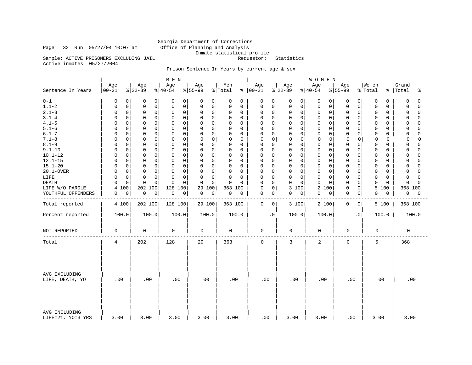# Georgia Department of Corrections<br>Office of Planning and Analysis Inmate statistical profile<br>Requestor: Statistics

Sample: ACTIVE PRISONERS EXCLUDING JAIL

Active inmates 05/27/2004

Page 32 Run 05/27/04 10:07 am

### Prison Sentence In Years by current age & sex

|                                    |                                 |                            | M E N                      |                  |                |                      |                                        | WOMEN                      |                            |                         |                         |
|------------------------------------|---------------------------------|----------------------------|----------------------------|------------------|----------------|----------------------|----------------------------------------|----------------------------|----------------------------|-------------------------|-------------------------|
| Sentence In Years                  | Age<br>$00 - 21$                | Age<br>$ 22-39$            | Age<br>$8140 - 54$         | Age<br>$ 55-99$  | Men<br>% Total | Age<br>$8   00 - 21$ | Age<br>$ 22-39 $                       | Age<br>$8 40-54$           | Age<br>$ 55-99$            | Women<br>% Total        | Grand<br>%   Total<br>ႜ |
| $0 - 1$                            | 0<br>0                          | 0<br>0                     | 0<br>0                     | 0<br>0           | 0<br>0         | 0                    | 0<br>0<br>0                            | 0<br>$\overline{0}$        | 0<br>0                     | 0<br>0                  | 0<br>0                  |
| $1.1 - 2$                          | $\mathsf 0$<br>0                | $\mathbf 0$<br>$\mathbf 0$ | $\mathbf 0$<br>0           | $\mathbf 0$<br>0 | 0<br>$\Omega$  | 0                    | $\mathbf 0$<br>$\mathbf 0$<br>$\Omega$ | $\mathbf 0$<br>$\mathbf 0$ | 0<br>$\Omega$              | $\mathbf 0$<br>0        | $\mathbf 0$<br>$\Omega$ |
| $2.1 - 3$                          | $\mathsf{O}\xspace$<br>$\Omega$ | $\mathsf 0$<br>0           | $\mathsf 0$<br>0           | 0<br>0           | 0<br>0         | 0                    | $\mathsf 0$<br>0<br>0                  | $\mathbf 0$<br>0           | 0<br>0                     | 0<br>0                  | $\Omega$<br>0           |
| $3.1 - 4$                          | $\mathbf 0$<br>$\Omega$         | $\mathbf 0$<br>$\mathbf 0$ | $\mathbf 0$<br>$\mathbf 0$ | $\mathbf 0$<br>0 | 0<br>0         | $\mathbf 0$          | $\mathbf 0$<br>$\mathbf 0$<br>0        | $\mathbf 0$<br>$\mathbf 0$ | $\mathbf 0$<br>$\Omega$    | 0<br>0                  | 0<br>$\Omega$           |
| $4.1 - 5$                          | $\mathbf 0$<br>$\Omega$         | $\mathbf 0$<br>$\Omega$    | 0<br>0                     | 0<br>0           | 0<br>$\Omega$  | 0                    | $\Omega$<br>0<br>$\Omega$              | $\mathbf 0$<br>0           | $\Omega$<br>$\Omega$       | 0<br>0                  | $\cap$<br>$\Omega$      |
| $5.1 - 6$                          | $\mathsf 0$<br><sup>0</sup>     | $\mathbf 0$<br>$\mathbf 0$ | $\mathbf 0$<br>$\mathbf 0$ | 0<br>$\mathbf 0$ | 0<br>$\Omega$  | $\mathbf 0$          | 0<br>$\mathbf 0$<br>0                  | $\mathbf 0$<br>0           | $\mathbf 0$<br>$\mathbf 0$ | 0<br>0                  | $\Omega$<br>$\cap$      |
| $6.1 - 7$                          | $\mathbf 0$<br><sup>0</sup>     | $\mathbf 0$<br>0           | 0<br>0                     | 0<br>0           | 0<br>$\Omega$  | 0                    | $\Omega$<br>0<br>$\Omega$              | $\mathbf 0$<br>$\Omega$    | $\Omega$<br>$\Omega$       | 0<br>0                  | $\Omega$<br>$\Omega$    |
| $7.1 - 8$                          | $\mathbf 0$<br>$\Omega$         | $\mathbf 0$<br>$\mathbf 0$ | $\mathbf 0$<br>$\mathbf 0$ | $\mathbf 0$<br>0 | 0<br>0         | $\mathbf 0$          | $\mathbf 0$<br>$\mathbf 0$<br>$\Omega$ | $\mathbf 0$<br>0           | 0<br>0                     | $\mathbf 0$<br>$\Omega$ | $\mathbf 0$<br>$\Omega$ |
| $8.1 - 9$                          | $\mathsf 0$<br>$\Omega$         | $\mathbf 0$<br>$\mathbf 0$ | $\mathbf 0$<br>0           | 0<br>$\mathbf 0$ | 0<br>$\Omega$  | 0                    | 0<br>$\mathbf 0$<br>0                  | $\mathbf 0$<br>0           | 0<br>$\Omega$              | 0<br>0                  | $\Omega$<br>$\cap$      |
| $9.1 - 10$                         | $\mathbf 0$<br><sup>0</sup>     | $\mathbf 0$<br>0           | 0<br>0                     | 0<br>0           | 0<br>$\Omega$  | 0                    | 0<br>0<br>$\Omega$                     | $\mathbf 0$<br>0           | 0<br>0                     | 0<br>0                  | $\cap$<br><sup>0</sup>  |
| $10.1 - 12$                        | $\mathbf 0$<br>$\Omega$         | $\mathbf 0$<br>$\mathbf 0$ | $\mathbf 0$<br>$\mathbf 0$ | 0<br>$\mathbf 0$ | 0<br>$\Omega$  | 0                    | $\mathbf 0$<br>$\mathbf 0$<br>0        | $\mathbf 0$<br>$\mathbf 0$ | $\mathbf 0$<br>$\Omega$    | 0<br>0                  | $\mathbf 0$<br>$\Omega$ |
| $12.1 - 15$                        | $\mathbf 0$<br><sup>0</sup>     | $\mathbf 0$<br>0           | $\mathbf 0$<br>0           | $\mathbf 0$<br>0 | 0<br>0         | $\mathbf 0$          | $\mathbf 0$<br>$\mathbf 0$<br>0        | $\mathbf 0$<br>0           | $\Omega$<br>0              | 0<br>0                  | $\Omega$<br>$\Omega$    |
| $15.1 - 20$                        | 0<br>$\Omega$                   | $\mathbf 0$<br>0           | $\mathbf 0$<br>0           | $\mathbf 0$<br>0 | 0<br>$\Omega$  | $\Omega$             | 0<br>0<br>0                            | $\mathbf 0$<br>$\mathbf 0$ | 0<br>O                     | 0<br>0                  | $\cap$<br>$\Omega$      |
| 20.1-OVER                          | $\mathsf 0$<br>$\Omega$         | $\mathbf 0$<br>$\mathbf 0$ | $\mathbf 0$<br>$\mathbf 0$ | 0<br>$\mathbf 0$ | 0<br>0         | 0                    | 0<br>$\mathbf 0$<br>0                  | $\mathbf 0$<br>$\mathbf 0$ | $\mathbf 0$<br>$\Omega$    | 0<br>0                  | $\mathbf 0$<br>$\cap$   |
| LIFE                               | $\mathbf 0$<br>$\Omega$         | $\Omega$<br>$\Omega$       | $\Omega$<br>$\Omega$       | $\mathbf 0$<br>0 | 0<br>0         | $\mathbf 0$          | $\mathbf 0$<br>$\Omega$<br>0           | $\mathbf 0$<br>$\mathbf 0$ | $\mathbf 0$<br>$\Omega$    | 0<br>$\mathbf 0$        | $\Omega$<br>$\cap$      |
| <b>DEATH</b>                       | $\mathsf 0$<br>$\Omega$         | $\mathbf 0$<br>$\Omega$    | $\mathbf 0$<br>$\mathbf 0$ | $\mathbf 0$<br>0 | 0<br>$\Omega$  | $\mathbf 0$          | $\mathbf 0$<br>$\mathbf 0$<br>0        | $\mathbf 0$<br>$\Omega$    | $\Omega$<br>$\mathbf 0$    | $\mathbf 0$<br>0        | $\Omega$<br>$\Omega$    |
| LIFE W/O PAROLE                    | 100<br>4                        | 202<br>100                 | 128<br>100                 | 100<br>29        | 363<br>100     | $\mathbf 0$          | 3<br>0<br>100                          | $\overline{c}$<br>100      | 0<br>$\Omega$              | 5<br>100                | 368 100                 |
| YOUTHFUL OFFENDERS                 | 0<br>0                          | $\mathbf 0$<br>$\mathsf 0$ | 0<br>$\overline{0}$        | 0<br>$\mathbf 0$ | 0<br>0         | 0                    | $\mathbf 0$<br>0<br>0                  | 0<br>0                     | $\Omega$<br>0              | 0<br>0                  | 0<br>0                  |
| Total reported                     | 4 100                           | 202 100                    | 128 100                    | 29 100           | 363 100        | $\mathbf 0$          | 0<br>3 100                             | 2 100                      | $\mathbf 0$<br>0           | 5 100                   | 368 100                 |
| Percent reported                   | 100.0                           | 100.0                      | 100.0                      | 100.0            | 100.0          |                      | 100.0<br>$\cdot$ 0                     | 100.0                      | $\cdot$ 0                  | 100.0                   | 100.0                   |
| NOT REPORTED                       | $\mathbf 0$                     | $\mathbf 0$                | 0                          | 0                | 0              | $\mathbf 0$          | 0                                      | 0                          | 0                          | 0                       | $\mathbf 0$             |
| Total                              | $\overline{4}$                  | 202                        | 128                        | 29               | 363            | $\mathbf 0$          | 3                                      | $\overline{a}$             | $\mathbf 0$                | 5                       | 368                     |
| AVG EXCLUDING<br>LIFE, DEATH, YO   | .00                             | .00                        | .00                        | .00              | .00            | .00                  | .00                                    | .00                        | .00                        | .00                     | .00                     |
| AVG INCLUDING<br>LIFE=21, YO=3 YRS | 3.00                            | 3.00                       | 3.00                       | 3.00             | 3.00           | .00                  | 3.00                                   | 3.00                       | .00                        | 3.00                    | 3.00                    |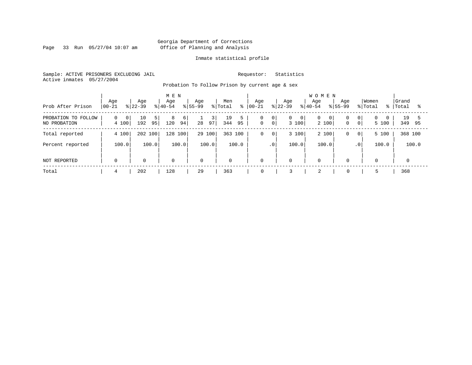Page 33 Run 05/27/04 10:07 am

#### Inmate statistical profile

Sample: ACTIVE PRISONERS EXCLUDING JAIL Requestor: Statistics Active inmates 05/27/2004

Probation To Follow Prison by current age & sex

| Prob After Prison                   | Age<br>$00 - 21$                    | Age<br>$ 22-39 $      | M E N<br>Age<br>$ 40-54 $ | Age<br>$8155 - 99$<br>% Total | Men<br>$\approx$ | Age<br>$ 00 - 21$                                    | Age<br>Age<br>$8 40-54$<br>$8 22-39$         | <b>WOMEN</b><br>Age<br>$8155 - 99$     | Women<br>% Total<br>ႜၟ                                            | Grand<br>Total<br>ু |
|-------------------------------------|-------------------------------------|-----------------------|---------------------------|-------------------------------|------------------|------------------------------------------------------|----------------------------------------------|----------------------------------------|-------------------------------------------------------------------|---------------------|
| PROBATION TO FOLLOW<br>NO PROBATION | 0 <sup>1</sup><br>$\Omega$<br>4 100 | 10<br>51<br>192<br>95 | 8<br>6<br>94<br>120       | 3<br>97<br>28                 | 19<br>344<br>95  | 0<br>$\overline{0}$<br>$\mathbf 0$<br>0 <sup>1</sup> | $\overline{0}$<br>$\mathbf{0}$<br>0<br>3 100 | 0 <sup>1</sup><br>$\mathbf 0$<br>2 100 | 0 <sup>1</sup><br>$\Omega$<br>$\Omega$<br>0 <sup>1</sup><br>5 100 | 19<br>349<br>95     |
| Total reported                      | 4 100                               | 202 100               | 100<br>128                | 29 100                        | 363 100          | 0<br>$\mathbf 0$                                     | 3 100                                        | 2 100<br>0                             | 5 100<br>$\overline{0}$                                           | 368 100             |
| Percent reported                    | 100.0                               | 100.0                 | 100.0                     | 100.0                         | 100.0            | $\cdot$ 0                                            | 100.0                                        | 100.0<br>.0 <sup>1</sup>               | 100.0                                                             | 100.0               |
| NOT REPORTED                        | $\Omega$                            | $\mathbf 0$           | $\mathbf 0$               | $\mathbf 0$                   | $\mathbf 0$      | O                                                    | $\mathbf 0$<br>0                             | $\Omega$                               | $\overline{0}$                                                    | $\Omega$            |
| Total                               | 4                                   | 202                   | 128                       | 29                            | 363              | 0                                                    | 2                                            | $\mathbf 0$                            |                                                                   | 368                 |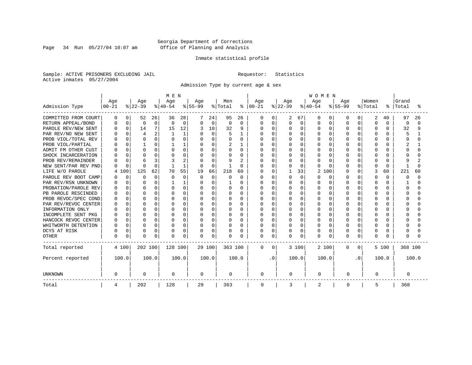Page 34 Run 05/27/04 10:07 am

#### Inmate statistical profile

Sample: ACTIVE PRISONERS EXCLUDING JAIL Requestor: Statistics Active inmates 05/27/2004

Admission Type by current age & sex

|                      |              |              |                |             | M E N    |              |             |          |          |                |            |          |              |              | <b>WOMEN</b> |              |           |              |          |              |         |       |
|----------------------|--------------|--------------|----------------|-------------|----------|--------------|-------------|----------|----------|----------------|------------|----------|--------------|--------------|--------------|--------------|-----------|--------------|----------|--------------|---------|-------|
|                      | Age          |              | Age            |             | Age      |              | Age         |          | Men      |                | Age        |          | Age          |              | Age          |              | Age       |              | Women    |              | Grand   |       |
| Admission Type       | $00 - 21$    |              | $ 22-39$       |             | $ 40-54$ |              | $8 55-99$   |          | % Total  | ႜ              | $ 00 - 21$ |          | $ 22-39 $    |              | $ 40-54$     |              | $8 55-99$ |              | % Total  | ៖            | Total   | °     |
| COMMITTED FROM COURT | O            | 0            | 52             | 26          | 36       | 28           |             | 24       | 95       | 26             | 0          | O        | 2            | 67           | O            | 0            | O         | 0            | 2        | 40           | 97      | 26    |
| RETURN APPEAL/BOND   |              | $\mathbf 0$  | 0              | $\mathbf 0$ | $\Omega$ | $\mathbf 0$  | 0           | 0        | 0        | $\Omega$       | 0          | 0        | 0            | $\mathbf 0$  | O            | $\Omega$     | $\Omega$  | O            | $\Omega$ | $\Omega$     | 0       | ∩     |
| PAROLE REV/NEW SENT  |              | $\Omega$     | 14             | 7           | 15       | 12           |             | 10       | 32       | 9              | $\Omega$   | 0        | N            | $\Omega$     | O            | $\Omega$     | $\Omega$  | $\Omega$     | $\Omega$ | 0            | 32      | 9     |
| PAR REV/NO NEW SENT  |              |              | $\overline{4}$ | 2           |          |              |             | $\Omega$ |          |                |            | $\Omega$ |              | $\Omega$     | O            | O            | O         | O            |          |              | 5       |       |
| PROB VIOL/TOTAL REV  |              |              | $\Omega$       | 0           |          | $\Omega$     | $\Omega$    | U        |          | 0              | U          | $\Omega$ | 0            | $\Omega$     | O            | O            |           | O            |          | O            | Ω       |       |
| PROB VIOL/PARTIAL    |              |              |                | 0           |          |              | O           | U        |          |                | U          | $\Omega$ | U            | $\Omega$     | O            | O            | U         | U            | ∩        | 0            |         |       |
| ADMIT FM OTHER CUST  |              | U            | $\Omega$       | 0           |          | 0            | $\Omega$    | $\Omega$ | U        | $\Omega$       | U          | $\Omega$ | ი            | $\Omega$     | O            | U            | U         | U            | ∩        | 0            | Λ       |       |
| SHOCK INCARCERATION  |              | U            | $\Omega$       | 0           |          | U            | O           | $\Omega$ | U        | <sup>0</sup>   | በ          | $\Omega$ | U            | $\Omega$     | U            | U            | U         | U            | ∩        | 0            |         |       |
| PROB REV/REMAINDER   |              | $\cap$       | 6              | 3           |          | 2            |             | $\Omega$ | 9        | $\overline{2}$ | ი          | $\Omega$ | U            | $\Omega$     | U            | <sup>0</sup> | U         | 0            | ∩        | <sup>n</sup> | q       |       |
| NEW SENT/PAR REV PND |              | $\Omega$     | C              | 0           |          | $\mathbf{1}$ | $\Omega$    | $\Omega$ |          | O              |            | 0        | ი            | $\Omega$     | O            | <sup>n</sup> | U         | 0            | ∩        | 0            |         |       |
| LIFE W/O PAROLE      | 4            | 00           | 125            | 62          | 70       | 55           | 19          | 66       | 218      | 60             |            | 0        |              | 33           | 2            | 100          | $\cap$    | 0            | 3        | 60           | 221     | 60    |
| PAROLE REV BOOT CAMP |              | $\Omega$     | $\Omega$       | 0           | O        | $\Omega$     | $\Omega$    | $\Omega$ | O        | $\Omega$       | ი          | $\Omega$ | O            | $\Omega$     | O            | $\Omega$     | U         | 0            | ∩        | 0            | n       | ∩     |
| PAR REV/RSN UNKNOWN  |              | $\Omega$     | n              | $\Omega$    |          |              | $\Omega$    | U        |          | O              | ი          | $\Omega$ | ი            | $\Omega$     | O            | <sup>0</sup> | U         | O            | ∩        | 0            |         | ∩     |
| PROBATION/PAROLE REV |              | <sup>0</sup> | <sup>0</sup>   | 0           |          | O            | O           | U        | O        | O              | ი          | $\Omega$ | ი            | <sup>0</sup> | O            | O            | U         | U            | ∩        | U            | n       |       |
| PB PAROLE RESCINDED  |              | $\cap$       | $\Omega$       | 0           |          | $\cap$       | O           | U        | U        | U              | U          | $\Omega$ | U            | $\Omega$     | U            | U            | ∩         | U            | ∩        | U            | Λ       |       |
| PROB REVOC/SPEC COND |              | $\Omega$     | $\Omega$       | 0           |          | O            | O           | U        | O        | U              | በ          | 0        | ი            | $\Omega$     | O            | O            | U         | U            |          |              |         |       |
| PAR REV/REVOC CENTER |              |              | <sup>0</sup>   | 0           |          | O            |             | U        | O        | O              |            | $\Omega$ |              | $\Omega$     | O            | O            |           | U            |          |              |         |       |
| INFORMATION ONLY     |              |              | <sup>0</sup>   | O           |          | U            |             | U        | U        | 0              | ი          | $\Omega$ | ი            | $\Omega$     | O            | O            | U         | U            |          | U            |         |       |
| INCOMPLETE SENT PKG  |              | U            | <sup>0</sup>   | 0           |          | O            | O           | U        | O        | 0              | U          | $\Omega$ | ი            | $\Omega$     | O            | O            | U         | U            | ∩        | 0            |         |       |
| HANCOCK REVOC CENTER |              | $\Omega$     | $\Omega$       | 0           |          | O            | $\Omega$    | $\Omega$ | O        | $\Omega$       | U          | $\Omega$ | U            | $\Omega$     | O            | $\Omega$     | $\cap$    | $\Omega$     | $\cap$   | 0            |         |       |
| WHITWORTH DETENTION  |              | $\Omega$     | $\Omega$       | 0           |          | O            | $\Omega$    | $\Omega$ | O        | $\Omega$       | U          | $\Omega$ | U            | $\Omega$     | U            | $\Omega$     | $\cap$    | $\Omega$     | $\cap$   | 0            |         |       |
| DCYS AT RISK         |              | $\Omega$     | $\Omega$       | 0           |          | 0            | 0           | 0        | $\Omega$ | O              | 0          | 0        | 0            | 0            | 0            | 0            | $\cap$    | 0            | $\Omega$ | 0            |         |       |
| <b>OTHER</b>         | <sup>0</sup> | 0            | $\Omega$       | 0           | $\cap$   | 0            | 0           | 0        | $\Omega$ | O              | 0          | $\Omega$ | <sup>0</sup> | 0            | O            | 0            | $\cap$    | 0            | $\Omega$ | U            | Ω       |       |
| Total reported       | 4 100        |              | 202 100        |             | 128 100  |              |             | 29 100   | 363 100  |                | 0          | $\Omega$ |              | 3 100        | 2 100        |              | 0         | $\mathbf{0}$ |          | 5 100        | 368 100 |       |
| Percent reported     | 100.0        |              |                | 100.0       |          | 100.0        |             | 100.0    |          | 100.0          |            | . 0      |              | 100.0        | 100.0        |              |           | . 0          |          | 100.0        |         | 100.0 |
| <b>UNKNOWN</b>       | 0            |              | $\mathbf 0$    |             | 0        |              | $\mathbf 0$ |          | 0        |                | 0          |          | 0            |              | 0            |              | 0         |              | 0        |              | 0       |       |
| Total                | 4            |              | 202            |             | 128      |              | 29          |          | 363      |                | 0          |          | 3            |              | 2            |              | 0         |              | 5        |              | 368     |       |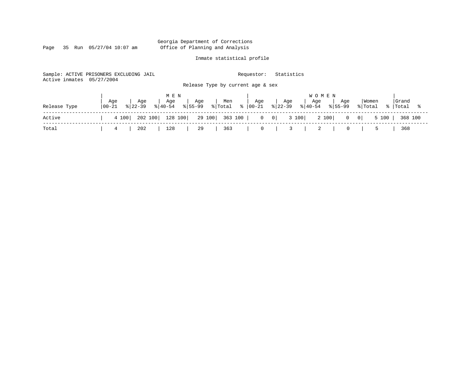Page 35 Run 05/27/04 10:07 am

#### Inmate statistical profile

Sample: ACTIVE PRISONERS EXCLUDING JAIL Requestor: Statistics Active inmates 05/27/2004 Release Type by current age & sex

|              |                   |               |                  | MEN |                                                                                 |     |     |                                                                                                         |     | <b>WOMEN</b> |     |                                                                                            |       |  |
|--------------|-------------------|---------------|------------------|-----|---------------------------------------------------------------------------------|-----|-----|---------------------------------------------------------------------------------------------------------|-----|--------------|-----|--------------------------------------------------------------------------------------------|-------|--|
| Release Type | Age<br>$100 - 21$ |               | Age<br>$ 22-39 $ | Age |                                                                                 | Age | Men | Age<br>$ 40-\overline{54} $ $ 55-\overline{99} $ $ 70\tan 8 00-\overline{21} $ $ 22-39 8 40-54 8 55-99$ | Age | Age          | Age | Women                                                                                      | Grand |  |
| Active       |                   |               |                  |     |                                                                                 |     |     |                                                                                                         |     |              |     | 4 100   202 100   128 100   29 100   363 100   0 0   3 100   2 100   0 0   5 100   368 100 |       |  |
| Total        |                   | $\frac{4}{1}$ | 202              | 128 | $\begin{array}{ c c c c c } \hline \text{29} & \text{363} \ \hline \end{array}$ |     |     |                                                                                                         |     |              |     | $0 \quad   \quad 5$                                                                        | 368   |  |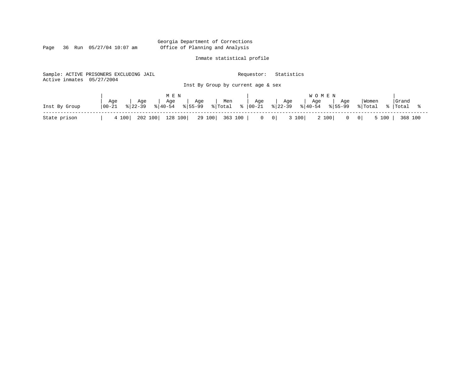Page 36 Run 05/27/04 10:07 am

### Inmate statistical profile

|                           | Sample: ACTIVE PRISONERS EXCLUDING JAIL |                                                          | Requestor:                             | Statistics                                                                   |                                                    |
|---------------------------|-----------------------------------------|----------------------------------------------------------|----------------------------------------|------------------------------------------------------------------------------|----------------------------------------------------|
| Active inmates 05/27/2004 |                                         | Inst By Group by current age & sex                       |                                        |                                                                              |                                                    |
| Inst By Group             | Age<br>Age<br>  00-21<br>$8122 - 39$    | M E N<br>Age<br>Men<br>Age<br>$8155 - 99$<br>$8140 - 54$ | Age<br>$ \text{Total} \approx  00-21 $ | <b>WOMEN</b><br>Age<br>Age<br>Age<br>$8 40-54$<br>$8122 - 39$<br>$8155 - 99$ | Grand<br>Women<br>% Total<br>%  Total              |
| State prison              | 202 100<br>4 100                        | 128 100<br>29 100                                        | 363 100  <br>$0 \quad 0$               | 3 100<br>2 100<br>$\mathbf{0}$                                               | $5 100$  <br>368 100<br>$\overline{\phantom{0}}$ 0 |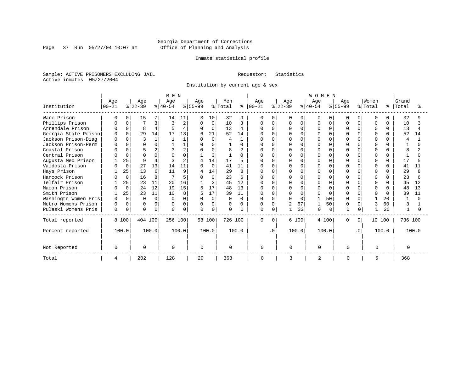Page 37 Run 05/27/04 10:07 am

#### Inmate statistical profile

Sample: ACTIVE PRISONERS EXCLUDING JAIL Requestor: Statistics Active inmates 05/27/2004

Institution by current age & sex

|                      |           |             |              |          | M E N    |              |              |          |                     |              |             |           |                |              | WOMEN          |             |             |           |              |              |          |       |
|----------------------|-----------|-------------|--------------|----------|----------|--------------|--------------|----------|---------------------|--------------|-------------|-----------|----------------|--------------|----------------|-------------|-------------|-----------|--------------|--------------|----------|-------|
|                      | Age       |             | Age          |          | Age      |              | Age          |          | Men                 |              | Age         |           | Age            |              | Age            |             | Age         |           | Women        |              | Grand    |       |
| Institution          | $00 - 21$ |             | $8 22-39$    |          | $ 40-54$ |              | $ 55-99$     |          | $\frac{1}{2}$ Total | ႜၟ           | $00 - 21$   |           | $ 22-39 $      |              | $ 40-54 $      |             | $8155 - 99$ |           | % Total      | °            | Total    |       |
| Ware Prison          |           | $\Omega$    | 15           |          | 14       | 11           | 3            | 10       | 32                  | 9            | $\mathbf 0$ | $\Omega$  |                | $\Omega$     | O              | $\Omega$    |             | $\Omega$  | $\mathbf 0$  |              | 32       |       |
| Phillips Prison      |           |             |              |          | 3        | 2            | $\Omega$     | $\Omega$ | 10                  | 3            | $\Omega$    | $\Omega$  | 0              | $\Omega$     | U              | $\Omega$    | U           | $\Omega$  | $\Omega$     | <sup>n</sup> | 10       |       |
| Arrendale Prison     |           | $\Omega$    | 8            |          | Ę        | 4            | $\Omega$     | $\Omega$ | 13                  | 4            | U           | $\Omega$  |                | $\Omega$     | U              | $\Omega$    |             | $\Omega$  | <sup>0</sup> | 0            | 13       |       |
| Georgia State Prison |           | $\Omega$    | 29           | 14       | 17       | 13           | 6            | 21       | 52                  | 14           |             | $\Omega$  |                | $\cap$       | O              | $\Omega$    |             | $\Omega$  | <sup>0</sup> |              | 52       | 14    |
| Jackson Prison-Diag  |           |             | $\mathbf{3}$ |          |          |              | $\cap$       | $\Omega$ | 4                   | $\mathbf{1}$ |             | $\Omega$  | <sup>0</sup>   | ∩            | U              | $\Omega$    |             | $\Omega$  | $\cap$       |              | 4        |       |
| Jackson Prison-Perm  |           |             |              |          |          |              |              | $\Omega$ |                     | U            |             | $\cap$    |                |              |                | $\Omega$    |             | $\cap$    | $\Omega$     |              |          |       |
| Coastal Prison       |           |             |              |          |          |              |              | $\Omega$ | 8                   |              |             |           | <sup>0</sup>   |              |                | $\Omega$    |             | U         |              |              |          |       |
| Central Prison       |           | $\Omega$    | $\Omega$     |          |          | $\Omega$     |              | 3        | $\mathbf{1}$        | U            |             | $\Omega$  | $\Omega$       | $\cap$       | U              | $\Omega$    |             | $\Omega$  | $\Omega$     |              |          |       |
| Augusta Med Prison   |           | 25          | 9            |          |          | 2            |              | 14       | 17                  | 5            |             | $\Omega$  |                | $\Omega$     | $\cap$         | $\Omega$    |             | $\Omega$  | $\Omega$     |              | 17       |       |
| Valdosta Prison      |           | $\Omega$    | 27           | 13       | 14       | 11           | $\Omega$     | $\Omega$ | 41                  | 11           |             | $\cap$    | U              | $\cap$       | U              | $\Omega$    |             | $\Omega$  | U            | ∩            | 41       | 11    |
| Hays Prison          |           | 25          | 13           | 6        | 11       | 9            | 4            | 14       | 29                  | 8            |             | $\Omega$  |                |              |                | $\Omega$    |             | $\cap$    | $\cap$       |              | 29       |       |
| Hancock Prison       |           | $\Omega$    | 16           | 8        |          | 5            |              | $\Omega$ | 23                  | 6            |             | $\Omega$  |                | <sup>n</sup> | Λ              | $\Omega$    |             | U         | U            |              | 23       |       |
| Telfair Prison       |           | 25          | 23           | 11       | 20       | 16           |              | 3        | 45                  | 12           |             | $\Omega$  | $\Omega$       | $\cap$       |                | $\Omega$    |             | $\Omega$  | <sup>0</sup> |              | 45       | 12    |
| Macon Prison         |           | $\mathbf 0$ | 24           | 12       | 19       | 15           | 5            | 17       | 48                  | 13           | $\Omega$    | $\Omega$  | $\Omega$       | $\Omega$     | $\Omega$       | $\Omega$    |             | $\Omega$  | $\Omega$     | $\Omega$     | 48       | 13    |
| Smith Prison         |           | 25          | 23           | 11       | 10       | 8            |              | 17       | 39                  | 11           | U           | $\Omega$  | 0              | $\Omega$     | U              | $\Omega$    |             | $\Omega$  | U            | <sup>n</sup> | 39       | 11    |
| Washingtn Women Pris |           | $\Omega$    | $\Omega$     | $\Omega$ | ∩        |              | <sup>0</sup> | 0        | U                   | $\Omega$     |             | $\Omega$  |                | $\Omega$     |                | 50          |             | $\cap$    |              | 20           |          |       |
| Metro Womens Prison  |           | $\Omega$    | $\Omega$     | $\Omega$ | $\Omega$ | 0            | $\Omega$     | 0        | $\Omega$            | $\Omega$     |             | $\Omega$  | $\overline{2}$ | 67           |                | 50          |             | U         | $\mathbf{3}$ | 60           | κ        |       |
| Pulaski Womens Pris  | $\Omega$  | 0           | $\Omega$     | $\Omega$ | $\cap$   | <sup>0</sup> | $\Omega$     | 0        | 0                   | 0            | 0           | 0         |                | 33           | O              | $\mathbf 0$ | $\cap$      |           |              | 20           |          |       |
| Total reported       |           | 8 100       | 404 100      |          | 256 100  |              |              | 58 100   | 726 100             |              | $\mathbf 0$ | $\Omega$  |                | 6 100        | 4 100          |             | $\Omega$    | $\Omega$  | 10 100       |              | 736 100  |       |
| Percent reported     |           | 100.0       |              | 100.0    |          | 100.0        |              | 100.0    |                     | 100.0        |             | $\cdot$ 0 |                | 100.0        | 100.0          |             |             | $\cdot$ 0 |              | 100.0        |          | 100.0 |
| Not Reported         |           |             | $\Omega$     |          | $\Omega$ |              | $\Omega$     |          | $\Omega$            |              | $\Omega$    |           | U              |              | $\Omega$       |             | $\Omega$    |           | $\Omega$     |              | $\Omega$ |       |
| Total                | 4         |             | 202          |          | 128      |              | 29           |          | 363                 |              | 0           |           | ζ              |              | $\overline{2}$ |             | $\Omega$    |           | 5            |              | 368      |       |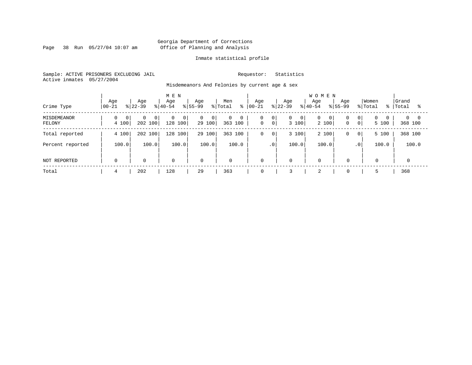Page 38 Run 05/27/04 10:07 am

#### Inmate statistical profile

Sample: ACTIVE PRISONERS EXCLUDING JAIL Requestor: Statistics Active inmates 05/27/2004

Misdemeanors And Felonies by current age & sex

| Crime Type            | Age<br>$ 00-21$         | Age<br>$ 22-39$                       | M E N<br>Age<br>$8 40-54$                 | Age<br>% Total<br>$ 55-99 $                | Men<br>៖          | Aqe<br>$ 00 - 21 $              | Age<br>$8 22-39$                        | <b>WOMEN</b><br>Age<br>Age<br>$8 40-54$<br>$8155 - 99$ | Women<br>% Total<br>- န ၂                                               | Grand<br>Total<br>°≈   |
|-----------------------|-------------------------|---------------------------------------|-------------------------------------------|--------------------------------------------|-------------------|---------------------------------|-----------------------------------------|--------------------------------------------------------|-------------------------------------------------------------------------|------------------------|
| MISDEMEANOR<br>FELONY | $\overline{0}$<br>4 100 | $\Omega$<br>0 <sup>1</sup><br>202 100 | $\mathbf{0}$<br>$\overline{0}$<br>128 100 | $\overline{0}$<br>0 <sup>1</sup><br>29 100 | 0<br>0<br>363 100 | 0<br> 0 <br>0 <sup>1</sup><br>0 | $\overline{0}$<br>$\mathbf{0}$<br>3 100 | 0<br>0<br>0 <sup>1</sup><br>2 100<br>$\mathbf 0$       | $\overline{0}$<br>0 <sup>1</sup><br>$\Omega$<br>$\overline{0}$<br>5 100 | $0 \quad 0$<br>368 100 |
| Total reported        | 4 100                   | 202 100                               | 100<br>128                                | 29 100                                     | 363 100           | 0<br>$\mathbf 0$                | 3 100                                   | 2 100<br>0                                             | 5 100<br>$\overline{0}$                                                 | 368 100                |
| Percent reported      | 100.0                   | 100.0                                 | 100.0                                     | 100.0                                      | 100.0             | $\cdot$ 0                       | 100.0                                   | 100.0                                                  | 100.0<br>.0 <sup>1</sup>                                                | 100.0                  |
| NOT REPORTED          | $\mathbf 0$             | $\mathbf 0$                           | $\mathbf 0$                               | $\mathbf 0$                                | $\mathbf{0}$      | $\mathbf 0$                     | $\mathbf 0$                             | $\mathbf 0$<br>$\Omega$                                | $\mathbf 0$                                                             |                        |
| Total                 | 4                       | 202                                   | 128                                       | 29                                         | 363               | 0                               |                                         | 2<br>$\mathbf 0$                                       | 5                                                                       | 368                    |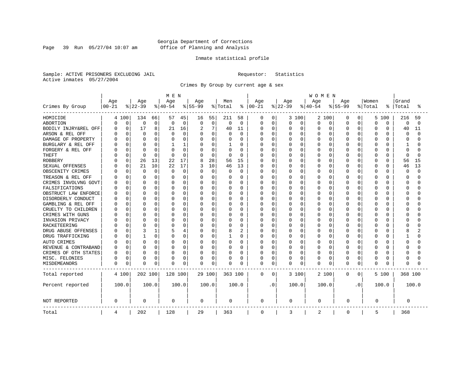Page 39 Run 05/27/04 10:07 am

#### Inmate statistical profile

Sample: ACTIVE PRISONERS EXCLUDING JAIL Requestor: Statistics Active inmates 05/27/2004

Crimes By Group by current age & sex

|                      | M E N            |             |                 |             |                  |             |                  |             |                |                | WOMEN             |             |                 |             |                  |          |                  |                |          |          |          |          |
|----------------------|------------------|-------------|-----------------|-------------|------------------|-------------|------------------|-------------|----------------|----------------|-------------------|-------------|-----------------|-------------|------------------|----------|------------------|----------------|----------|----------|----------|----------|
|                      | Age<br>$00 - 21$ |             | Age<br>$ 22-39$ |             | Age<br>$8 40-54$ |             | Age<br>$8 55-99$ |             | Men<br>% Total |                | Age<br>$ 00 - 21$ |             | Age<br>$ 22-39$ |             | Age<br>$8 40-54$ |          | Age<br>$8 55-99$ |                | Women    | °        | Grand    | °        |
| Crimes By Group      |                  |             |                 |             |                  |             |                  |             |                | ႜ              |                   |             |                 |             |                  |          |                  |                | % Total  |          | Total    |          |
| HOMICIDE             |                  | 4 100       | 134             | 66          | 57               | 45          | 16               | 55          | 211            | 58             | 0                 | 0           |                 | 3 100       | 2                | 100      | 0                | $\overline{0}$ | 5        | 100      | 216      | 59       |
| ABORTION             | 0                | $\mathbf 0$ | 0               | 0           | 0                | $\mathbf 0$ | 0                | $\mathbf 0$ | 0              | $\mathbf 0$    | 0                 | 0           | 0               | 0           | $\mathbf 0$      | 0        | $\Omega$         | 0              | $\Omega$ | 0        | 0        | $\Omega$ |
| BODILY INJRY&REL OFF | C                | $\mathbf 0$ | 17              | 8           | 21               | 16          | 2                | 7           | 40             | 11             | 0                 | $\mathbf 0$ | 0               | $\mathbf 0$ | 0                | 0        | 0                | 0              | $\Omega$ | 0        | 40       | 11       |
| ARSON & REL OFF      |                  | 0           | $\mathbf 0$     | 0           | $\Omega$         | 0           |                  | $\mathbf 0$ | 0              | $\mathbf 0$    | 0                 | 0           | 0               | 0           | 0                | 0        | $\Omega$         | O              | $\Omega$ | 0        | 0        | $\Omega$ |
| DAMAGE OF PROPERTY   |                  | $\Omega$    | $\Omega$        | 0           |                  | $\Omega$    | 0                | $\Omega$    | O              | $\Omega$       | 0                 | $\Omega$    | U               | $\Omega$    | $\Omega$         | $\Omega$ | $\Omega$         | U              | $\Omega$ | $\cap$   | $\Omega$ | $\cap$   |
| BURGLARY & REL OFF   |                  | $\Omega$    | $\Omega$        | 0           |                  | 1           | 0                | $\Omega$    | 1              | $\Omega$       | 0                 | $\Omega$    | 0               | $\Omega$    | 0                | $\Omega$ | $\Omega$         | 0              | $\Omega$ | $\Omega$ | 1        |          |
| FORGERY & REL OFF    |                  | $\Omega$    | $\Omega$        | 0           |                  | $\Omega$    |                  | $\mathbf 0$ | 0              | $\Omega$       | Ω                 | $\mathbf 0$ | 0               | $\Omega$    | 0                | $\Omega$ | $\Omega$         | 0              | $\Omega$ | $\Omega$ | $\Omega$ |          |
| THEFT                |                  | 0           | $\Omega$        | $\Omega$    | $\Omega$         | $\Omega$    | $\Omega$         | $\mathbf 0$ | $\Omega$       | $\Omega$       | 0                 | $\mathbf 0$ | 0               | $\Omega$    | 0                | $\Omega$ | $\Omega$         | 0              | $\Omega$ | $\Omega$ | $\Omega$ | ∩        |
| <b>ROBBERY</b>       |                  | $\Omega$    | 26              | 13          | 22               | 17          | 8                | 28          | 56             | 15             | 0                 | $\mathbf 0$ | 0               | $\Omega$    | 0                | 0        | $\Omega$         | O              | $\Omega$ | $\Omega$ | 56       | 15       |
| SEXUAL OFFENSES      |                  | $\Omega$    | 21              | 10          | 22               | 17          |                  | 10          | 46             | 13             | 0                 | $\Omega$    | 0               | $\Omega$    | $\Omega$         | $\Omega$ | $\Omega$         | O              | $\Omega$ | $\Omega$ | 46       | 13       |
| OBSCENITY CRIMES     |                  | 0           | $\Omega$        | $\mathbf 0$ | $\Omega$         | $\Omega$    | $\Omega$         | $\mathbf 0$ | $\Omega$       | $\Omega$       | U                 | 0           | <sup>0</sup>    | $\Omega$    | $\Omega$         | $\Omega$ | $\Omega$         | $\Omega$       | $\Omega$ | O        | $\Omega$ | $\Omega$ |
| TREASON & REL OFF    |                  | 0           | <sup>0</sup>    | 0           | O                | $\Omega$    | $\Omega$         | 0           | O              | 0              | 0                 | 0           | 0               | $\Omega$    | 0                | 0        | O                | 0              | 0        | U        | ∩        |          |
| CRIMES INVOLVNG GOVT |                  | 0           | $\Omega$        | 0           |                  | 0           |                  | 0           |                | $\Omega$       | Ω                 | $\mathbf 0$ | 0               | $\Omega$    | 0                | $\Omega$ | 0                | 0              | $\Omega$ | O        | $\Omega$ |          |
| FALSIFICATIONS       |                  | $\Omega$    | $\Omega$        | 0           | $\cap$           | $\Omega$    | $\Omega$         | 0           | $\Omega$       | $\Omega$       | O                 | 0           | 0               | $\Omega$    | 0                | $\Omega$ | $\Omega$         | 0              | $\Omega$ | $\Omega$ | $\Omega$ |          |
| OBSTRUCT LAW ENFORCE |                  | 0           | $\Omega$        | 0           | $\cap$           | O           | $\Omega$         | 0           | O              | 0              | 0                 | 0           | 0               | $\Omega$    | 0                | 0        | $\Omega$         | O              | $\Omega$ | $\Omega$ | $\Omega$ |          |
| DISORDERLY CONDUCT   |                  | U           | $\Omega$        | 0           | U                | U           | 0                | 0           | O              | $\Omega$       | O                 | 0           | O               | $\Omega$    | O                | $\Omega$ | $\cap$           | U              | $\Omega$ | $\cap$   | $\cap$   |          |
| GAMBLING & REL OFF   |                  | 0           | $\Omega$        | 0           | O                | $\Omega$    | $\Omega$         | $\Omega$    | O              | $\Omega$       | 0                 | 0           | U               | $\Omega$    | 0                | $\Omega$ | $\Omega$         | 0              | $\Omega$ | U        | $\Omega$ |          |
| CRUELTY TO CHILDREN  |                  | $\Omega$    | 0               | 0           |                  | O           | 0                | $\mathbf 0$ | 0              | 0              | 0                 | 0           | 0               | 0           | 0                | $\Omega$ | $\Omega$         | 0              | $\Omega$ | $\Omega$ | $\Omega$ |          |
| CRIMES WITH GUNS     |                  | 0           | $\Omega$        | 0           |                  | O           | $\Omega$         | 0           | $\Omega$       | $\Omega$       | O                 | 0           | 0               | $\Omega$    | O                | $\Omega$ | $\Omega$         | O              | $\Omega$ | $\cap$   | $\Omega$ |          |
| INVASION PRIVACY     |                  | 0           | $\Omega$        | 0           | U                | 0           | 0                | 0           | O              | $\mathbf 0$    | 0                 | 0           | 0               | $\Omega$    | 0                | 0        | $\Omega$         | O              | $\Omega$ | O        | ∩        |          |
| <b>RACKETEERING</b>  |                  | O           | $\Omega$        | 0           |                  | 0           |                  | $\mathbf 0$ | 0              | $\Omega$       | 0                 | $\mathbf 0$ | 0               | $\Omega$    | 0                | 0        | $\Omega$         | O              | $\Omega$ | O        | C        |          |
| DRUG ABUSE OFFENSES  |                  | O           | 3               | 1           |                  | 4           | $\Omega$         | $\mathbf 0$ | 8              | $\overline{2}$ | 0                 | $\mathbf 0$ | 0               | $\Omega$    | $\mathbf 0$      | $\Omega$ | $\Omega$         | 0              | $\Omega$ | $\cap$   | 8        |          |
| DRUG TRAFFICKING     |                  | 0           | $\mathbf{1}$    | 0           | O                | 0           | 0                | $\Omega$    |                | $\Omega$       | 0                 | $\mathbf 0$ | 0               | $\Omega$    | 0                | $\Omega$ | $\Omega$         | 0              | $\Omega$ | O        |          |          |
| AUTO CRIMES          |                  | 0           | <sup>0</sup>    | 0           | O                | $\Omega$    | 0                | $\mathbf 0$ | O              | 0              | 0                 | 0           | 0               | $\Omega$    | O                | $\Omega$ | O                | 0              | 0        | U        | $\Omega$ |          |
| REVENUE & CONTRABAND |                  | $\Omega$    | $\Omega$        | 0           | O                | 0           | 0                | $\mathbf 0$ | O              | $\Omega$       | O                 | $\mathbf 0$ | 0               | $\Omega$    | 0                | 0        | $\Omega$         | 0              | $\Omega$ | $\Omega$ | $\Omega$ |          |
| CRIMES OF OTH STATES |                  | 0           | $\Omega$        | 0           | O                | 0           | 0                | 0           | O              | 0              | 0                 | 0           | 0               | 0           | 0                | 0        | O                | 0              | 0        | $\Omega$ | $\Omega$ |          |
| MISC. FELONIES       | U                | 0           | $\Omega$        | 0           | 0                | 0           | 0                | 0           | 0              | 0              | 0                 | 0           | 0               | 0           | 0                | 0        | 0                | 0              | $\Omega$ | 0        | $\Omega$ |          |
| MISDEMEANORS         | 0                | 0           | $\Omega$        | 0           | 0                | 0           | 0                | 0           | 0              | 0              | 0                 | 0           | 0               | 0           | O                | 0        | $\Omega$         | 0              | $\Omega$ | O        | $\Omega$ |          |
| Total reported       |                  | 4 100       | 202 100         |             | 128 100          |             |                  | 29 100      | 363 100        |                | 0                 | 0           |                 | 3 100       | 2 100            |          | 0                | 0              |          | 5 100    | 368 100  |          |
| Percent reported     |                  | 100.0       |                 | 100.0       |                  | 100.0       |                  | 100.0       |                | 100.0          |                   | . 0         |                 | 100.0       | 100.0            |          |                  | $\cdot$ 0      |          | 100.0    |          | 100.0    |
| <b>NOT REPORTED</b>  | 0                |             | 0               |             | 0                |             | $\Omega$         |             | 0              |                | 0                 |             | 0               |             | 0                |          | 0                |                | 0        |          | 0        |          |
| Total                | 4                |             | 202             |             | 128              |             | 29               |             | 363            |                | $\mathbf 0$       |             | 3               |             | $\overline{2}$   |          | $\mathbf 0$      |                | 5        |          | 368      |          |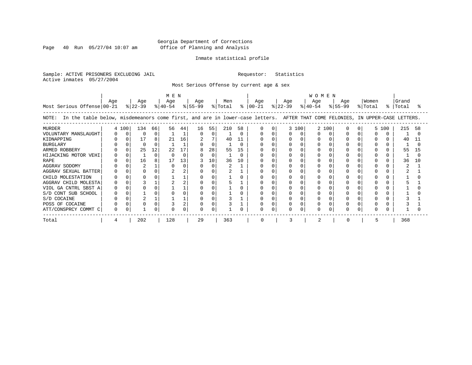Page 40 Run 05/27/04 10:07 am

#### Inmate statistical profile

Sample: ACTIVE PRISONERS EXCLUDING JAIL Requestor: Statistics Active inmates 05/27/2004

Most Serious Offense by current age & sex

| Most Serious Offense 00-21                                                                                                            | Age |          | Age<br>$ 22-39 $ |    | M E N<br>Age<br>% 40-54 |    | Age<br>% 55-99 |          | Men<br>% Total |    | Age<br>$8   00 - 21$ | Age<br>$ 22-39 $ |       | <b>WOMEN</b><br>Age<br>$8140 - 54$ |     | Age<br>$ 55-99 $ | Women<br>% Total | %     | Grand<br>Total | °≈  |
|---------------------------------------------------------------------------------------------------------------------------------------|-----|----------|------------------|----|-------------------------|----|----------------|----------|----------------|----|----------------------|------------------|-------|------------------------------------|-----|------------------|------------------|-------|----------------|-----|
| In the table below, misdemeanors come first, and are in lower-case letters. AFTER THAT COME FELONIES, IN UPPER-CASE LETTERS.<br>NOTE: |     |          |                  |    |                         |    |                |          |                |    |                      |                  |       |                                    |     |                  |                  |       |                |     |
| <b>MURDER</b>                                                                                                                         |     | 4 100    | 134              | 66 | 56                      | 44 | 16             | 55       | 210            | 58 | <sup>0</sup>         |                  | 3 100 | $\overline{2}$                     | 100 |                  |                  | 5 100 | 215            | 58  |
| VOLUNTARY MANSLAUGHT                                                                                                                  |     | $\Omega$ | $\Omega$         | 0  |                         |    |                | $\Omega$ |                |    |                      |                  |       |                                    |     |                  |                  | 0     |                |     |
| KIDNAPPING                                                                                                                            |     |          | 17               | 8  | 21                      | 16 | 2              |          | 40             |    |                      |                  |       |                                    |     |                  |                  |       | 40             | 11  |
| <b>BURGLARY</b>                                                                                                                       |     |          |                  | O  |                         |    |                | $\Omega$ |                |    |                      |                  |       |                                    |     |                  |                  |       |                |     |
| ARMED ROBBERY                                                                                                                         |     |          | 25               | 12 | 22                      | 17 |                | 28       | 55             | 15 |                      |                  |       |                                    |     |                  |                  |       | 55             | 15  |
| HIJACKING MOTOR VEHI                                                                                                                  |     |          |                  | O  |                         |    |                | $\Omega$ |                |    |                      |                  |       |                                    |     |                  |                  |       |                |     |
| <b>RAPE</b>                                                                                                                           |     |          | 16               | 8  | 17                      | 13 |                | 10       | 36             | 10 |                      |                  |       |                                    |     |                  |                  |       | 36             | 1 O |
| AGGRAV SODOMY                                                                                                                         |     |          |                  |    |                         |    |                | $\cap$   |                |    |                      |                  |       |                                    |     |                  |                  |       |                |     |
| AGGRAV SEXUAL BATTER                                                                                                                  |     |          |                  |    |                         |    |                |          |                |    |                      |                  |       |                                    |     |                  |                  |       |                |     |
| CHILD MOLESTATION                                                                                                                     |     |          |                  |    |                         |    |                |          |                |    |                      |                  |       |                                    |     |                  |                  |       |                |     |
| AGGRAV CHILD MOLESTA                                                                                                                  |     |          |                  |    |                         |    |                |          |                |    |                      |                  |       |                                    |     |                  |                  |       |                |     |
| VIOL GA CNTRL SBST A                                                                                                                  |     |          |                  |    |                         |    |                |          |                |    |                      |                  |       |                                    |     |                  |                  |       |                |     |
| S/D CONT SUB SCHOOL                                                                                                                   |     |          |                  |    |                         |    |                |          |                |    |                      |                  |       |                                    |     |                  |                  |       |                |     |
| S/D COCAINE                                                                                                                           |     |          |                  |    |                         |    |                |          |                |    |                      |                  |       |                                    |     |                  |                  |       |                |     |
| POSS OF COCAINE                                                                                                                       |     |          |                  |    |                         |    |                |          |                |    |                      |                  |       |                                    |     |                  |                  |       |                |     |
| ATT/CONSPRCY COMMT C                                                                                                                  |     |          |                  |    |                         |    |                |          |                |    |                      | O                |       |                                    |     |                  |                  |       |                |     |
| Total                                                                                                                                 |     |          | 202              |    | 128                     |    | 29             |          | 363            |    |                      |                  |       |                                    |     |                  |                  |       | 368            |     |